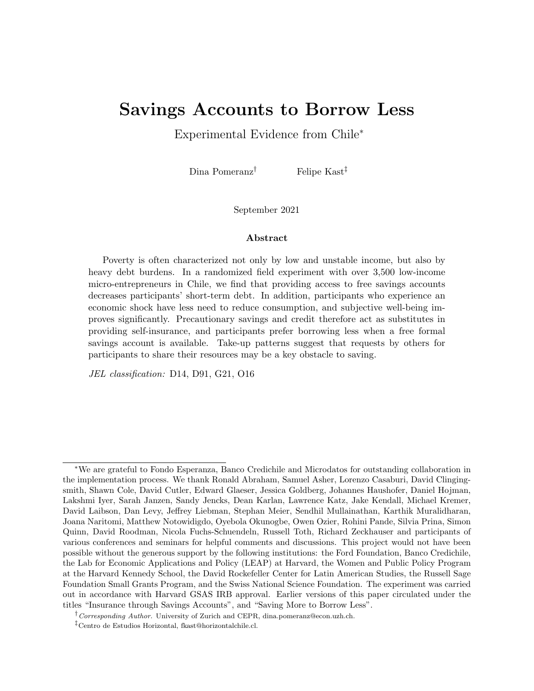# Savings Accounts to Borrow Less

Experimental Evidence from Chile<sup>∗</sup>

Dina Pomeranz<sup>†</sup> Felipe Kast<sup>‡</sup>

September 2021

#### Abstract

Poverty is often characterized not only by low and unstable income, but also by heavy debt burdens. In a randomized field experiment with over 3,500 low-income micro-entrepreneurs in Chile, we find that providing access to free savings accounts decreases participants' short-term debt. In addition, participants who experience an economic shock have less need to reduce consumption, and subjective well-being improves significantly. Precautionary savings and credit therefore act as substitutes in providing self-insurance, and participants prefer borrowing less when a free formal savings account is available. Take-up patterns suggest that requests by others for participants to share their resources may be a key obstacle to saving.

JEL classification: D14, D91, G21, O16

<sup>∗</sup>We are grateful to Fondo Esperanza, Banco Credichile and Microdatos for outstanding collaboration in the implementation process. We thank Ronald Abraham, Samuel Asher, Lorenzo Casaburi, David Clingingsmith, Shawn Cole, David Cutler, Edward Glaeser, Jessica Goldberg, Johannes Haushofer, Daniel Hojman, Lakshmi Iyer, Sarah Janzen, Sandy Jencks, Dean Karlan, Lawrence Katz, Jake Kendall, Michael Kremer, David Laibson, Dan Levy, Jeffrey Liebman, Stephan Meier, Sendhil Mullainathan, Karthik Muralidharan, Joana Naritomi, Matthew Notowidigdo, Oyebola Okunogbe, Owen Ozier, Rohini Pande, Silvia Prina, Simon Quinn, David Roodman, Nicola Fuchs-Schuendeln, Russell Toth, Richard Zeckhauser and participants of various conferences and seminars for helpful comments and discussions. This project would not have been possible without the generous support by the following institutions: the Ford Foundation, Banco Credichile, the Lab for Economic Applications and Policy (LEAP) at Harvard, the Women and Public Policy Program at the Harvard Kennedy School, the David Rockefeller Center for Latin American Studies, the Russell Sage Foundation Small Grants Program, and the Swiss National Science Foundation. The experiment was carried out in accordance with Harvard GSAS IRB approval. Earlier versions of this paper circulated under the titles "Insurance through Savings Accounts", and "Saving More to Borrow Less".

 $\dagger$  Corresponding Author. University of Zurich and CEPR, dina.pomeranz@econ.uzh.ch.

<sup>‡</sup>Centro de Estudios Horizontal, fkast@horizontalchile.cl.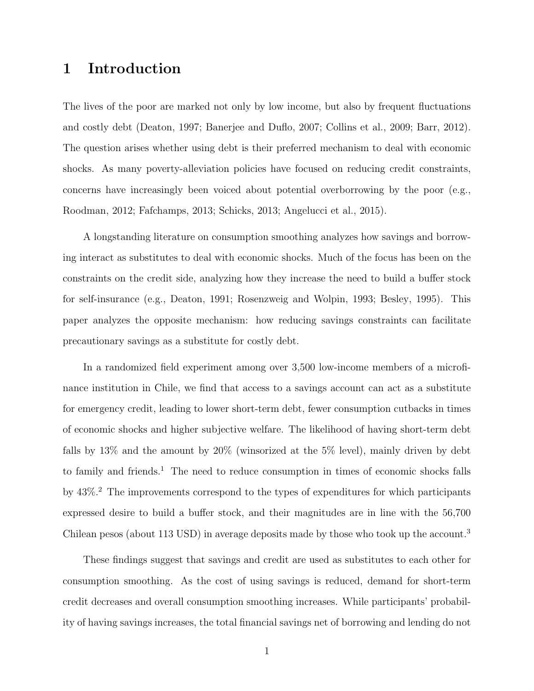# 1 Introduction

The lives of the poor are marked not only by low income, but also by frequent fluctuations and costly debt (Deaton, 1997; Banerjee and Duflo, 2007; Collins et al., 2009; Barr, 2012). The question arises whether using debt is their preferred mechanism to deal with economic shocks. As many poverty-alleviation policies have focused on reducing credit constraints, concerns have increasingly been voiced about potential overborrowing by the poor (e.g., Roodman, 2012; Fafchamps, 2013; Schicks, 2013; Angelucci et al., 2015).

A longstanding literature on consumption smoothing analyzes how savings and borrowing interact as substitutes to deal with economic shocks. Much of the focus has been on the constraints on the credit side, analyzing how they increase the need to build a buffer stock for self-insurance (e.g., Deaton, 1991; Rosenzweig and Wolpin, 1993; Besley, 1995). This paper analyzes the opposite mechanism: how reducing savings constraints can facilitate precautionary savings as a substitute for costly debt.

In a randomized field experiment among over 3,500 low-income members of a microfinance institution in Chile, we find that access to a savings account can act as a substitute for emergency credit, leading to lower short-term debt, fewer consumption cutbacks in times of economic shocks and higher subjective welfare. The likelihood of having short-term debt falls by 13% and the amount by 20% (winsorized at the 5% level), mainly driven by debt to family and friends.<sup>1</sup> The need to reduce consumption in times of economic shocks falls by  $43\%$ <sup>2</sup>. The improvements correspond to the types of expenditures for which participants expressed desire to build a buffer stock, and their magnitudes are in line with the 56,700 Chilean pesos (about 113 USD) in average deposits made by those who took up the account.<sup>3</sup>

These findings suggest that savings and credit are used as substitutes to each other for consumption smoothing. As the cost of using savings is reduced, demand for short-term credit decreases and overall consumption smoothing increases. While participants' probability of having savings increases, the total financial savings net of borrowing and lending do not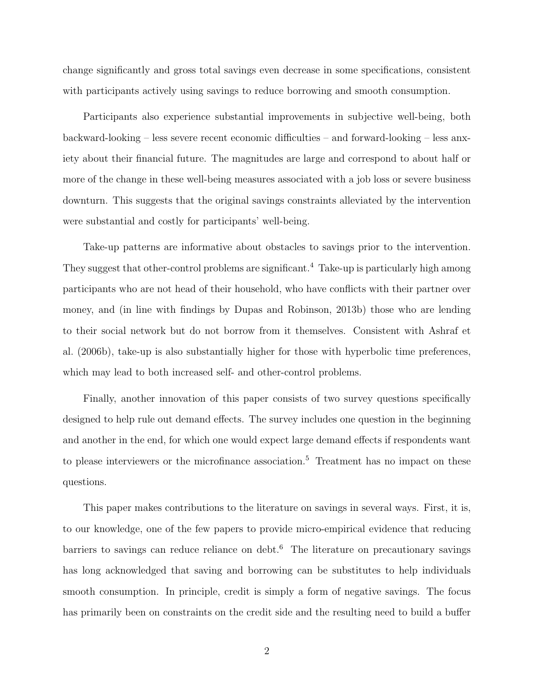change significantly and gross total savings even decrease in some specifications, consistent with participants actively using savings to reduce borrowing and smooth consumption.

Participants also experience substantial improvements in subjective well-being, both backward-looking – less severe recent economic difficulties – and forward-looking – less anxiety about their financial future. The magnitudes are large and correspond to about half or more of the change in these well-being measures associated with a job loss or severe business downturn. This suggests that the original savings constraints alleviated by the intervention were substantial and costly for participants' well-being.

Take-up patterns are informative about obstacles to savings prior to the intervention. They suggest that other-control problems are significant.<sup>4</sup> Take-up is particularly high among participants who are not head of their household, who have conflicts with their partner over money, and (in line with findings by Dupas and Robinson, 2013b) those who are lending to their social network but do not borrow from it themselves. Consistent with Ashraf et al. (2006b), take-up is also substantially higher for those with hyperbolic time preferences, which may lead to both increased self- and other-control problems.

Finally, another innovation of this paper consists of two survey questions specifically designed to help rule out demand effects. The survey includes one question in the beginning and another in the end, for which one would expect large demand effects if respondents want to please interviewers or the microfinance association.<sup>5</sup> Treatment has no impact on these questions.

This paper makes contributions to the literature on savings in several ways. First, it is, to our knowledge, one of the few papers to provide micro-empirical evidence that reducing barriers to savings can reduce reliance on debt.<sup>6</sup> The literature on precautionary savings has long acknowledged that saving and borrowing can be substitutes to help individuals smooth consumption. In principle, credit is simply a form of negative savings. The focus has primarily been on constraints on the credit side and the resulting need to build a buffer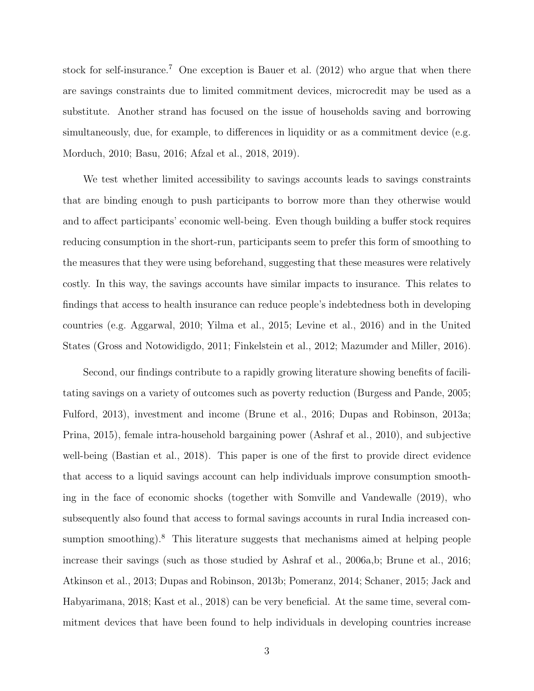stock for self-insurance.<sup>7</sup> One exception is Bauer et al.  $(2012)$  who argue that when there are savings constraints due to limited commitment devices, microcredit may be used as a substitute. Another strand has focused on the issue of households saving and borrowing simultaneously, due, for example, to differences in liquidity or as a commitment device (e.g. Morduch, 2010; Basu, 2016; Afzal et al., 2018, 2019).

We test whether limited accessibility to savings accounts leads to savings constraints that are binding enough to push participants to borrow more than they otherwise would and to affect participants' economic well-being. Even though building a buffer stock requires reducing consumption in the short-run, participants seem to prefer this form of smoothing to the measures that they were using beforehand, suggesting that these measures were relatively costly. In this way, the savings accounts have similar impacts to insurance. This relates to findings that access to health insurance can reduce people's indebtedness both in developing countries (e.g. Aggarwal, 2010; Yilma et al., 2015; Levine et al., 2016) and in the United States (Gross and Notowidigdo, 2011; Finkelstein et al., 2012; Mazumder and Miller, 2016).

Second, our findings contribute to a rapidly growing literature showing benefits of facilitating savings on a variety of outcomes such as poverty reduction (Burgess and Pande, 2005; Fulford, 2013), investment and income (Brune et al., 2016; Dupas and Robinson, 2013a; Prina, 2015), female intra-household bargaining power (Ashraf et al., 2010), and subjective well-being (Bastian et al., 2018). This paper is one of the first to provide direct evidence that access to a liquid savings account can help individuals improve consumption smoothing in the face of economic shocks (together with Somville and Vandewalle (2019), who subsequently also found that access to formal savings accounts in rural India increased consumption smoothing).<sup>8</sup> This literature suggests that mechanisms aimed at helping people increase their savings (such as those studied by Ashraf et al., 2006a,b; Brune et al., 2016; Atkinson et al., 2013; Dupas and Robinson, 2013b; Pomeranz, 2014; Schaner, 2015; Jack and Habyarimana, 2018; Kast et al., 2018) can be very beneficial. At the same time, several commitment devices that have been found to help individuals in developing countries increase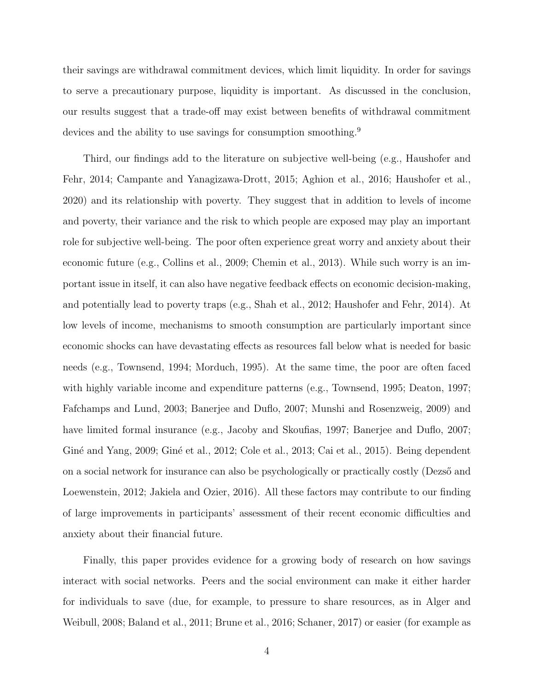their savings are withdrawal commitment devices, which limit liquidity. In order for savings to serve a precautionary purpose, liquidity is important. As discussed in the conclusion, our results suggest that a trade-off may exist between benefits of withdrawal commitment devices and the ability to use savings for consumption smoothing.<sup>9</sup>

Third, our findings add to the literature on subjective well-being (e.g., Haushofer and Fehr, 2014; Campante and Yanagizawa-Drott, 2015; Aghion et al., 2016; Haushofer et al., 2020) and its relationship with poverty. They suggest that in addition to levels of income and poverty, their variance and the risk to which people are exposed may play an important role for subjective well-being. The poor often experience great worry and anxiety about their economic future (e.g., Collins et al., 2009; Chemin et al., 2013). While such worry is an important issue in itself, it can also have negative feedback effects on economic decision-making, and potentially lead to poverty traps (e.g., Shah et al., 2012; Haushofer and Fehr, 2014). At low levels of income, mechanisms to smooth consumption are particularly important since economic shocks can have devastating effects as resources fall below what is needed for basic needs (e.g., Townsend, 1994; Morduch, 1995). At the same time, the poor are often faced with highly variable income and expenditure patterns (e.g., Townsend, 1995; Deaton, 1997; Fafchamps and Lund, 2003; Banerjee and Duflo, 2007; Munshi and Rosenzweig, 2009) and have limited formal insurance (e.g., Jacoby and Skoufias, 1997; Banerjee and Duflo, 2007; Giné and Yang, 2009; Giné et al., 2012; Cole et al., 2013; Cai et al., 2015). Being dependent on a social network for insurance can also be psychologically or practically costly (Dezső and Loewenstein, 2012; Jakiela and Ozier, 2016). All these factors may contribute to our finding of large improvements in participants' assessment of their recent economic difficulties and anxiety about their financial future.

Finally, this paper provides evidence for a growing body of research on how savings interact with social networks. Peers and the social environment can make it either harder for individuals to save (due, for example, to pressure to share resources, as in Alger and Weibull, 2008; Baland et al., 2011; Brune et al., 2016; Schaner, 2017) or easier (for example as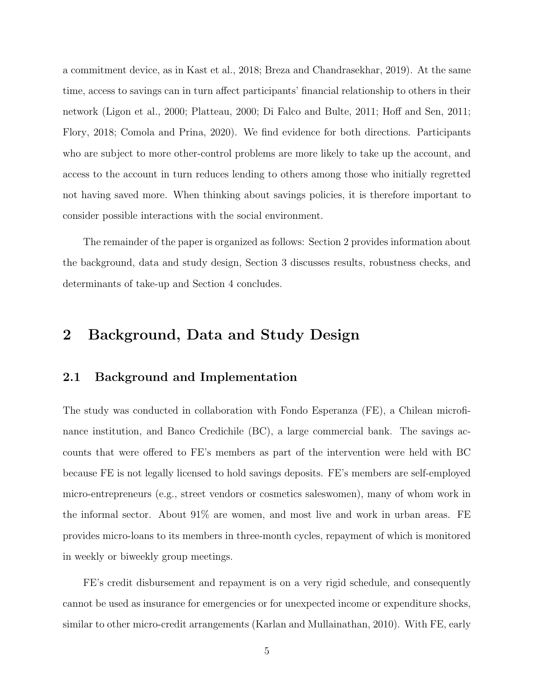a commitment device, as in Kast et al., 2018; Breza and Chandrasekhar, 2019). At the same time, access to savings can in turn affect participants' financial relationship to others in their network (Ligon et al., 2000; Platteau, 2000; Di Falco and Bulte, 2011; Hoff and Sen, 2011; Flory, 2018; Comola and Prina, 2020). We find evidence for both directions. Participants who are subject to more other-control problems are more likely to take up the account, and access to the account in turn reduces lending to others among those who initially regretted not having saved more. When thinking about savings policies, it is therefore important to consider possible interactions with the social environment.

The remainder of the paper is organized as follows: Section 2 provides information about the background, data and study design, Section 3 discusses results, robustness checks, and determinants of take-up and Section 4 concludes.

# 2 Background, Data and Study Design

### 2.1 Background and Implementation

The study was conducted in collaboration with Fondo Esperanza (FE), a Chilean microfinance institution, and Banco Credichile (BC), a large commercial bank. The savings accounts that were offered to FE's members as part of the intervention were held with BC because FE is not legally licensed to hold savings deposits. FE's members are self-employed micro-entrepreneurs (e.g., street vendors or cosmetics saleswomen), many of whom work in the informal sector. About 91% are women, and most live and work in urban areas. FE provides micro-loans to its members in three-month cycles, repayment of which is monitored in weekly or biweekly group meetings.

FE's credit disbursement and repayment is on a very rigid schedule, and consequently cannot be used as insurance for emergencies or for unexpected income or expenditure shocks, similar to other micro-credit arrangements (Karlan and Mullainathan, 2010). With FE, early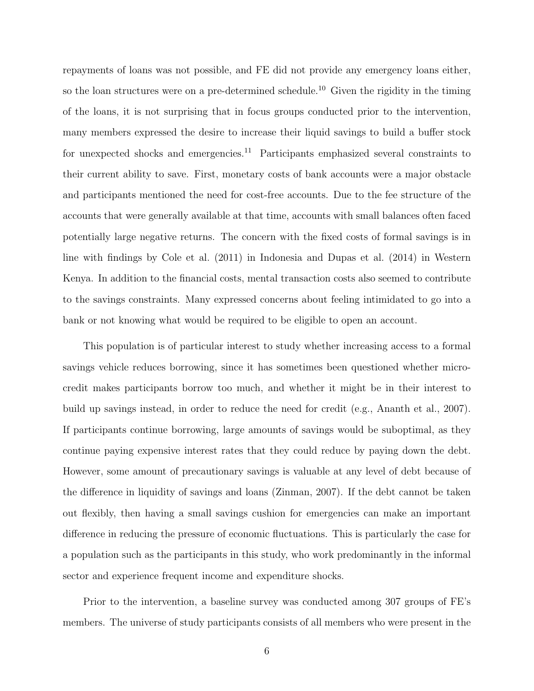repayments of loans was not possible, and FE did not provide any emergency loans either, so the loan structures were on a pre-determined schedule.<sup>10</sup> Given the rigidity in the timing of the loans, it is not surprising that in focus groups conducted prior to the intervention, many members expressed the desire to increase their liquid savings to build a buffer stock for unexpected shocks and emergencies.<sup>11</sup> Participants emphasized several constraints to their current ability to save. First, monetary costs of bank accounts were a major obstacle and participants mentioned the need for cost-free accounts. Due to the fee structure of the accounts that were generally available at that time, accounts with small balances often faced potentially large negative returns. The concern with the fixed costs of formal savings is in line with findings by Cole et al. (2011) in Indonesia and Dupas et al. (2014) in Western Kenya. In addition to the financial costs, mental transaction costs also seemed to contribute to the savings constraints. Many expressed concerns about feeling intimidated to go into a bank or not knowing what would be required to be eligible to open an account.

This population is of particular interest to study whether increasing access to a formal savings vehicle reduces borrowing, since it has sometimes been questioned whether microcredit makes participants borrow too much, and whether it might be in their interest to build up savings instead, in order to reduce the need for credit (e.g., Ananth et al., 2007). If participants continue borrowing, large amounts of savings would be suboptimal, as they continue paying expensive interest rates that they could reduce by paying down the debt. However, some amount of precautionary savings is valuable at any level of debt because of the difference in liquidity of savings and loans (Zinman, 2007). If the debt cannot be taken out flexibly, then having a small savings cushion for emergencies can make an important difference in reducing the pressure of economic fluctuations. This is particularly the case for a population such as the participants in this study, who work predominantly in the informal sector and experience frequent income and expenditure shocks.

Prior to the intervention, a baseline survey was conducted among 307 groups of FE's members. The universe of study participants consists of all members who were present in the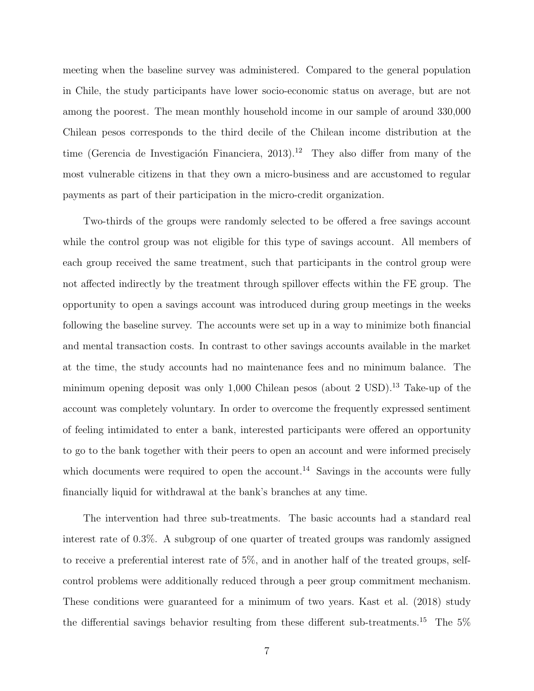meeting when the baseline survey was administered. Compared to the general population in Chile, the study participants have lower socio-economic status on average, but are not among the poorest. The mean monthly household income in our sample of around 330,000 Chilean pesos corresponds to the third decile of the Chilean income distribution at the time (Gerencia de Investigación Financiera, 2013).<sup>12</sup> They also differ from many of the most vulnerable citizens in that they own a micro-business and are accustomed to regular payments as part of their participation in the micro-credit organization.

Two-thirds of the groups were randomly selected to be offered a free savings account while the control group was not eligible for this type of savings account. All members of each group received the same treatment, such that participants in the control group were not affected indirectly by the treatment through spillover effects within the FE group. The opportunity to open a savings account was introduced during group meetings in the weeks following the baseline survey. The accounts were set up in a way to minimize both financial and mental transaction costs. In contrast to other savings accounts available in the market at the time, the study accounts had no maintenance fees and no minimum balance. The minimum opening deposit was only  $1,000$  Chilean pesos (about 2 USD).<sup>13</sup> Take-up of the account was completely voluntary. In order to overcome the frequently expressed sentiment of feeling intimidated to enter a bank, interested participants were offered an opportunity to go to the bank together with their peers to open an account and were informed precisely which documents were required to open the account.<sup>14</sup> Savings in the accounts were fully financially liquid for withdrawal at the bank's branches at any time.

The intervention had three sub-treatments. The basic accounts had a standard real interest rate of 0.3%. A subgroup of one quarter of treated groups was randomly assigned to receive a preferential interest rate of 5%, and in another half of the treated groups, selfcontrol problems were additionally reduced through a peer group commitment mechanism. These conditions were guaranteed for a minimum of two years. Kast et al. (2018) study the differential savings behavior resulting from these different sub-treatments.<sup>15</sup> The 5%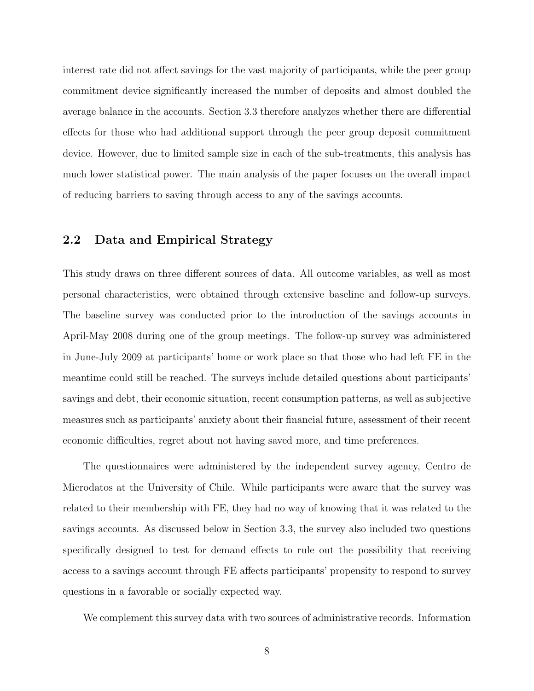interest rate did not affect savings for the vast majority of participants, while the peer group commitment device significantly increased the number of deposits and almost doubled the average balance in the accounts. Section 3.3 therefore analyzes whether there are differential effects for those who had additional support through the peer group deposit commitment device. However, due to limited sample size in each of the sub-treatments, this analysis has much lower statistical power. The main analysis of the paper focuses on the overall impact of reducing barriers to saving through access to any of the savings accounts.

## 2.2 Data and Empirical Strategy

This study draws on three different sources of data. All outcome variables, as well as most personal characteristics, were obtained through extensive baseline and follow-up surveys. The baseline survey was conducted prior to the introduction of the savings accounts in April-May 2008 during one of the group meetings. The follow-up survey was administered in June-July 2009 at participants' home or work place so that those who had left FE in the meantime could still be reached. The surveys include detailed questions about participants' savings and debt, their economic situation, recent consumption patterns, as well as subjective measures such as participants' anxiety about their financial future, assessment of their recent economic difficulties, regret about not having saved more, and time preferences.

The questionnaires were administered by the independent survey agency, Centro de Microdatos at the University of Chile. While participants were aware that the survey was related to their membership with FE, they had no way of knowing that it was related to the savings accounts. As discussed below in Section 3.3, the survey also included two questions specifically designed to test for demand effects to rule out the possibility that receiving access to a savings account through FE affects participants' propensity to respond to survey questions in a favorable or socially expected way.

We complement this survey data with two sources of administrative records. Information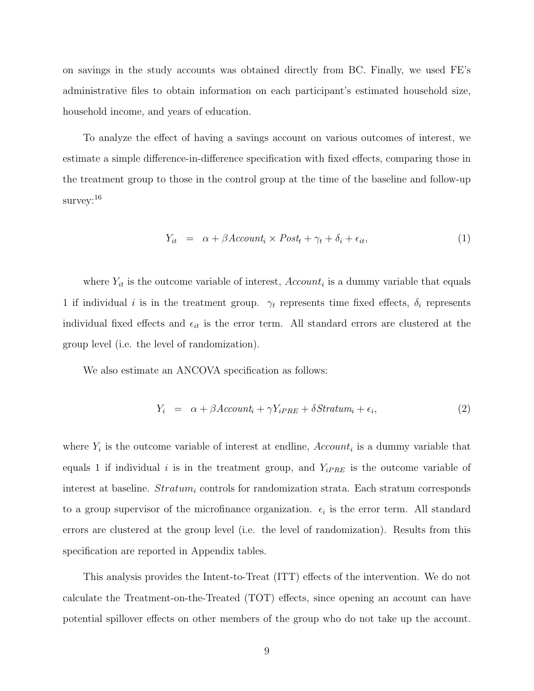on savings in the study accounts was obtained directly from BC. Finally, we used FE's administrative files to obtain information on each participant's estimated household size, household income, and years of education.

To analyze the effect of having a savings account on various outcomes of interest, we estimate a simple difference-in-difference specification with fixed effects, comparing those in the treatment group to those in the control group at the time of the baseline and follow-up survey:<sup>16</sup>

$$
Y_{it} = \alpha + \beta Account_i \times Post_t + \gamma_t + \delta_i + \epsilon_{it}, \tag{1}
$$

where  $Y_{it}$  is the outcome variable of interest,  $Account_i$  is a dummy variable that equals 1 if individual i is in the treatment group.  $\gamma_t$  represents time fixed effects,  $\delta_i$  represents individual fixed effects and  $\epsilon_{it}$  is the error term. All standard errors are clustered at the group level (i.e. the level of randomization).

We also estimate an ANCOVA specification as follows:

$$
Y_i = \alpha + \beta Account_i + \gamma Y_{iPRE} + \delta Startum_i + \epsilon_i,
$$
\n(2)

where  $Y_i$  is the outcome variable of interest at endline,  $Account_i$  is a dummy variable that equals 1 if individual i is in the treatment group, and  $Y_{iPRE}$  is the outcome variable of interest at baseline.  $Stratum_i$  controls for randomization strata. Each stratum corresponds to a group supervisor of the microfinance organization.  $\epsilon_i$  is the error term. All standard errors are clustered at the group level (i.e. the level of randomization). Results from this specification are reported in Appendix tables.

This analysis provides the Intent-to-Treat (ITT) effects of the intervention. We do not calculate the Treatment-on-the-Treated (TOT) effects, since opening an account can have potential spillover effects on other members of the group who do not take up the account.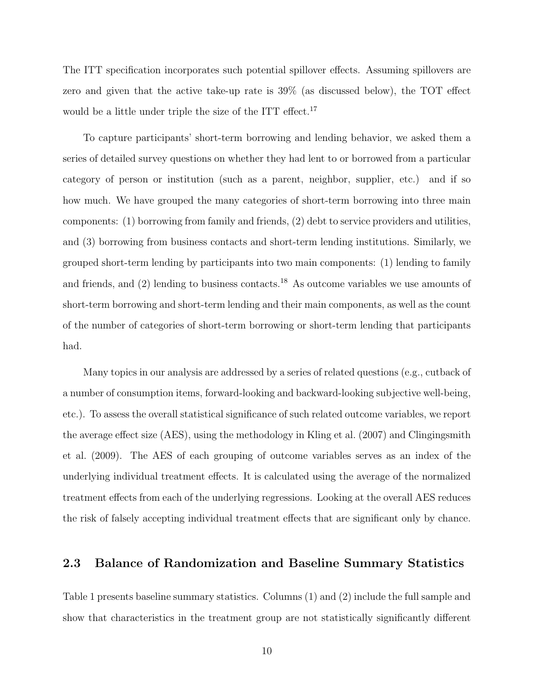The ITT specification incorporates such potential spillover effects. Assuming spillovers are zero and given that the active take-up rate is 39% (as discussed below), the TOT effect would be a little under triple the size of the ITT effect.<sup>17</sup>

To capture participants' short-term borrowing and lending behavior, we asked them a series of detailed survey questions on whether they had lent to or borrowed from a particular category of person or institution (such as a parent, neighbor, supplier, etc.) and if so how much. We have grouped the many categories of short-term borrowing into three main components: (1) borrowing from family and friends, (2) debt to service providers and utilities, and (3) borrowing from business contacts and short-term lending institutions. Similarly, we grouped short-term lending by participants into two main components: (1) lending to family and friends, and  $(2)$  lending to business contacts.<sup>18</sup> As outcome variables we use amounts of short-term borrowing and short-term lending and their main components, as well as the count of the number of categories of short-term borrowing or short-term lending that participants had.

Many topics in our analysis are addressed by a series of related questions (e.g., cutback of a number of consumption items, forward-looking and backward-looking subjective well-being, etc.). To assess the overall statistical significance of such related outcome variables, we report the average effect size (AES), using the methodology in Kling et al. (2007) and Clingingsmith et al. (2009). The AES of each grouping of outcome variables serves as an index of the underlying individual treatment effects. It is calculated using the average of the normalized treatment effects from each of the underlying regressions. Looking at the overall AES reduces the risk of falsely accepting individual treatment effects that are significant only by chance.

## 2.3 Balance of Randomization and Baseline Summary Statistics

Table 1 presents baseline summary statistics. Columns (1) and (2) include the full sample and show that characteristics in the treatment group are not statistically significantly different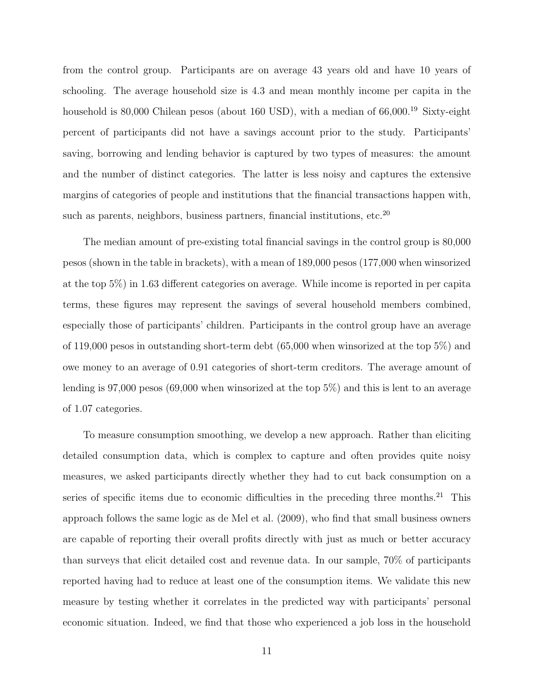from the control group. Participants are on average 43 years old and have 10 years of schooling. The average household size is 4.3 and mean monthly income per capita in the household is 80,000 Chilean pesos (about 160 USD), with a median of 66,000.<sup>19</sup> Sixty-eight percent of participants did not have a savings account prior to the study. Participants' saving, borrowing and lending behavior is captured by two types of measures: the amount and the number of distinct categories. The latter is less noisy and captures the extensive margins of categories of people and institutions that the financial transactions happen with, such as parents, neighbors, business partners, financial institutions, etc.<sup>20</sup>

The median amount of pre-existing total financial savings in the control group is 80,000 pesos (shown in the table in brackets), with a mean of 189,000 pesos (177,000 when winsorized at the top 5%) in 1.63 different categories on average. While income is reported in per capita terms, these figures may represent the savings of several household members combined, especially those of participants' children. Participants in the control group have an average of 119,000 pesos in outstanding short-term debt (65,000 when winsorized at the top 5%) and owe money to an average of 0.91 categories of short-term creditors. The average amount of lending is 97,000 pesos (69,000 when winsorized at the top 5%) and this is lent to an average of 1.07 categories.

To measure consumption smoothing, we develop a new approach. Rather than eliciting detailed consumption data, which is complex to capture and often provides quite noisy measures, we asked participants directly whether they had to cut back consumption on a series of specific items due to economic difficulties in the preceding three months.<sup>21</sup> This approach follows the same logic as de Mel et al. (2009), who find that small business owners are capable of reporting their overall profits directly with just as much or better accuracy than surveys that elicit detailed cost and revenue data. In our sample, 70% of participants reported having had to reduce at least one of the consumption items. We validate this new measure by testing whether it correlates in the predicted way with participants' personal economic situation. Indeed, we find that those who experienced a job loss in the household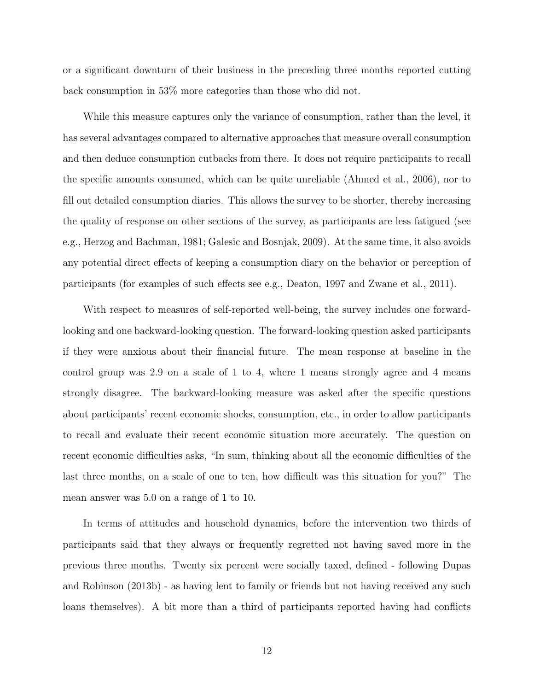or a significant downturn of their business in the preceding three months reported cutting back consumption in 53% more categories than those who did not.

While this measure captures only the variance of consumption, rather than the level, it has several advantages compared to alternative approaches that measure overall consumption and then deduce consumption cutbacks from there. It does not require participants to recall the specific amounts consumed, which can be quite unreliable (Ahmed et al., 2006), nor to fill out detailed consumption diaries. This allows the survey to be shorter, thereby increasing the quality of response on other sections of the survey, as participants are less fatigued (see e.g., Herzog and Bachman, 1981; Galesic and Bosnjak, 2009). At the same time, it also avoids any potential direct effects of keeping a consumption diary on the behavior or perception of participants (for examples of such effects see e.g., Deaton, 1997 and Zwane et al., 2011).

With respect to measures of self-reported well-being, the survey includes one forwardlooking and one backward-looking question. The forward-looking question asked participants if they were anxious about their financial future. The mean response at baseline in the control group was 2.9 on a scale of 1 to 4, where 1 means strongly agree and 4 means strongly disagree. The backward-looking measure was asked after the specific questions about participants' recent economic shocks, consumption, etc., in order to allow participants to recall and evaluate their recent economic situation more accurately. The question on recent economic difficulties asks, "In sum, thinking about all the economic difficulties of the last three months, on a scale of one to ten, how difficult was this situation for you?" The mean answer was 5.0 on a range of 1 to 10.

In terms of attitudes and household dynamics, before the intervention two thirds of participants said that they always or frequently regretted not having saved more in the previous three months. Twenty six percent were socially taxed, defined - following Dupas and Robinson (2013b) - as having lent to family or friends but not having received any such loans themselves). A bit more than a third of participants reported having had conflicts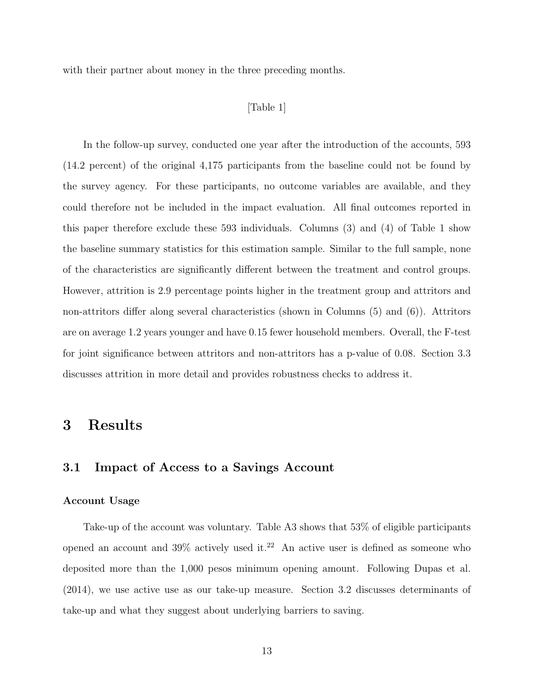with their partner about money in the three preceding months.

#### [Table 1]

In the follow-up survey, conducted one year after the introduction of the accounts, 593 (14.2 percent) of the original 4,175 participants from the baseline could not be found by the survey agency. For these participants, no outcome variables are available, and they could therefore not be included in the impact evaluation. All final outcomes reported in this paper therefore exclude these 593 individuals. Columns (3) and (4) of Table 1 show the baseline summary statistics for this estimation sample. Similar to the full sample, none of the characteristics are significantly different between the treatment and control groups. However, attrition is 2.9 percentage points higher in the treatment group and attritors and non-attritors differ along several characteristics (shown in Columns (5) and (6)). Attritors are on average 1.2 years younger and have 0.15 fewer household members. Overall, the F-test for joint significance between attritors and non-attritors has a p-value of 0.08. Section 3.3 discusses attrition in more detail and provides robustness checks to address it.

# 3 Results

### 3.1 Impact of Access to a Savings Account

#### Account Usage

Take-up of the account was voluntary. Table A3 shows that 53% of eligible participants opened an account and  $39\%$  actively used it.<sup>22</sup> An active user is defined as someone who deposited more than the 1,000 pesos minimum opening amount. Following Dupas et al. (2014), we use active use as our take-up measure. Section 3.2 discusses determinants of take-up and what they suggest about underlying barriers to saving.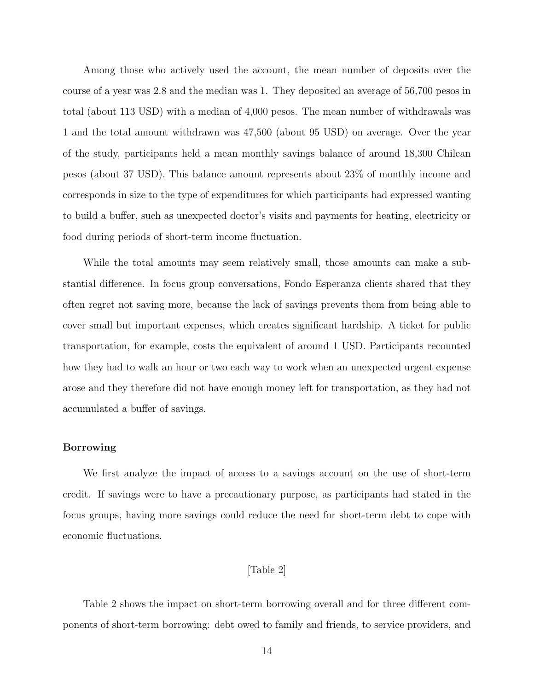Among those who actively used the account, the mean number of deposits over the course of a year was 2.8 and the median was 1. They deposited an average of 56,700 pesos in total (about 113 USD) with a median of 4,000 pesos. The mean number of withdrawals was 1 and the total amount withdrawn was 47,500 (about 95 USD) on average. Over the year of the study, participants held a mean monthly savings balance of around 18,300 Chilean pesos (about 37 USD). This balance amount represents about 23% of monthly income and corresponds in size to the type of expenditures for which participants had expressed wanting to build a buffer, such as unexpected doctor's visits and payments for heating, electricity or food during periods of short-term income fluctuation.

While the total amounts may seem relatively small, those amounts can make a substantial difference. In focus group conversations, Fondo Esperanza clients shared that they often regret not saving more, because the lack of savings prevents them from being able to cover small but important expenses, which creates significant hardship. A ticket for public transportation, for example, costs the equivalent of around 1 USD. Participants recounted how they had to walk an hour or two each way to work when an unexpected urgent expense arose and they therefore did not have enough money left for transportation, as they had not accumulated a buffer of savings.

#### Borrowing

We first analyze the impact of access to a savings account on the use of short-term credit. If savings were to have a precautionary purpose, as participants had stated in the focus groups, having more savings could reduce the need for short-term debt to cope with economic fluctuations.

#### [Table 2]

Table 2 shows the impact on short-term borrowing overall and for three different components of short-term borrowing: debt owed to family and friends, to service providers, and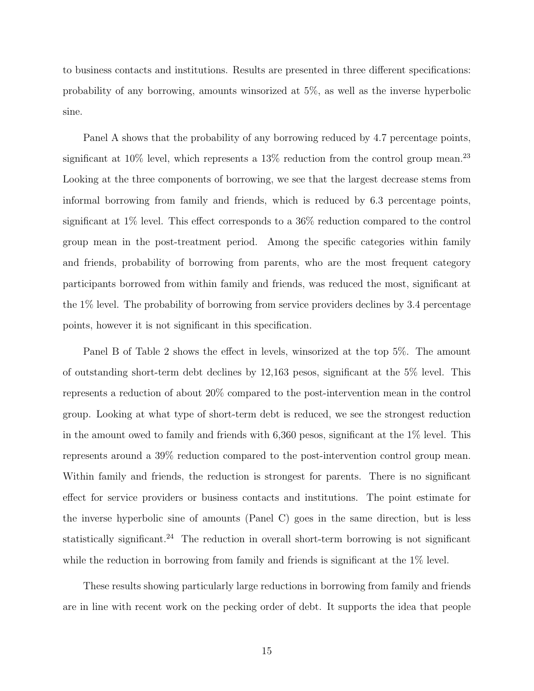to business contacts and institutions. Results are presented in three different specifications: probability of any borrowing, amounts winsorized at 5%, as well as the inverse hyperbolic sine.

Panel A shows that the probability of any borrowing reduced by 4.7 percentage points, significant at  $10\%$  level, which represents a  $13\%$  reduction from the control group mean.<sup>23</sup> Looking at the three components of borrowing, we see that the largest decrease stems from informal borrowing from family and friends, which is reduced by 6.3 percentage points, significant at 1% level. This effect corresponds to a 36% reduction compared to the control group mean in the post-treatment period. Among the specific categories within family and friends, probability of borrowing from parents, who are the most frequent category participants borrowed from within family and friends, was reduced the most, significant at the 1% level. The probability of borrowing from service providers declines by 3.4 percentage points, however it is not significant in this specification.

Panel B of Table 2 shows the effect in levels, winsorized at the top 5%. The amount of outstanding short-term debt declines by 12,163 pesos, significant at the 5% level. This represents a reduction of about 20% compared to the post-intervention mean in the control group. Looking at what type of short-term debt is reduced, we see the strongest reduction in the amount owed to family and friends with 6,360 pesos, significant at the 1% level. This represents around a 39% reduction compared to the post-intervention control group mean. Within family and friends, the reduction is strongest for parents. There is no significant effect for service providers or business contacts and institutions. The point estimate for the inverse hyperbolic sine of amounts (Panel C) goes in the same direction, but is less statistically significant.<sup>24</sup> The reduction in overall short-term borrowing is not significant while the reduction in borrowing from family and friends is significant at the  $1\%$  level.

These results showing particularly large reductions in borrowing from family and friends are in line with recent work on the pecking order of debt. It supports the idea that people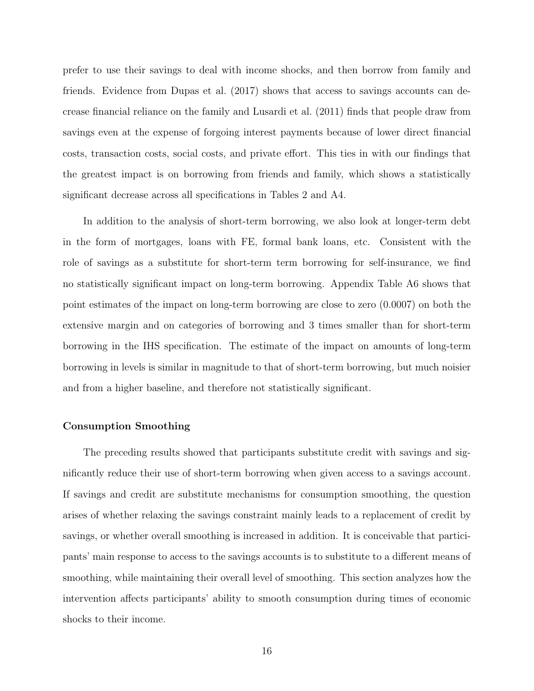prefer to use their savings to deal with income shocks, and then borrow from family and friends. Evidence from Dupas et al. (2017) shows that access to savings accounts can decrease financial reliance on the family and Lusardi et al. (2011) finds that people draw from savings even at the expense of forgoing interest payments because of lower direct financial costs, transaction costs, social costs, and private effort. This ties in with our findings that the greatest impact is on borrowing from friends and family, which shows a statistically significant decrease across all specifications in Tables 2 and A4.

In addition to the analysis of short-term borrowing, we also look at longer-term debt in the form of mortgages, loans with FE, formal bank loans, etc. Consistent with the role of savings as a substitute for short-term term borrowing for self-insurance, we find no statistically significant impact on long-term borrowing. Appendix Table A6 shows that point estimates of the impact on long-term borrowing are close to zero (0.0007) on both the extensive margin and on categories of borrowing and 3 times smaller than for short-term borrowing in the IHS specification. The estimate of the impact on amounts of long-term borrowing in levels is similar in magnitude to that of short-term borrowing, but much noisier and from a higher baseline, and therefore not statistically significant.

#### Consumption Smoothing

The preceding results showed that participants substitute credit with savings and significantly reduce their use of short-term borrowing when given access to a savings account. If savings and credit are substitute mechanisms for consumption smoothing, the question arises of whether relaxing the savings constraint mainly leads to a replacement of credit by savings, or whether overall smoothing is increased in addition. It is conceivable that participants' main response to access to the savings accounts is to substitute to a different means of smoothing, while maintaining their overall level of smoothing. This section analyzes how the intervention affects participants' ability to smooth consumption during times of economic shocks to their income.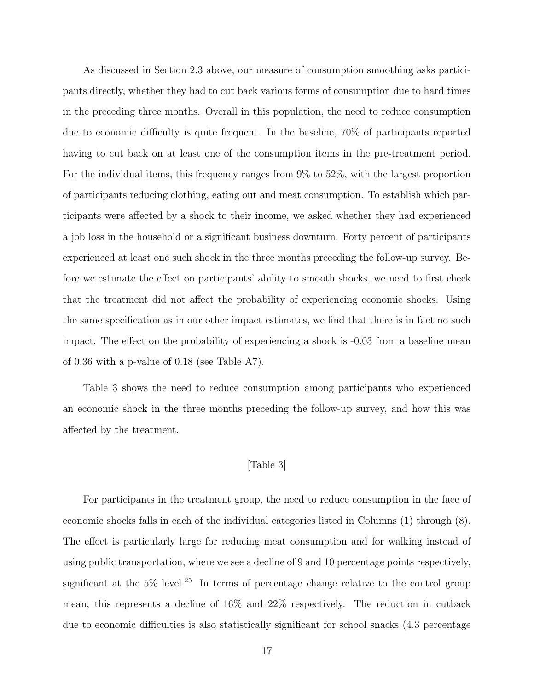As discussed in Section 2.3 above, our measure of consumption smoothing asks participants directly, whether they had to cut back various forms of consumption due to hard times in the preceding three months. Overall in this population, the need to reduce consumption due to economic difficulty is quite frequent. In the baseline, 70% of participants reported having to cut back on at least one of the consumption items in the pre-treatment period. For the individual items, this frequency ranges from 9% to 52%, with the largest proportion of participants reducing clothing, eating out and meat consumption. To establish which participants were affected by a shock to their income, we asked whether they had experienced a job loss in the household or a significant business downturn. Forty percent of participants experienced at least one such shock in the three months preceding the follow-up survey. Before we estimate the effect on participants' ability to smooth shocks, we need to first check that the treatment did not affect the probability of experiencing economic shocks. Using the same specification as in our other impact estimates, we find that there is in fact no such impact. The effect on the probability of experiencing a shock is -0.03 from a baseline mean of 0.36 with a p-value of 0.18 (see Table A7).

Table 3 shows the need to reduce consumption among participants who experienced an economic shock in the three months preceding the follow-up survey, and how this was affected by the treatment.

#### [Table 3]

For participants in the treatment group, the need to reduce consumption in the face of economic shocks falls in each of the individual categories listed in Columns (1) through (8). The effect is particularly large for reducing meat consumption and for walking instead of using public transportation, where we see a decline of 9 and 10 percentage points respectively, significant at the  $5\%$  level.<sup>25</sup> In terms of percentage change relative to the control group mean, this represents a decline of 16% and 22% respectively. The reduction in cutback due to economic difficulties is also statistically significant for school snacks (4.3 percentage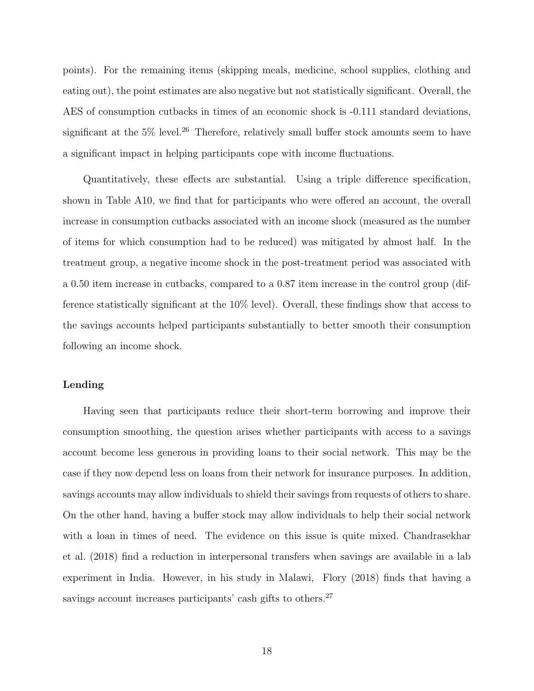points). For the remaining items (skipping meals, medicine, school supplies, clothing and eating out), the point estimates are also negative but not statistically significant. Overall, the AES of consumption cutbacks in times of an economic shock is -0.111 standard deviations, significant at the 5% level.<sup>26</sup> Therefore, relatively small buffer stock amounts seem to have a significant impact in helping participants cope with income fluctuations.

Quantitatively, these effects are substantial. Using a triple difference specification, shown in Table A10, we find that for participants who were offered an account, the overall increase in consumption cutbacks associated with an income shock (measured as the number of items for which consumption had to be reduced) was mitigated by almost half. In the treatment group, a negative income shock in the post-treatment period was associated with a 0.50 item increase in cutbacks, compared to a 0.87 item increase in the control group (difference statistically significant at the 10% level). Overall, these findings show that access to the savings accounts helped participants substantially to better smooth their consumption following an income shock.

#### Lending

Having seen that participants reduce their short-term borrowing and improve their consumption smoothing, the question arises whether participants with access to a savings account become less generous in providing loans to their social network. This may be the case if they now depend less on loans from their network for insurance purposes. In addition, savings accounts may allow individuals to shield their savings from requests of others to share. On the other hand, having a buffer stock may allow individuals to help their social network with a loan in times of need. The evidence on this issue is quite mixed. Chandrasekhar et al. (2018) find a reduction in interpersonal transfers when savings are available in a lab experiment in India. However, in his study in Malawi, Flory (2018) finds that having a savings account increases participants' cash gifts to others.<sup>27</sup>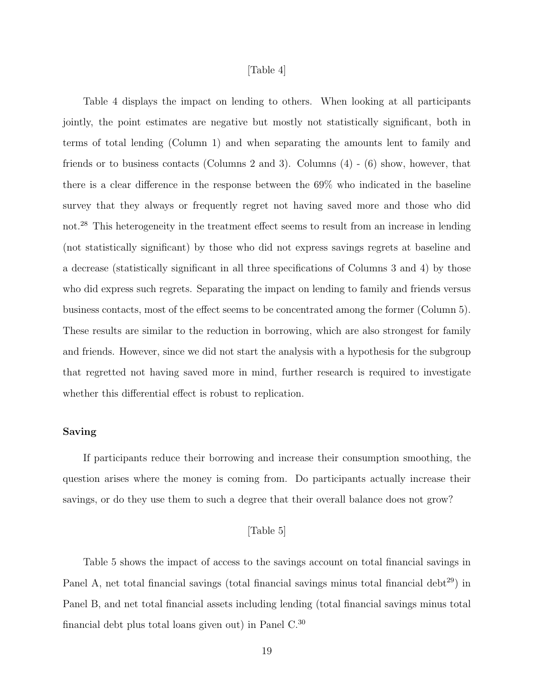#### [Table 4]

Table 4 displays the impact on lending to others. When looking at all participants jointly, the point estimates are negative but mostly not statistically significant, both in terms of total lending (Column 1) and when separating the amounts lent to family and friends or to business contacts (Columns 2 and 3). Columns (4) - (6) show, however, that there is a clear difference in the response between the 69% who indicated in the baseline survey that they always or frequently regret not having saved more and those who did not.<sup>28</sup> This heterogeneity in the treatment effect seems to result from an increase in lending (not statistically significant) by those who did not express savings regrets at baseline and a decrease (statistically significant in all three specifications of Columns 3 and 4) by those who did express such regrets. Separating the impact on lending to family and friends versus business contacts, most of the effect seems to be concentrated among the former (Column 5). These results are similar to the reduction in borrowing, which are also strongest for family and friends. However, since we did not start the analysis with a hypothesis for the subgroup that regretted not having saved more in mind, further research is required to investigate whether this differential effect is robust to replication.

#### Saving

If participants reduce their borrowing and increase their consumption smoothing, the question arises where the money is coming from. Do participants actually increase their savings, or do they use them to such a degree that their overall balance does not grow?

#### [Table 5]

Table 5 shows the impact of access to the savings account on total financial savings in Panel A, net total financial savings (total financial savings minus total financial debt<sup>29</sup>) in Panel B, and net total financial assets including lending (total financial savings minus total financial debt plus total loans given out) in Panel  $C^{30}$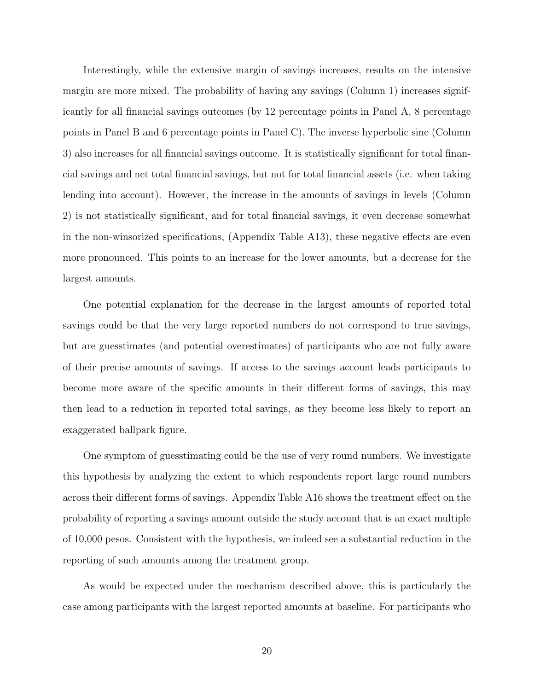Interestingly, while the extensive margin of savings increases, results on the intensive margin are more mixed. The probability of having any savings (Column 1) increases significantly for all financial savings outcomes (by 12 percentage points in Panel A, 8 percentage points in Panel B and 6 percentage points in Panel C). The inverse hyperbolic sine (Column 3) also increases for all financial savings outcome. It is statistically significant for total financial savings and net total financial savings, but not for total financial assets (i.e. when taking lending into account). However, the increase in the amounts of savings in levels (Column 2) is not statistically significant, and for total financial savings, it even decrease somewhat in the non-winsorized specifications, (Appendix Table A13), these negative effects are even more pronounced. This points to an increase for the lower amounts, but a decrease for the largest amounts.

One potential explanation for the decrease in the largest amounts of reported total savings could be that the very large reported numbers do not correspond to true savings, but are guesstimates (and potential overestimates) of participants who are not fully aware of their precise amounts of savings. If access to the savings account leads participants to become more aware of the specific amounts in their different forms of savings, this may then lead to a reduction in reported total savings, as they become less likely to report an exaggerated ballpark figure.

One symptom of guesstimating could be the use of very round numbers. We investigate this hypothesis by analyzing the extent to which respondents report large round numbers across their different forms of savings. Appendix Table A16 shows the treatment effect on the probability of reporting a savings amount outside the study account that is an exact multiple of 10,000 pesos. Consistent with the hypothesis, we indeed see a substantial reduction in the reporting of such amounts among the treatment group.

As would be expected under the mechanism described above, this is particularly the case among participants with the largest reported amounts at baseline. For participants who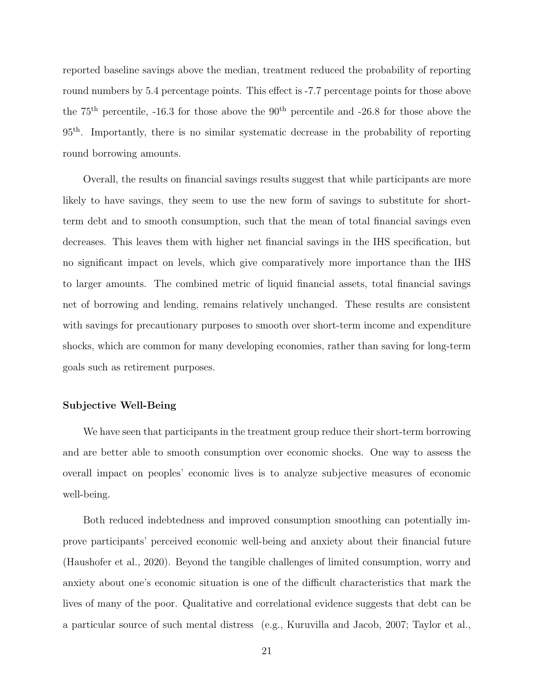reported baseline savings above the median, treatment reduced the probability of reporting round numbers by 5.4 percentage points. This effect is -7.7 percentage points for those above the  $75<sup>th</sup>$  percentile,  $-16.3$  for those above the  $90<sup>th</sup>$  percentile and  $-26.8$  for those above the 95th. Importantly, there is no similar systematic decrease in the probability of reporting round borrowing amounts.

Overall, the results on financial savings results suggest that while participants are more likely to have savings, they seem to use the new form of savings to substitute for shortterm debt and to smooth consumption, such that the mean of total financial savings even decreases. This leaves them with higher net financial savings in the IHS specification, but no significant impact on levels, which give comparatively more importance than the IHS to larger amounts. The combined metric of liquid financial assets, total financial savings net of borrowing and lending, remains relatively unchanged. These results are consistent with savings for precautionary purposes to smooth over short-term income and expenditure shocks, which are common for many developing economies, rather than saving for long-term goals such as retirement purposes.

#### Subjective Well-Being

We have seen that participants in the treatment group reduce their short-term borrowing and are better able to smooth consumption over economic shocks. One way to assess the overall impact on peoples' economic lives is to analyze subjective measures of economic well-being.

Both reduced indebtedness and improved consumption smoothing can potentially improve participants' perceived economic well-being and anxiety about their financial future (Haushofer et al., 2020). Beyond the tangible challenges of limited consumption, worry and anxiety about one's economic situation is one of the difficult characteristics that mark the lives of many of the poor. Qualitative and correlational evidence suggests that debt can be a particular source of such mental distress (e.g., Kuruvilla and Jacob, 2007; Taylor et al.,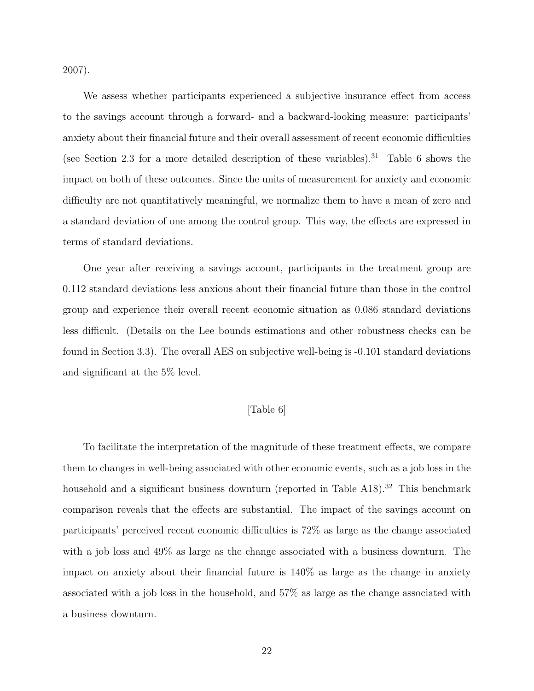2007).

We assess whether participants experienced a subjective insurance effect from access to the savings account through a forward- and a backward-looking measure: participants' anxiety about their financial future and their overall assessment of recent economic difficulties (see Section 2.3 for a more detailed description of these variables).<sup>31</sup> Table 6 shows the impact on both of these outcomes. Since the units of measurement for anxiety and economic difficulty are not quantitatively meaningful, we normalize them to have a mean of zero and a standard deviation of one among the control group. This way, the effects are expressed in terms of standard deviations.

One year after receiving a savings account, participants in the treatment group are 0.112 standard deviations less anxious about their financial future than those in the control group and experience their overall recent economic situation as 0.086 standard deviations less difficult. (Details on the Lee bounds estimations and other robustness checks can be found in Section 3.3). The overall AES on subjective well-being is -0.101 standard deviations and significant at the 5% level.

#### [Table 6]

To facilitate the interpretation of the magnitude of these treatment effects, we compare them to changes in well-being associated with other economic events, such as a job loss in the household and a significant business downturn (reported in Table A18).<sup>32</sup> This benchmark comparison reveals that the effects are substantial. The impact of the savings account on participants' perceived recent economic difficulties is 72% as large as the change associated with a job loss and 49% as large as the change associated with a business downturn. The impact on anxiety about their financial future is 140% as large as the change in anxiety associated with a job loss in the household, and 57% as large as the change associated with a business downturn.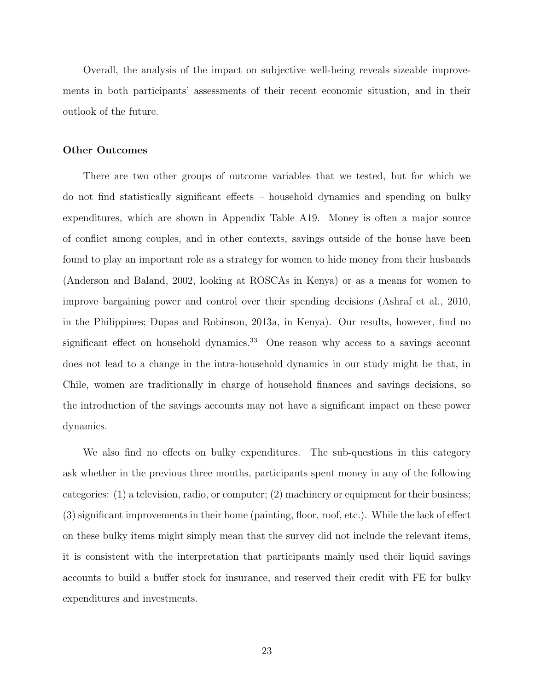Overall, the analysis of the impact on subjective well-being reveals sizeable improvements in both participants' assessments of their recent economic situation, and in their outlook of the future.

#### Other Outcomes

There are two other groups of outcome variables that we tested, but for which we do not find statistically significant effects – household dynamics and spending on bulky expenditures, which are shown in Appendix Table A19. Money is often a major source of conflict among couples, and in other contexts, savings outside of the house have been found to play an important role as a strategy for women to hide money from their husbands (Anderson and Baland, 2002, looking at ROSCAs in Kenya) or as a means for women to improve bargaining power and control over their spending decisions (Ashraf et al., 2010, in the Philippines; Dupas and Robinson, 2013a, in Kenya). Our results, however, find no significant effect on household dynamics.<sup>33</sup> One reason why access to a savings account does not lead to a change in the intra-household dynamics in our study might be that, in Chile, women are traditionally in charge of household finances and savings decisions, so the introduction of the savings accounts may not have a significant impact on these power dynamics.

We also find no effects on bulky expenditures. The sub-questions in this category ask whether in the previous three months, participants spent money in any of the following categories: (1) a television, radio, or computer; (2) machinery or equipment for their business; (3) significant improvements in their home (painting, floor, roof, etc.). While the lack of effect on these bulky items might simply mean that the survey did not include the relevant items, it is consistent with the interpretation that participants mainly used their liquid savings accounts to build a buffer stock for insurance, and reserved their credit with FE for bulky expenditures and investments.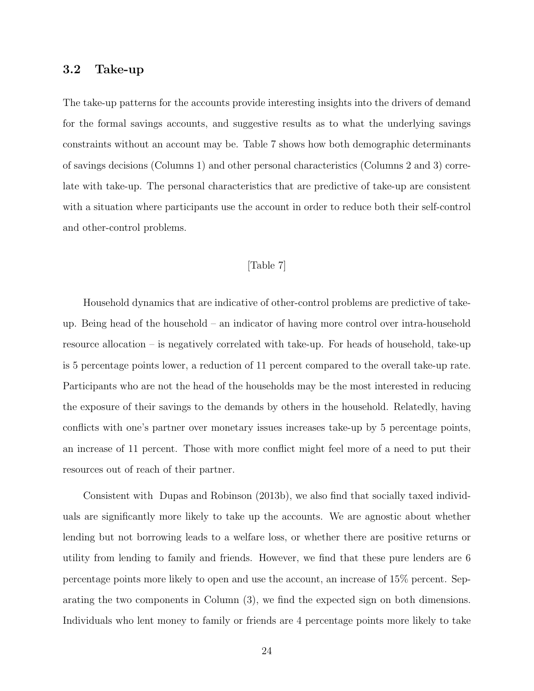### 3.2 Take-up

The take-up patterns for the accounts provide interesting insights into the drivers of demand for the formal savings accounts, and suggestive results as to what the underlying savings constraints without an account may be. Table 7 shows how both demographic determinants of savings decisions (Columns 1) and other personal characteristics (Columns 2 and 3) correlate with take-up. The personal characteristics that are predictive of take-up are consistent with a situation where participants use the account in order to reduce both their self-control and other-control problems.

#### [Table 7]

Household dynamics that are indicative of other-control problems are predictive of takeup. Being head of the household – an indicator of having more control over intra-household resource allocation – is negatively correlated with take-up. For heads of household, take-up is 5 percentage points lower, a reduction of 11 percent compared to the overall take-up rate. Participants who are not the head of the households may be the most interested in reducing the exposure of their savings to the demands by others in the household. Relatedly, having conflicts with one's partner over monetary issues increases take-up by 5 percentage points, an increase of 11 percent. Those with more conflict might feel more of a need to put their resources out of reach of their partner.

Consistent with Dupas and Robinson (2013b), we also find that socially taxed individuals are significantly more likely to take up the accounts. We are agnostic about whether lending but not borrowing leads to a welfare loss, or whether there are positive returns or utility from lending to family and friends. However, we find that these pure lenders are 6 percentage points more likely to open and use the account, an increase of 15% percent. Separating the two components in Column (3), we find the expected sign on both dimensions. Individuals who lent money to family or friends are 4 percentage points more likely to take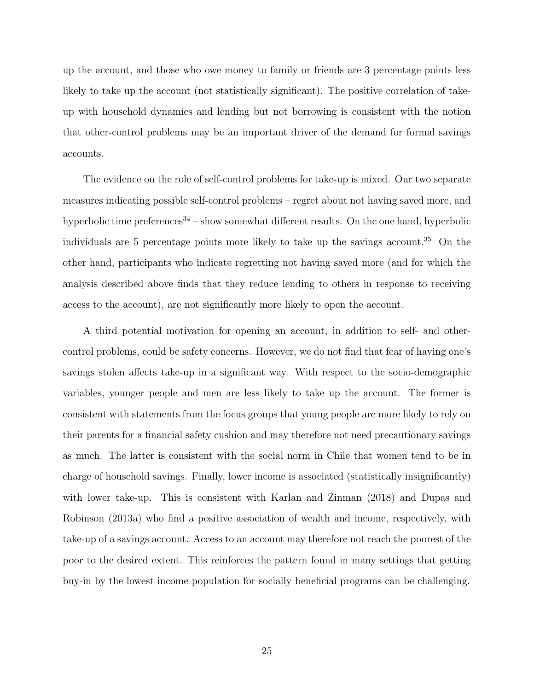up the account, and those who owe money to family or friends are 3 percentage points less likely to take up the account (not statistically significant). The positive correlation of takeup with household dynamics and lending but not borrowing is consistent with the notion that other-control problems may be an important driver of the demand for formal savings accounts.

The evidence on the role of self-control problems for take-up is mixed. Our two separate measures indicating possible self-control problems – regret about not having saved more, and hyperbolic time preferences<sup>34</sup> – show somewhat different results. On the one hand, hyperbolic individuals are 5 percentage points more likely to take up the savings account.<sup>35</sup> On the other hand, participants who indicate regretting not having saved more (and for which the analysis described above finds that they reduce lending to others in response to receiving access to the account), are not significantly more likely to open the account.

A third potential motivation for opening an account, in addition to self- and othercontrol problems, could be safety concerns. However, we do not find that fear of having one's savings stolen affects take-up in a significant way. With respect to the socio-demographic variables, younger people and men are less likely to take up the account. The former is consistent with statements from the focus groups that young people are more likely to rely on their parents for a financial safety cushion and may therefore not need precautionary savings as much. The latter is consistent with the social norm in Chile that women tend to be in charge of household savings. Finally, lower income is associated (statistically insignificantly) with lower take-up. This is consistent with Karlan and Zinman (2018) and Dupas and Robinson (2013a) who find a positive association of wealth and income, respectively, with take-up of a savings account. Access to an account may therefore not reach the poorest of the poor to the desired extent. This reinforces the pattern found in many settings that getting buy-in by the lowest income population for socially beneficial programs can be challenging.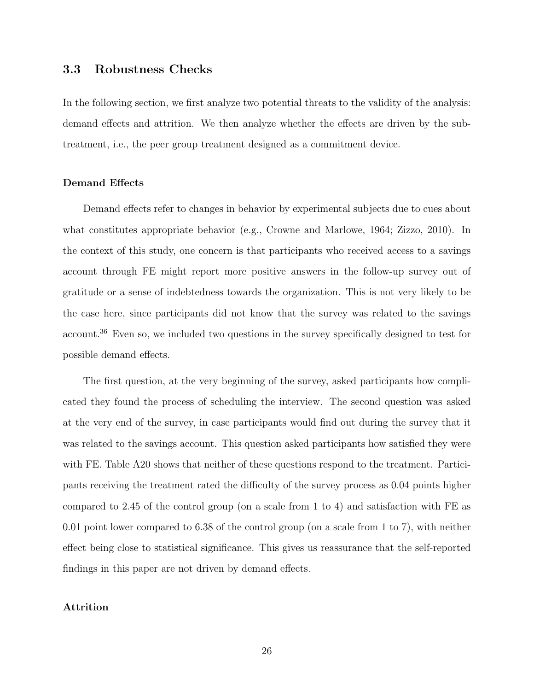### 3.3 Robustness Checks

In the following section, we first analyze two potential threats to the validity of the analysis: demand effects and attrition. We then analyze whether the effects are driven by the subtreatment, i.e., the peer group treatment designed as a commitment device.

#### Demand Effects

Demand effects refer to changes in behavior by experimental subjects due to cues about what constitutes appropriate behavior (e.g., Crowne and Marlowe, 1964; Zizzo, 2010). In the context of this study, one concern is that participants who received access to a savings account through FE might report more positive answers in the follow-up survey out of gratitude or a sense of indebtedness towards the organization. This is not very likely to be the case here, since participants did not know that the survey was related to the savings account.<sup>36</sup> Even so, we included two questions in the survey specifically designed to test for possible demand effects.

The first question, at the very beginning of the survey, asked participants how complicated they found the process of scheduling the interview. The second question was asked at the very end of the survey, in case participants would find out during the survey that it was related to the savings account. This question asked participants how satisfied they were with FE. Table A20 shows that neither of these questions respond to the treatment. Participants receiving the treatment rated the difficulty of the survey process as 0.04 points higher compared to 2.45 of the control group (on a scale from 1 to 4) and satisfaction with FE as 0.01 point lower compared to 6.38 of the control group (on a scale from 1 to 7), with neither effect being close to statistical significance. This gives us reassurance that the self-reported findings in this paper are not driven by demand effects.

#### Attrition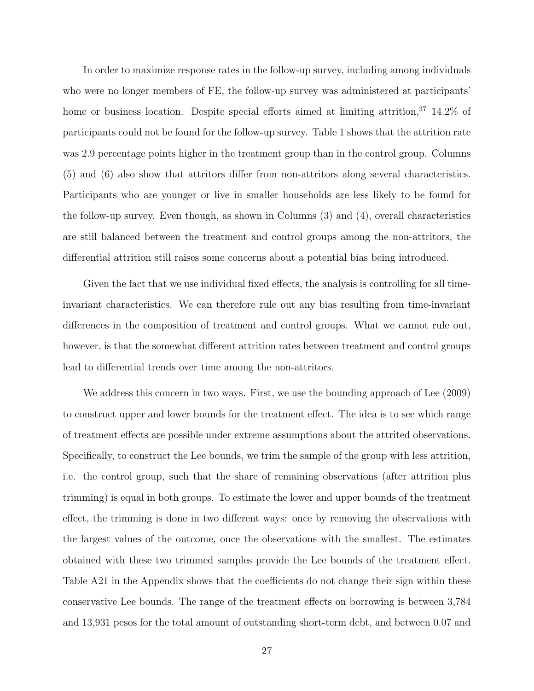In order to maximize response rates in the follow-up survey, including among individuals who were no longer members of FE, the follow-up survey was administered at participants' home or business location. Despite special efforts aimed at limiting attrition,<sup>37</sup> 14.2% of participants could not be found for the follow-up survey. Table 1 shows that the attrition rate was 2.9 percentage points higher in the treatment group than in the control group. Columns (5) and (6) also show that attritors differ from non-attritors along several characteristics. Participants who are younger or live in smaller households are less likely to be found for the follow-up survey. Even though, as shown in Columns (3) and (4), overall characteristics are still balanced between the treatment and control groups among the non-attritors, the differential attrition still raises some concerns about a potential bias being introduced.

Given the fact that we use individual fixed effects, the analysis is controlling for all timeinvariant characteristics. We can therefore rule out any bias resulting from time-invariant differences in the composition of treatment and control groups. What we cannot rule out, however, is that the somewhat different attrition rates between treatment and control groups lead to differential trends over time among the non-attritors.

We address this concern in two ways. First, we use the bounding approach of Lee (2009) to construct upper and lower bounds for the treatment effect. The idea is to see which range of treatment effects are possible under extreme assumptions about the attrited observations. Specifically, to construct the Lee bounds, we trim the sample of the group with less attrition, i.e. the control group, such that the share of remaining observations (after attrition plus trimming) is equal in both groups. To estimate the lower and upper bounds of the treatment effect, the trimming is done in two different ways: once by removing the observations with the largest values of the outcome, once the observations with the smallest. The estimates obtained with these two trimmed samples provide the Lee bounds of the treatment effect. Table A21 in the Appendix shows that the coefficients do not change their sign within these conservative Lee bounds. The range of the treatment effects on borrowing is between 3,784 and 13,931 pesos for the total amount of outstanding short-term debt, and between 0.07 and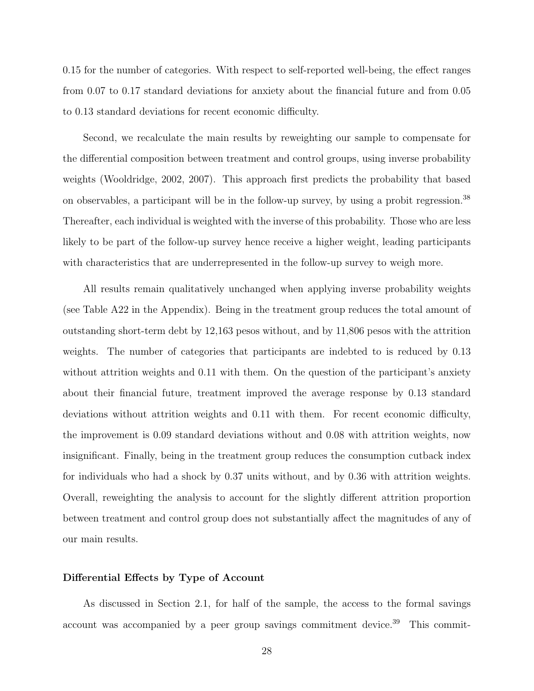0.15 for the number of categories. With respect to self-reported well-being, the effect ranges from 0.07 to 0.17 standard deviations for anxiety about the financial future and from 0.05 to 0.13 standard deviations for recent economic difficulty.

Second, we recalculate the main results by reweighting our sample to compensate for the differential composition between treatment and control groups, using inverse probability weights (Wooldridge, 2002, 2007). This approach first predicts the probability that based on observables, a participant will be in the follow-up survey, by using a probit regression.<sup>38</sup> Thereafter, each individual is weighted with the inverse of this probability. Those who are less likely to be part of the follow-up survey hence receive a higher weight, leading participants with characteristics that are underrepresented in the follow-up survey to weigh more.

All results remain qualitatively unchanged when applying inverse probability weights (see Table A22 in the Appendix). Being in the treatment group reduces the total amount of outstanding short-term debt by 12,163 pesos without, and by 11,806 pesos with the attrition weights. The number of categories that participants are indebted to is reduced by 0.13 without attrition weights and 0.11 with them. On the question of the participant's anxiety about their financial future, treatment improved the average response by 0.13 standard deviations without attrition weights and 0.11 with them. For recent economic difficulty, the improvement is 0.09 standard deviations without and 0.08 with attrition weights, now insignificant. Finally, being in the treatment group reduces the consumption cutback index for individuals who had a shock by 0.37 units without, and by 0.36 with attrition weights. Overall, reweighting the analysis to account for the slightly different attrition proportion between treatment and control group does not substantially affect the magnitudes of any of our main results.

#### Differential Effects by Type of Account

As discussed in Section 2.1, for half of the sample, the access to the formal savings account was accompanied by a peer group savings commitment device.<sup>39</sup> This commit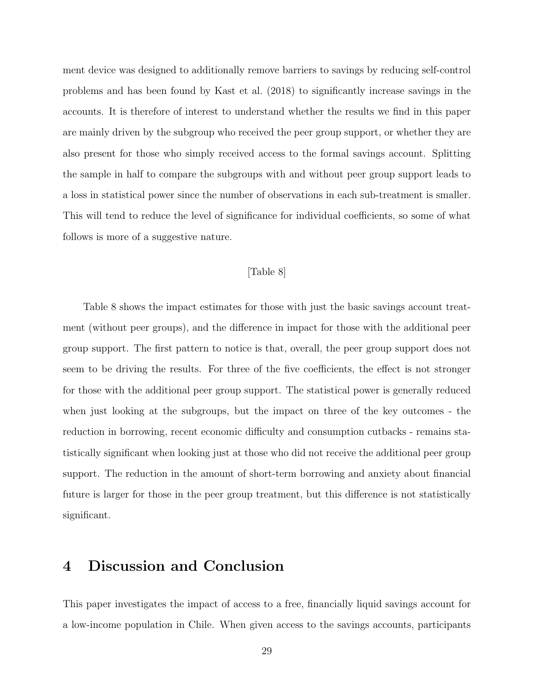ment device was designed to additionally remove barriers to savings by reducing self-control problems and has been found by Kast et al. (2018) to significantly increase savings in the accounts. It is therefore of interest to understand whether the results we find in this paper are mainly driven by the subgroup who received the peer group support, or whether they are also present for those who simply received access to the formal savings account. Splitting the sample in half to compare the subgroups with and without peer group support leads to a loss in statistical power since the number of observations in each sub-treatment is smaller. This will tend to reduce the level of significance for individual coefficients, so some of what follows is more of a suggestive nature.

#### [Table 8]

Table 8 shows the impact estimates for those with just the basic savings account treatment (without peer groups), and the difference in impact for those with the additional peer group support. The first pattern to notice is that, overall, the peer group support does not seem to be driving the results. For three of the five coefficients, the effect is not stronger for those with the additional peer group support. The statistical power is generally reduced when just looking at the subgroups, but the impact on three of the key outcomes - the reduction in borrowing, recent economic difficulty and consumption cutbacks - remains statistically significant when looking just at those who did not receive the additional peer group support. The reduction in the amount of short-term borrowing and anxiety about financial future is larger for those in the peer group treatment, but this difference is not statistically significant.

# 4 Discussion and Conclusion

This paper investigates the impact of access to a free, financially liquid savings account for a low-income population in Chile. When given access to the savings accounts, participants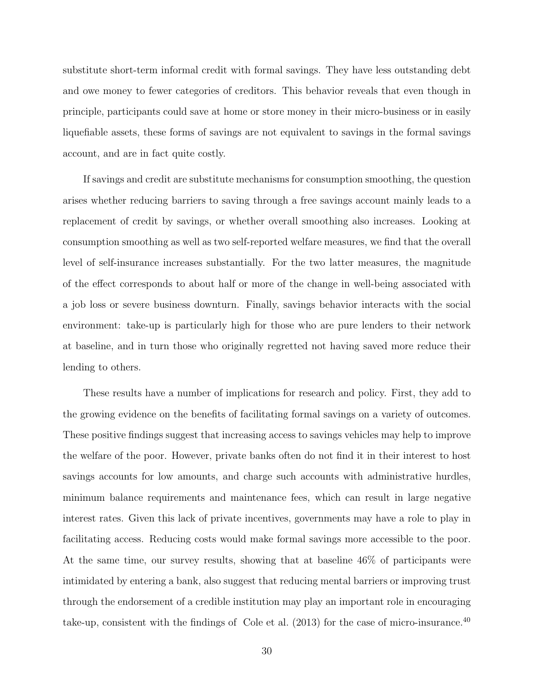substitute short-term informal credit with formal savings. They have less outstanding debt and owe money to fewer categories of creditors. This behavior reveals that even though in principle, participants could save at home or store money in their micro-business or in easily liquefiable assets, these forms of savings are not equivalent to savings in the formal savings account, and are in fact quite costly.

If savings and credit are substitute mechanisms for consumption smoothing, the question arises whether reducing barriers to saving through a free savings account mainly leads to a replacement of credit by savings, or whether overall smoothing also increases. Looking at consumption smoothing as well as two self-reported welfare measures, we find that the overall level of self-insurance increases substantially. For the two latter measures, the magnitude of the effect corresponds to about half or more of the change in well-being associated with a job loss or severe business downturn. Finally, savings behavior interacts with the social environment: take-up is particularly high for those who are pure lenders to their network at baseline, and in turn those who originally regretted not having saved more reduce their lending to others.

These results have a number of implications for research and policy. First, they add to the growing evidence on the benefits of facilitating formal savings on a variety of outcomes. These positive findings suggest that increasing access to savings vehicles may help to improve the welfare of the poor. However, private banks often do not find it in their interest to host savings accounts for low amounts, and charge such accounts with administrative hurdles, minimum balance requirements and maintenance fees, which can result in large negative interest rates. Given this lack of private incentives, governments may have a role to play in facilitating access. Reducing costs would make formal savings more accessible to the poor. At the same time, our survey results, showing that at baseline 46% of participants were intimidated by entering a bank, also suggest that reducing mental barriers or improving trust through the endorsement of a credible institution may play an important role in encouraging take-up, consistent with the findings of Cole et al.  $(2013)$  for the case of micro-insurance.<sup>40</sup>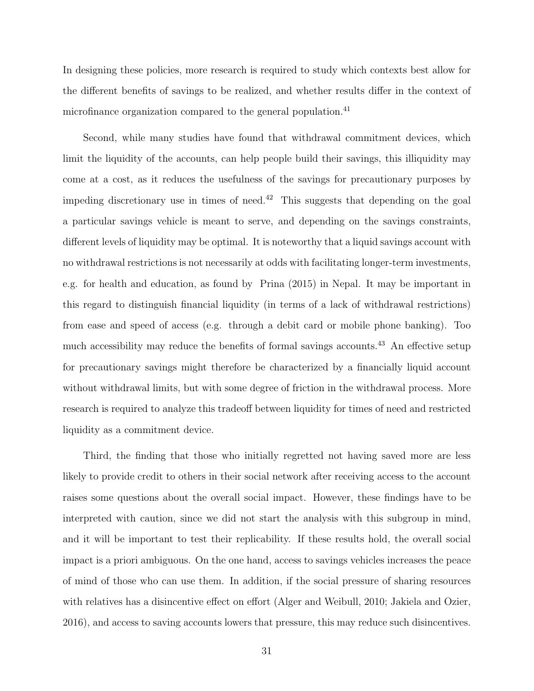In designing these policies, more research is required to study which contexts best allow for the different benefits of savings to be realized, and whether results differ in the context of microfinance organization compared to the general population.<sup>41</sup>

Second, while many studies have found that withdrawal commitment devices, which limit the liquidity of the accounts, can help people build their savings, this illiquidity may come at a cost, as it reduces the usefulness of the savings for precautionary purposes by impeding discretionary use in times of need.<sup>42</sup> This suggests that depending on the goal a particular savings vehicle is meant to serve, and depending on the savings constraints, different levels of liquidity may be optimal. It is noteworthy that a liquid savings account with no withdrawal restrictions is not necessarily at odds with facilitating longer-term investments, e.g. for health and education, as found by Prina (2015) in Nepal. It may be important in this regard to distinguish financial liquidity (in terms of a lack of withdrawal restrictions) from ease and speed of access (e.g. through a debit card or mobile phone banking). Too much accessibility may reduce the benefits of formal savings accounts.<sup>43</sup> An effective setup for precautionary savings might therefore be characterized by a financially liquid account without withdrawal limits, but with some degree of friction in the withdrawal process. More research is required to analyze this tradeoff between liquidity for times of need and restricted liquidity as a commitment device.

Third, the finding that those who initially regretted not having saved more are less likely to provide credit to others in their social network after receiving access to the account raises some questions about the overall social impact. However, these findings have to be interpreted with caution, since we did not start the analysis with this subgroup in mind, and it will be important to test their replicability. If these results hold, the overall social impact is a priori ambiguous. On the one hand, access to savings vehicles increases the peace of mind of those who can use them. In addition, if the social pressure of sharing resources with relatives has a disincentive effect on effort (Alger and Weibull, 2010; Jakiela and Ozier, 2016), and access to saving accounts lowers that pressure, this may reduce such disincentives.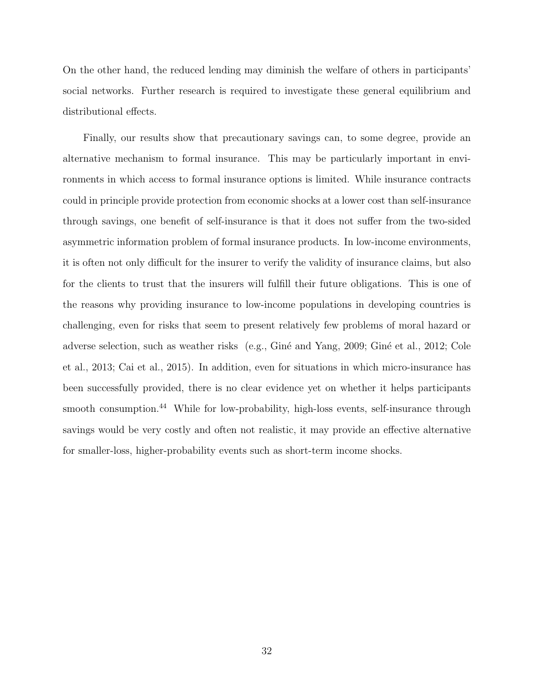On the other hand, the reduced lending may diminish the welfare of others in participants' social networks. Further research is required to investigate these general equilibrium and distributional effects.

Finally, our results show that precautionary savings can, to some degree, provide an alternative mechanism to formal insurance. This may be particularly important in environments in which access to formal insurance options is limited. While insurance contracts could in principle provide protection from economic shocks at a lower cost than self-insurance through savings, one benefit of self-insurance is that it does not suffer from the two-sided asymmetric information problem of formal insurance products. In low-income environments, it is often not only difficult for the insurer to verify the validity of insurance claims, but also for the clients to trust that the insurers will fulfill their future obligations. This is one of the reasons why providing insurance to low-income populations in developing countries is challenging, even for risks that seem to present relatively few problems of moral hazard or adverse selection, such as weather risks (e.g., Giné and Yang, 2009; Giné et al., 2012; Cole et al., 2013; Cai et al., 2015). In addition, even for situations in which micro-insurance has been successfully provided, there is no clear evidence yet on whether it helps participants smooth consumption.<sup>44</sup> While for low-probability, high-loss events, self-insurance through savings would be very costly and often not realistic, it may provide an effective alternative for smaller-loss, higher-probability events such as short-term income shocks.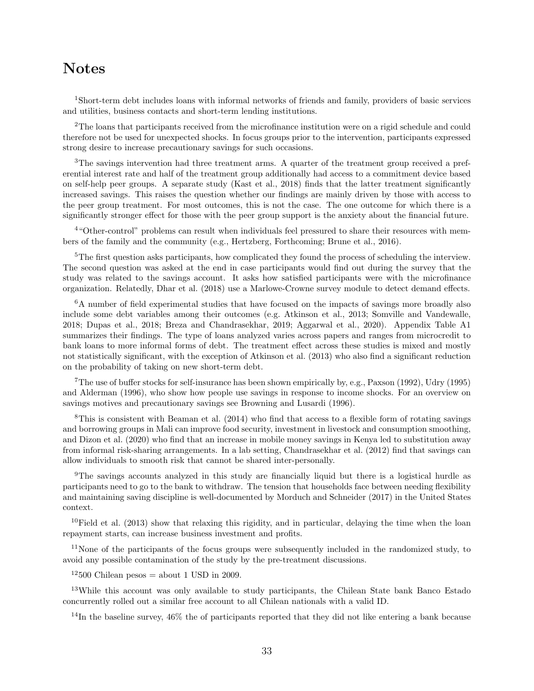# Notes

<sup>1</sup>Short-term debt includes loans with informal networks of friends and family, providers of basic services and utilities, business contacts and short-term lending institutions.

<sup>2</sup>The loans that participants received from the microfinance institution were on a rigid schedule and could therefore not be used for unexpected shocks. In focus groups prior to the intervention, participants expressed strong desire to increase precautionary savings for such occasions.

<sup>3</sup>The savings intervention had three treatment arms. A quarter of the treatment group received a preferential interest rate and half of the treatment group additionally had access to a commitment device based on self-help peer groups. A separate study (Kast et al., 2018) finds that the latter treatment significantly increased savings. This raises the question whether our findings are mainly driven by those with access to the peer group treatment. For most outcomes, this is not the case. The one outcome for which there is a significantly stronger effect for those with the peer group support is the anxiety about the financial future.

<sup>4</sup>"Other-control" problems can result when individuals feel pressured to share their resources with members of the family and the community (e.g., Hertzberg, Forthcoming; Brune et al., 2016).

<sup>5</sup>The first question asks participants, how complicated they found the process of scheduling the interview. The second question was asked at the end in case participants would find out during the survey that the study was related to the savings account. It asks how satisfied participants were with the microfinance organization. Relatedly, Dhar et al. (2018) use a Marlowe-Crowne survey module to detect demand effects.

<sup>6</sup>A number of field experimental studies that have focused on the impacts of savings more broadly also include some debt variables among their outcomes (e.g. Atkinson et al., 2013; Somville and Vandewalle, 2018; Dupas et al., 2018; Breza and Chandrasekhar, 2019; Aggarwal et al., 2020). Appendix Table A1 summarizes their findings. The type of loans analyzed varies across papers and ranges from microcredit to bank loans to more informal forms of debt. The treatment effect across these studies is mixed and mostly not statistically significant, with the exception of Atkinson et al. (2013) who also find a significant reduction on the probability of taking on new short-term debt.

<sup>7</sup>The use of buffer stocks for self-insurance has been shown empirically by, e.g., Paxson (1992), Udry (1995) and Alderman (1996), who show how people use savings in response to income shocks. For an overview on savings motives and precautionary savings see Browning and Lusardi (1996).

<sup>8</sup>This is consistent with Beaman et al.  $(2014)$  who find that access to a flexible form of rotating savings and borrowing groups in Mali can improve food security, investment in livestock and consumption smoothing, and Dizon et al. (2020) who find that an increase in mobile money savings in Kenya led to substitution away from informal risk-sharing arrangements. In a lab setting, Chandrasekhar et al. (2012) find that savings can allow individuals to smooth risk that cannot be shared inter-personally.

<sup>9</sup>The savings accounts analyzed in this study are financially liquid but there is a logistical hurdle as participants need to go to the bank to withdraw. The tension that households face between needing flexibility and maintaining saving discipline is well-documented by Morduch and Schneider (2017) in the United States context.

<sup>10</sup>Field et al. (2013) show that relaxing this rigidity, and in particular, delaying the time when the loan repayment starts, can increase business investment and profits.

 $11$ None of the participants of the focus groups were subsequently included in the randomized study, to avoid any possible contamination of the study by the pre-treatment discussions.

 $12500$  Chilean pesos = about 1 USD in 2009.

<sup>13</sup>While this account was only available to study participants, the Chilean State bank Banco Estado concurrently rolled out a similar free account to all Chilean nationals with a valid ID.

<sup>14</sup>In the baseline survey,  $46\%$  the of participants reported that they did not like entering a bank because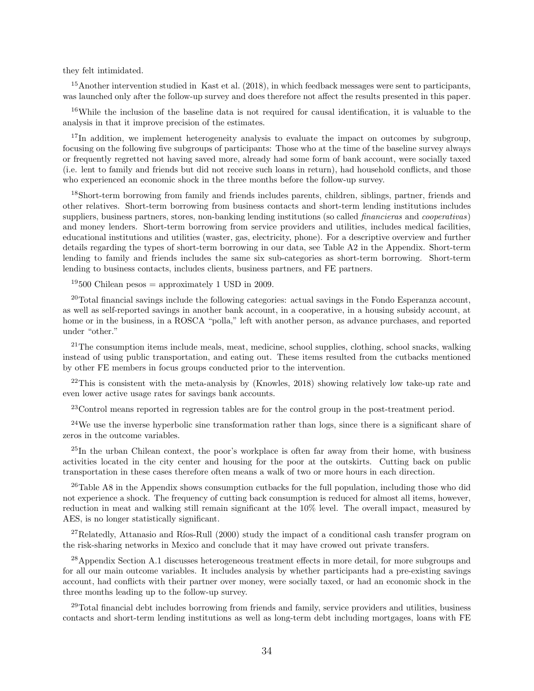they felt intimidated.

 $15$ Another intervention studied in Kast et al. (2018), in which feedback messages were sent to participants, was launched only after the follow-up survey and does therefore not affect the results presented in this paper.

<sup>16</sup>While the inclusion of the baseline data is not required for causal identification, it is valuable to the analysis in that it improve precision of the estimates.

 $17$ In addition, we implement heterogeneity analysis to evaluate the impact on outcomes by subgroup, focusing on the following five subgroups of participants: Those who at the time of the baseline survey always or frequently regretted not having saved more, already had some form of bank account, were socially taxed (i.e. lent to family and friends but did not receive such loans in return), had household conflicts, and those who experienced an economic shock in the three months before the follow-up survey.

<sup>18</sup>Short-term borrowing from family and friends includes parents, children, siblings, partner, friends and other relatives. Short-term borrowing from business contacts and short-term lending institutions includes suppliers, business partners, stores, non-banking lending institutions (so called *financieras* and *cooperativas*) and money lenders. Short-term borrowing from service providers and utilities, includes medical facilities, educational institutions and utilities (waster, gas, electricity, phone). For a descriptive overview and further details regarding the types of short-term borrowing in our data, see Table A2 in the Appendix. Short-term lending to family and friends includes the same six sub-categories as short-term borrowing. Short-term lending to business contacts, includes clients, business partners, and FE partners.

 $19500$  Chilean pesos = approximately 1 USD in 2009.

 $^{20}$ Total financial savings include the following categories: actual savings in the Fondo Esperanza account, as well as self-reported savings in another bank account, in a cooperative, in a housing subsidy account, at home or in the business, in a ROSCA "polla," left with another person, as advance purchases, and reported under "other."

 $^{21}$ The consumption items include meals, meat, medicine, school supplies, clothing, school snacks, walking instead of using public transportation, and eating out. These items resulted from the cutbacks mentioned by other FE members in focus groups conducted prior to the intervention.

 $22$ This is consistent with the meta-analysis by (Knowles, 2018) showing relatively low take-up rate and even lower active usage rates for savings bank accounts.

<sup>23</sup>Control means reported in regression tables are for the control group in the post-treatment period.

 $^{24}$ We use the inverse hyperbolic sine transformation rather than logs, since there is a significant share of zeros in the outcome variables.

 $^{25}$ In the urban Chilean context, the poor's workplace is often far away from their home, with business activities located in the city center and housing for the poor at the outskirts. Cutting back on public transportation in these cases therefore often means a walk of two or more hours in each direction.

 $26$ Table A8 in the Appendix shows consumption cutbacks for the full population, including those who did not experience a shock. The frequency of cutting back consumption is reduced for almost all items, however, reduction in meat and walking still remain significant at the 10% level. The overall impact, measured by AES, is no longer statistically significant.

<sup>27</sup>Relatedly, Attanasio and Ríos-Rull (2000) study the impact of a conditional cash transfer program on the risk-sharing networks in Mexico and conclude that it may have crowed out private transfers.

<sup>28</sup>Appendix Section A.1 discusses heterogeneous treatment effects in more detail, for more subgroups and for all our main outcome variables. It includes analysis by whether participants had a pre-existing savings account, had conflicts with their partner over money, were socially taxed, or had an economic shock in the three months leading up to the follow-up survey.

<sup>29</sup>Total financial debt includes borrowing from friends and family, service providers and utilities, business contacts and short-term lending institutions as well as long-term debt including mortgages, loans with FE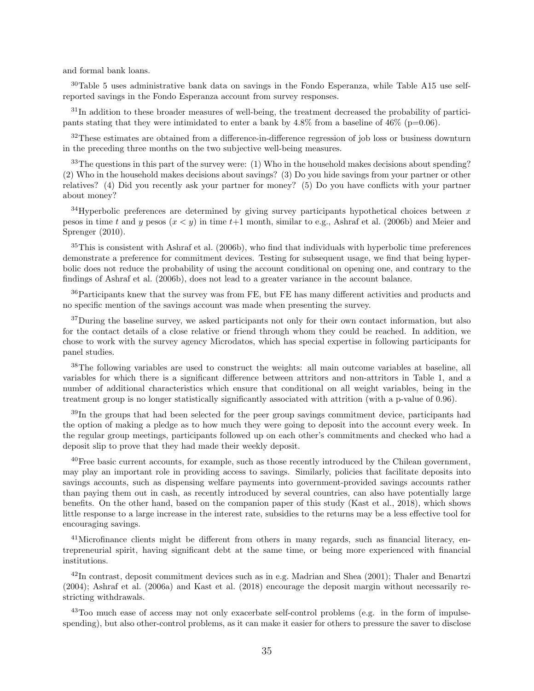and formal bank loans.

 $30$ Table 5 uses administrative bank data on savings in the Fondo Esperanza, while Table A15 use selfreported savings in the Fondo Esperanza account from survey responses.

 $31$ In addition to these broader measures of well-being, the treatment decreased the probability of participants stating that they were intimidated to enter a bank by  $4.8\%$  from a baseline of  $46\%$  (p=0.06).

 $32$ These estimates are obtained from a difference-in-difference regression of job loss or business downturn in the preceding three months on the two subjective well-being measures.

 $33$ The questions in this part of the survey were: (1) Who in the household makes decisions about spending? (2) Who in the household makes decisions about savings? (3) Do you hide savings from your partner or other relatives? (4) Did you recently ask your partner for money? (5) Do you have conflicts with your partner about money?

<sup>34</sup>Hyperbolic preferences are determined by giving survey participants hypothetical choices between x pesos in time t and y pesos  $(x < y)$  in time t+1 month, similar to e.g., Ashraf et al. (2006b) and Meier and Sprenger (2010).

 $35$ This is consistent with Ashraf et al. (2006b), who find that individuals with hyperbolic time preferences demonstrate a preference for commitment devices. Testing for subsequent usage, we find that being hyperbolic does not reduce the probability of using the account conditional on opening one, and contrary to the findings of Ashraf et al. (2006b), does not lead to a greater variance in the account balance.

<sup>36</sup>Participants knew that the survey was from FE, but FE has many different activities and products and no specific mention of the savings account was made when presenting the survey.

<sup>37</sup>During the baseline survey, we asked participants not only for their own contact information, but also for the contact details of a close relative or friend through whom they could be reached. In addition, we chose to work with the survey agency Microdatos, which has special expertise in following participants for panel studies.

<sup>38</sup>The following variables are used to construct the weights: all main outcome variables at baseline, all variables for which there is a significant difference between attritors and non-attritors in Table 1, and a number of additional characteristics which ensure that conditional on all weight variables, being in the treatment group is no longer statistically significantly associated with attrition (with a p-value of 0.96).

<sup>39</sup>In the groups that had been selected for the peer group savings commitment device, participants had the option of making a pledge as to how much they were going to deposit into the account every week. In the regular group meetings, participants followed up on each other's commitments and checked who had a deposit slip to prove that they had made their weekly deposit.

 $^{40}$  Free basic current accounts, for example, such as those recently introduced by the Chilean government, may play an important role in providing access to savings. Similarly, policies that facilitate deposits into savings accounts, such as dispensing welfare payments into government-provided savings accounts rather than paying them out in cash, as recently introduced by several countries, can also have potentially large benefits. On the other hand, based on the companion paper of this study (Kast et al., 2018), which shows little response to a large increase in the interest rate, subsidies to the returns may be a less effective tool for encouraging savings.

<sup>41</sup>Microfinance clients might be different from others in many regards, such as financial literacy, entrepreneurial spirit, having significant debt at the same time, or being more experienced with financial institutions.

 $^{42}$ In contrast, deposit commitment devices such as in e.g. Madrian and Shea (2001); Thaler and Benartzi (2004); Ashraf et al. (2006a) and Kast et al. (2018) encourage the deposit margin without necessarily restricting withdrawals.

<sup>43</sup>Too much ease of access may not only exacerbate self-control problems (e.g. in the form of impulsespending), but also other-control problems, as it can make it easier for others to pressure the saver to disclose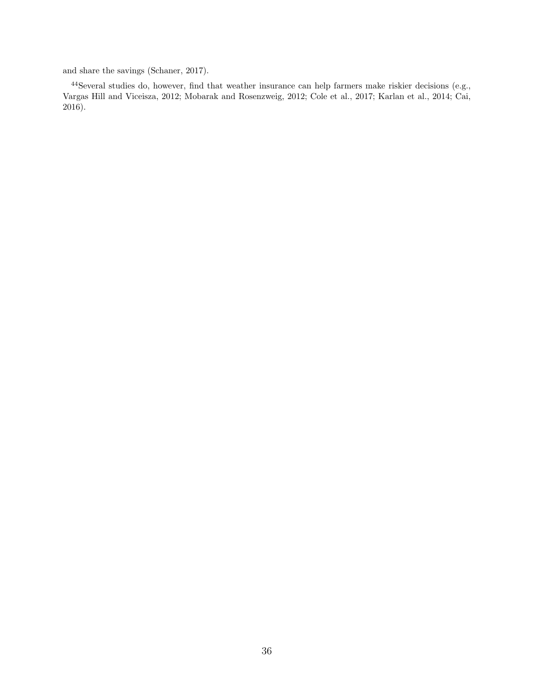and share the savings (Schaner, 2017).

<sup>44</sup>Several studies do, however, find that weather insurance can help farmers make riskier decisions (e.g., Vargas Hill and Viceisza, 2012; Mobarak and Rosenzweig, 2012; Cole et al., 2017; Karlan et al., 2014; Cai, 2016).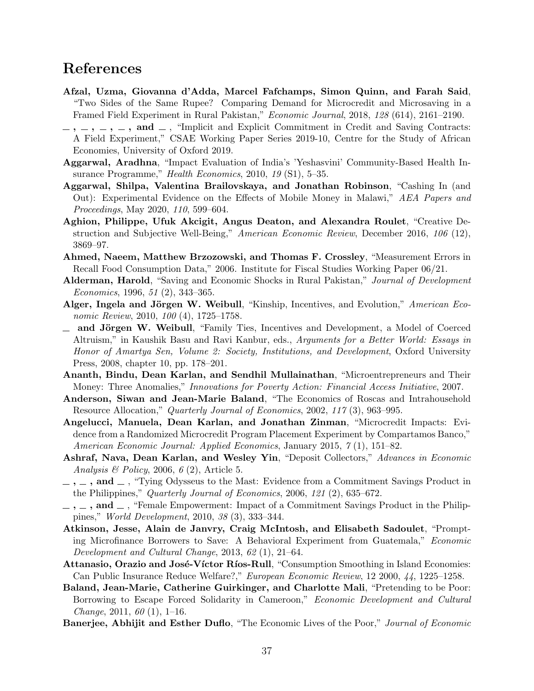## References

- Afzal, Uzma, Giovanna d'Adda, Marcel Fafchamps, Simon Quinn, and Farah Said, "Two Sides of the Same Rupee? Comparing Demand for Microcredit and Microsaving in a Framed Field Experiment in Rural Pakistan," Economic Journal, 2018, 128 (614), 2161–2190.
- $\lambda_1$ ,  $\lambda_2$ ,  $\lambda_3$ ,  $\lambda_4$ ,  $\lambda_5$  and  $\lambda_6$ . "Implicit and Explicit Commitment in Credit and Saving Contracts: A Field Experiment," CSAE Working Paper Series 2019-10, Centre for the Study of African Economies, University of Oxford 2019.
- Aggarwal, Aradhna, "Impact Evaluation of India's 'Yeshasvini' Community-Based Health Insurance Programme," Health Economics, 2010, 19 (S1), 5–35.
- Aggarwal, Shilpa, Valentina Brailovskaya, and Jonathan Robinson, "Cashing In (and Out): Experimental Evidence on the Effects of Mobile Money in Malawi," AEA Papers and Proceedings, May 2020, 110, 599–604.
- Aghion, Philippe, Ufuk Akcigit, Angus Deaton, and Alexandra Roulet, "Creative Destruction and Subjective Well-Being," American Economic Review, December 2016, 106 (12), 3869–97.
- Ahmed, Naeem, Matthew Brzozowski, and Thomas F. Crossley, "Measurement Errors in Recall Food Consumption Data," 2006. Institute for Fiscal Studies Working Paper 06/21.
- Alderman, Harold, "Saving and Economic Shocks in Rural Pakistan," Journal of Development Economics, 1996, 51 (2), 343–365.
- Alger, Ingela and Jörgen W. Weibull, "Kinship, Incentives, and Evolution," American Economic Review, 2010, 100 (4), 1725–1758.
- $\equiv$  and Jörgen W. Weibull, "Family Ties, Incentives and Development, a Model of Coerced Altruism," in Kaushik Basu and Ravi Kanbur, eds., Arguments for a Better World: Essays in Honor of Amartya Sen, Volume 2: Society, Institutions, and Development, Oxford University Press, 2008, chapter 10, pp. 178–201.
- Ananth, Bindu, Dean Karlan, and Sendhil Mullainathan, "Microentrepreneurs and Their Money: Three Anomalies," Innovations for Poverty Action: Financial Access Initiative, 2007.
- Anderson, Siwan and Jean-Marie Baland, "The Economics of Roscas and Intrahousehold Resource Allocation," Quarterly Journal of Economics, 2002, 117 (3), 963–995.
- Angelucci, Manuela, Dean Karlan, and Jonathan Zinman, "Microcredit Impacts: Evidence from a Randomized Microcredit Program Placement Experiment by Compartamos Banco," American Economic Journal: Applied Economics, January 2015, 7 (1), 151–82.
- Ashraf, Nava, Dean Karlan, and Wesley Yin, "Deposit Collectors," Advances in Economic Analysis & Policy, 2006, 6 (2), Article 5.
- $\ldots$ ,  $\ldots$ , and  $\ldots$ , "Tying Odysseus to the Mast: Evidence from a Commitment Savings Product in the Philippines," Quarterly Journal of Economics, 2006, 121 (2), 635–672.
- $\ldots$ , and  $\ldots$ , "Female Empowerment: Impact of a Commitment Savings Product in the Philippines," World Development, 2010, 38 (3), 333–344.
- Atkinson, Jesse, Alain de Janvry, Craig McIntosh, and Elisabeth Sadoulet, "Prompting Microfinance Borrowers to Save: A Behavioral Experiment from Guatemala," Economic Development and Cultural Change, 2013, 62 (1), 21–64.
- Attanasio, Orazio and José-Víctor Ríos-Rull, "Consumption Smoothing in Island Economies: Can Public Insurance Reduce Welfare?," European Economic Review, 12 2000, 44, 1225–1258.
- Baland, Jean-Marie, Catherine Guirkinger, and Charlotte Mali, "Pretending to be Poor: Borrowing to Escape Forced Solidarity in Cameroon," Economic Development and Cultural Change, 2011,  $60(1)$ , 1-16.
- Banerjee, Abhijit and Esther Duflo, "The Economic Lives of the Poor," Journal of Economic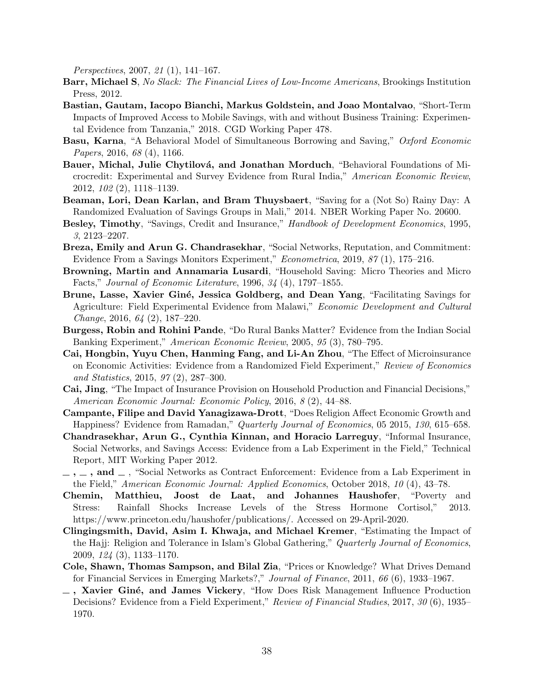Perspectives, 2007, 21 (1), 141–167.

- Barr, Michael S, No Slack: The Financial Lives of Low-Income Americans, Brookings Institution Press, 2012.
- Bastian, Gautam, Iacopo Bianchi, Markus Goldstein, and Joao Montalvao, "Short-Term Impacts of Improved Access to Mobile Savings, with and without Business Training: Experimental Evidence from Tanzania," 2018. CGD Working Paper 478.
- Basu, Karna, "A Behavioral Model of Simultaneous Borrowing and Saving," Oxford Economic Papers, 2016, 68 (4), 1166.
- Bauer, Michal, Julie Chytilová, and Jonathan Morduch, "Behavioral Foundations of Microcredit: Experimental and Survey Evidence from Rural India," American Economic Review, 2012, 102 (2), 1118–1139.
- Beaman, Lori, Dean Karlan, and Bram Thuysbaert, "Saving for a (Not So) Rainy Day: A Randomized Evaluation of Savings Groups in Mali," 2014. NBER Working Paper No. 20600.
- Besley, Timothy, "Savings, Credit and Insurance," Handbook of Development Economics, 1995, 3, 2123–2207.
- Breza, Emily and Arun G. Chandrasekhar, "Social Networks, Reputation, and Commitment: Evidence From a Savings Monitors Experiment," Econometrica, 2019, 87 (1), 175–216.
- Browning, Martin and Annamaria Lusardi, "Household Saving: Micro Theories and Micro Facts," Journal of Economic Literature, 1996, 34 (4), 1797–1855.
- Brune, Lasse, Xavier Giné, Jessica Goldberg, and Dean Yang, "Facilitating Savings for Agriculture: Field Experimental Evidence from Malawi," Economic Development and Cultural Change, 2016, 64 (2), 187–220.
- Burgess, Robin and Rohini Pande, "Do Rural Banks Matter? Evidence from the Indian Social Banking Experiment," American Economic Review, 2005, 95 (3), 780–795.
- Cai, Hongbin, Yuyu Chen, Hanming Fang, and Li-An Zhou, "The Effect of Microinsurance on Economic Activities: Evidence from a Randomized Field Experiment," Review of Economics and Statistics, 2015, 97 (2), 287–300.
- Cai, Jing, "The Impact of Insurance Provision on Household Production and Financial Decisions," American Economic Journal: Economic Policy, 2016, 8 (2), 44–88.
- Campante, Filipe and David Yanagizawa-Drott, "Does Religion Affect Economic Growth and Happiness? Evidence from Ramadan," Quarterly Journal of Economics, 05 2015, 130, 615–658.
- Chandrasekhar, Arun G., Cynthia Kinnan, and Horacio Larreguy, "Informal Insurance, Social Networks, and Savings Access: Evidence from a Lab Experiment in the Field," Technical Report, MIT Working Paper 2012.
- $\ldots$ , and  $\ldots$ , "Social Networks as Contract Enforcement: Evidence from a Lab Experiment in the Field," American Economic Journal: Applied Economics, October 2018, 10 (4), 43–78.
- Chemin, Matthieu, Joost de Laat, and Johannes Haushofer, "Poverty and Stress: Rainfall Shocks Increase Levels of the Stress Hormone Cortisol," 2013. https://www.princeton.edu/haushofer/publications/. Accessed on 29-April-2020.
- Clingingsmith, David, Asim I. Khwaja, and Michael Kremer, "Estimating the Impact of the Hajj: Religion and Tolerance in Islam's Global Gathering," Quarterly Journal of Economics, 2009, 124 (3), 1133–1170.
- Cole, Shawn, Thomas Sampson, and Bilal Zia, "Prices or Knowledge? What Drives Demand for Financial Services in Emerging Markets?," Journal of Finance, 2011, 66 (6), 1933–1967.
- $\overline{\phantom{a}}$ , Xavier Giné, and James Vickery, "How Does Risk Management Influence Production Decisions? Evidence from a Field Experiment," Review of Financial Studies, 2017, 30 (6), 1935– 1970.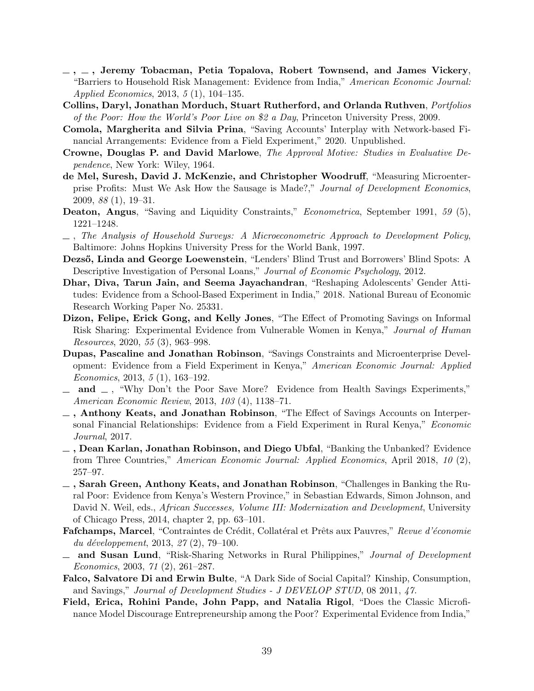- $-$ ,  $-$ , Jeremy Tobacman, Petia Topalova, Robert Townsend, and James Vickery, "Barriers to Household Risk Management: Evidence from India," American Economic Journal: Applied Economics, 2013, 5 (1), 104–135.
- Collins, Daryl, Jonathan Morduch, Stuart Rutherford, and Orlanda Ruthven, Portfolios of the Poor: How the World's Poor Live on \$2 a Day, Princeton University Press, 2009.
- Comola, Margherita and Silvia Prina, "Saving Accounts' Interplay with Network-based Financial Arrangements: Evidence from a Field Experiment," 2020. Unpublished.
- Crowne, Douglas P. and David Marlowe, The Approval Motive: Studies in Evaluative Dependence, New York: Wiley, 1964.
- de Mel, Suresh, David J. McKenzie, and Christopher Woodruff, "Measuring Microenterprise Profits: Must We Ask How the Sausage is Made?," Journal of Development Economics, 2009, 88 (1), 19–31.
- Deaton, Angus, "Saving and Liquidity Constraints," *Econometrica*, September 1991, 59 (5), 1221–1248.
- $\Box$ , The Analysis of Household Surveys: A Microeconometric Approach to Development Policy, Baltimore: Johns Hopkins University Press for the World Bank, 1997.
- Dezső, Linda and George Loewenstein, "Lenders' Blind Trust and Borrowers' Blind Spots: A Descriptive Investigation of Personal Loans," Journal of Economic Psychology, 2012.
- Dhar, Diva, Tarun Jain, and Seema Jayachandran, "Reshaping Adolescents' Gender Attitudes: Evidence from a School-Based Experiment in India," 2018. National Bureau of Economic Research Working Paper No. 25331.
- Dizon, Felipe, Erick Gong, and Kelly Jones, "The Effect of Promoting Savings on Informal Risk Sharing: Experimental Evidence from Vulnerable Women in Kenya," Journal of Human Resources, 2020, 55 (3), 963–998.
- Dupas, Pascaline and Jonathan Robinson, "Savings Constraints and Microenterprise Development: Evidence from a Field Experiment in Kenya," American Economic Journal: Applied Economics, 2013, 5 (1), 163–192.
- $\Box$  and  $\Box$ , "Why Don't the Poor Save More? Evidence from Health Savings Experiments," American Economic Review, 2013, 103 (4), 1138–71.
- $\overline{\phantom{a}}$ , Anthony Keats, and Jonathan Robinson, "The Effect of Savings Accounts on Interpersonal Financial Relationships: Evidence from a Field Experiment in Rural Kenya," Economic Journal, 2017.
- $\Box$ , Dean Karlan, Jonathan Robinson, and Diego Ubfal, "Banking the Unbanked? Evidence from Three Countries," American Economic Journal: Applied Economics, April 2018, 10 (2), 257–97.
- , Sarah Green, Anthony Keats, and Jonathan Robinson, "Challenges in Banking the Rural Poor: Evidence from Kenya's Western Province," in Sebastian Edwards, Simon Johnson, and David N. Weil, eds., African Successes, Volume III: Modernization and Development, University of Chicago Press, 2014, chapter 2, pp. 63–101.
- Fafchamps, Marcel, "Contraintes de Crédit, Collatéral et Prêts aux Pauvres," Revue d'économie du développement, 2013,  $27(2)$ , 79-100.
- and Susan Lund, "Risk-Sharing Networks in Rural Philippines," Journal of Development Economics, 2003, 71 (2), 261–287.
- Falco, Salvatore Di and Erwin Bulte, "A Dark Side of Social Capital? Kinship, Consumption, and Savings," Journal of Development Studies - J DEVELOP STUD, 08 2011, 47.
- Field, Erica, Rohini Pande, John Papp, and Natalia Rigol, "Does the Classic Microfinance Model Discourage Entrepreneurship among the Poor? Experimental Evidence from India,"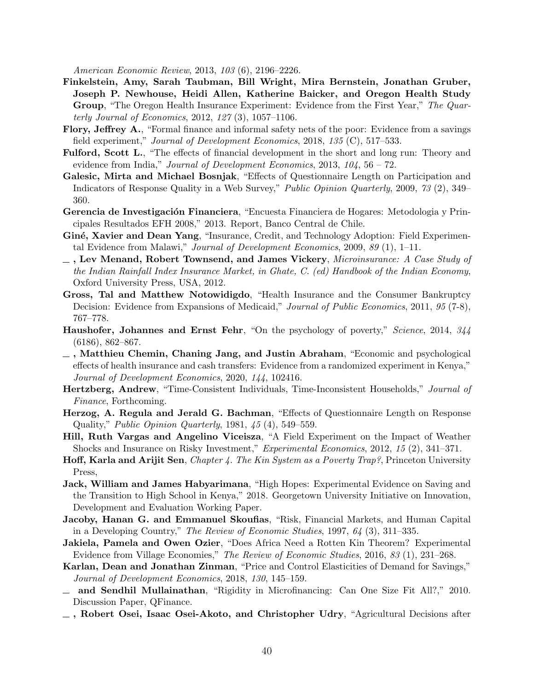American Economic Review, 2013, 103 (6), 2196–2226.

- Finkelstein, Amy, Sarah Taubman, Bill Wright, Mira Bernstein, Jonathan Gruber, Joseph P. Newhouse, Heidi Allen, Katherine Baicker, and Oregon Health Study Group, "The Oregon Health Insurance Experiment: Evidence from the First Year," The Quarterly Journal of Economics, 2012, 127 (3), 1057–1106.
- Flory, Jeffrey A., "Formal finance and informal safety nets of the poor: Evidence from a savings field experiment," Journal of Development Economics, 2018, 135 (C), 517–533.
- Fulford, Scott L., "The effects of financial development in the short and long run: Theory and evidence from India," Journal of Development Economics, 2013,  $104$ , 56 – 72.
- Galesic, Mirta and Michael Bosnjak, "Effects of Questionnaire Length on Participation and Indicators of Response Quality in a Web Survey," Public Opinion Quarterly, 2009, 73 (2), 349– 360.
- Gerencia de Investigación Financiera, "Encuesta Financiera de Hogares: Metodologia y Principales Resultados EFH 2008," 2013. Report, Banco Central de Chile.
- Giné, Xavier and Dean Yang, "Insurance, Credit, and Technology Adoption: Field Experimental Evidence from Malawi," Journal of Development Economics, 2009, 89 (1), 1–11.
- $\Box$ , Lev Menand, Robert Townsend, and James Vickery, *Microinsurance: A Case Study of* the Indian Rainfall Index Insurance Market, in Ghate, C. (ed) Handbook of the Indian Economy, Oxford University Press, USA, 2012.
- Gross, Tal and Matthew Notowidigdo, "Health Insurance and the Consumer Bankruptcy Decision: Evidence from Expansions of Medicaid," Journal of Public Economics, 2011, 95 (7-8), 767–778.
- Haushofer, Johannes and Ernst Fehr, "On the psychology of poverty," Science, 2014, 344 (6186), 862–867.
- $\Box$ , Matthieu Chemin, Chaning Jang, and Justin Abraham, "Economic and psychological effects of health insurance and cash transfers: Evidence from a randomized experiment in Kenya," Journal of Development Economics, 2020, 144, 102416.
- Hertzberg, Andrew, "Time-Consistent Individuals, Time-Inconsistent Households," Journal of Finance, Forthcoming.
- Herzog, A. Regula and Jerald G. Bachman, "Effects of Questionnaire Length on Response Quality," Public Opinion Quarterly, 1981, 45 (4), 549–559.
- Hill, Ruth Vargas and Angelino Viceisza, "A Field Experiment on the Impact of Weather Shocks and Insurance on Risky Investment," Experimental Economics, 2012, 15 (2), 341–371.
- Hoff, Karla and Arijit Sen, Chapter 4. The Kin System as a Poverty Trap?, Princeton University Press,
- Jack, William and James Habyarimana, "High Hopes: Experimental Evidence on Saving and the Transition to High School in Kenya," 2018. Georgetown University Initiative on Innovation, Development and Evaluation Working Paper.
- Jacoby, Hanan G. and Emmanuel Skoufias, "Risk, Financial Markets, and Human Capital in a Developing Country," The Review of Economic Studies, 1997, 64 (3), 311–335.
- Jakiela, Pamela and Owen Ozier, "Does Africa Need a Rotten Kin Theorem? Experimental Evidence from Village Economies," The Review of Economic Studies, 2016, 83 (1), 231–268.
- Karlan, Dean and Jonathan Zinman, "Price and Control Elasticities of Demand for Savings," Journal of Development Economics, 2018, 130, 145–159.
- and Sendhil Mullainathan, "Rigidity in Microfinancing: Can One Size Fit All?," 2010. Discussion Paper, QFinance.
- , Robert Osei, Isaac Osei-Akoto, and Christopher Udry, "Agricultural Decisions after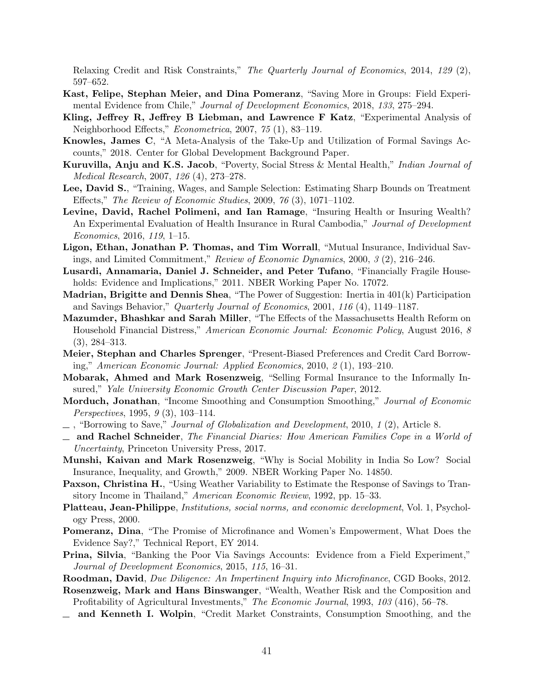Relaxing Credit and Risk Constraints," The Quarterly Journal of Economics, 2014, 129 (2), 597–652.

- Kast, Felipe, Stephan Meier, and Dina Pomeranz, "Saving More in Groups: Field Experimental Evidence from Chile," Journal of Development Economics, 2018, 133, 275–294.
- Kling, Jeffrey R, Jeffrey B Liebman, and Lawrence F Katz, "Experimental Analysis of Neighborhood Effects," Econometrica, 2007, 75 (1), 83–119.
- Knowles, James C, "A Meta-Analysis of the Take-Up and Utilization of Formal Savings Accounts," 2018. Center for Global Development Background Paper.
- Kuruvilla, Anju and K.S. Jacob, "Poverty, Social Stress & Mental Health," Indian Journal of Medical Research, 2007, 126 (4), 273–278.
- Lee, David S., "Training, Wages, and Sample Selection: Estimating Sharp Bounds on Treatment Effects," The Review of Economic Studies, 2009, 76 (3), 1071–1102.
- Levine, David, Rachel Polimeni, and Ian Ramage, "Insuring Health or Insuring Wealth? An Experimental Evaluation of Health Insurance in Rural Cambodia," Journal of Development Economics, 2016, 119, 1–15.
- Ligon, Ethan, Jonathan P. Thomas, and Tim Worrall, "Mutual Insurance, Individual Savings, and Limited Commitment," Review of Economic Dynamics, 2000, 3 (2), 216–246.
- Lusardi, Annamaria, Daniel J. Schneider, and Peter Tufano, "Financially Fragile Households: Evidence and Implications," 2011. NBER Working Paper No. 17072.
- Madrian, Brigitte and Dennis Shea, "The Power of Suggestion: Inertia in 401(k) Participation and Savings Behavior," Quarterly Journal of Economics, 2001, 116 (4), 1149–1187.
- Mazumder, Bhashkar and Sarah Miller, "The Effects of the Massachusetts Health Reform on Household Financial Distress," American Economic Journal: Economic Policy, August 2016, 8 (3), 284–313.
- Meier, Stephan and Charles Sprenger, "Present-Biased Preferences and Credit Card Borrowing," American Economic Journal: Applied Economics, 2010, 2 (1), 193–210.
- Mobarak, Ahmed and Mark Rosenzweig, "Selling Formal Insurance to the Informally Insured," Yale University Economic Growth Center Discussion Paper, 2012.
- Morduch, Jonathan, "Income Smoothing and Consumption Smoothing," Journal of Economic Perspectives, 1995, 9 (3), 103–114.
- $\Box$ , "Borrowing to Save," *Journal of Globalization and Development*, 2010, 1 (2), Article 8.
- and Rachel Schneider, The Financial Diaries: How American Families Cope in a World of Uncertainty, Princeton University Press, 2017.
- Munshi, Kaivan and Mark Rosenzweig, "Why is Social Mobility in India So Low? Social Insurance, Inequality, and Growth," 2009. NBER Working Paper No. 14850.
- Paxson, Christina H., "Using Weather Variability to Estimate the Response of Savings to Transitory Income in Thailand," American Economic Review, 1992, pp. 15–33.
- Platteau, Jean-Philippe, *Institutions, social norms, and economic development*, Vol. 1, Psychology Press, 2000.
- Pomeranz, Dina, "The Promise of Microfinance and Women's Empowerment, What Does the Evidence Say?," Technical Report, EY 2014.
- Prina, Silvia, "Banking the Poor Via Savings Accounts: Evidence from a Field Experiment," Journal of Development Economics, 2015, 115, 16–31.

Roodman, David, Due Diligence: An Impertinent Inquiry into Microfinance, CGD Books, 2012.

- Rosenzweig, Mark and Hans Binswanger, "Wealth, Weather Risk and the Composition and Profitability of Agricultural Investments," The Economic Journal, 1993, 103 (416), 56–78.
- and Kenneth I. Wolpin, "Credit Market Constraints, Consumption Smoothing, and the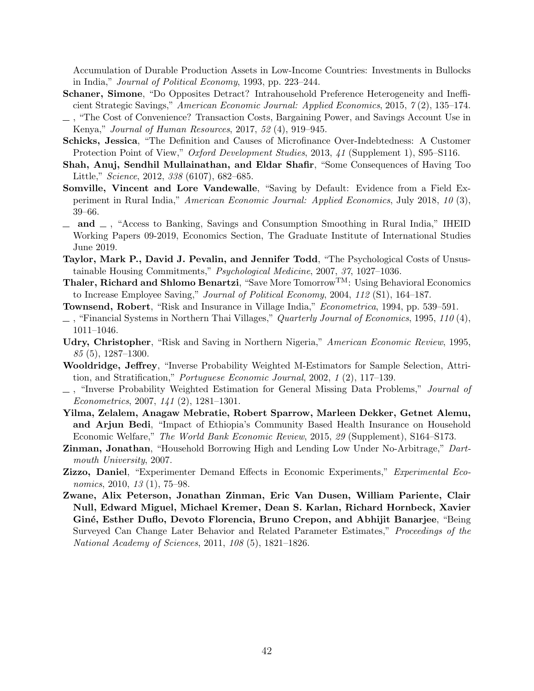Accumulation of Durable Production Assets in Low-Income Countries: Investments in Bullocks in India," Journal of Political Economy, 1993, pp. 223–244.

- Schaner, Simone, "Do Opposites Detract? Intrahousehold Preference Heterogeneity and Inefficient Strategic Savings," American Economic Journal: Applied Economics, 2015, 7 (2), 135–174.
- , "The Cost of Convenience? Transaction Costs, Bargaining Power, and Savings Account Use in Kenya," Journal of Human Resources, 2017, 52 (4), 919–945.
- Schicks, Jessica, "The Definition and Causes of Microfinance Over-Indebtedness: A Customer Protection Point of View," Oxford Development Studies, 2013, 41 (Supplement 1), S95-S116.
- Shah, Anuj, Sendhil Mullainathan, and Eldar Shafir, "Some Consequences of Having Too Little," Science, 2012, 338 (6107), 682–685.
- Somville, Vincent and Lore Vandewalle, "Saving by Default: Evidence from a Field Experiment in Rural India," American Economic Journal: Applied Economics, July 2018, 10 (3), 39–66.
- $\Box$  and  $\Box$ , "Access to Banking, Savings and Consumption Smoothing in Rural India," IHEID Working Papers 09-2019, Economics Section, The Graduate Institute of International Studies June 2019.
- Taylor, Mark P., David J. Pevalin, and Jennifer Todd, "The Psychological Costs of Unsustainable Housing Commitments," Psychological Medicine, 2007, 37, 1027–1036.
- Thaler, Richard and Shlomo Benartzi, "Save More TomorrowTM: Using Behavioral Economics to Increase Employee Saving," Journal of Political Economy, 2004, 112 (S1), 164–187.
- Townsend, Robert, "Risk and Insurance in Village India," Econometrica, 1994, pp. 539–591.
- $\ldots$ , "Financial Systems in Northern Thai Villages," Quarterly Journal of Economics, 1995, 110 (4), 1011–1046.
- Udry, Christopher, "Risk and Saving in Northern Nigeria," American Economic Review, 1995,  $85(5)$ , 1287-1300.
- Wooldridge, Jeffrey, "Inverse Probability Weighted M-Estimators for Sample Selection, Attrition, and Stratification," Portuguese Economic Journal, 2002, 1 (2), 117–139.
- , "Inverse Probability Weighted Estimation for General Missing Data Problems," Journal of Econometrics, 2007, 141 (2), 1281–1301.
- Yilma, Zelalem, Anagaw Mebratie, Robert Sparrow, Marleen Dekker, Getnet Alemu, and Arjun Bedi, "Impact of Ethiopia's Community Based Health Insurance on Household Economic Welfare," The World Bank Economic Review, 2015, 29 (Supplement), S164–S173.
- **Zinman, Jonathan**, "Household Borrowing High and Lending Low Under No-Arbitrage," Dartmouth University, 2007.
- Zizzo, Daniel, "Experimenter Demand Effects in Economic Experiments," Experimental Economics, 2010, 13 (1), 75–98.
- Zwane, Alix Peterson, Jonathan Zinman, Eric Van Dusen, William Pariente, Clair Null, Edward Miguel, Michael Kremer, Dean S. Karlan, Richard Hornbeck, Xavier Giné, Esther Duflo, Devoto Florencia, Bruno Crepon, and Abhijit Banarjee, "Being Surveyed Can Change Later Behavior and Related Parameter Estimates," Proceedings of the National Academy of Sciences, 2011, 108 (5), 1821–1826.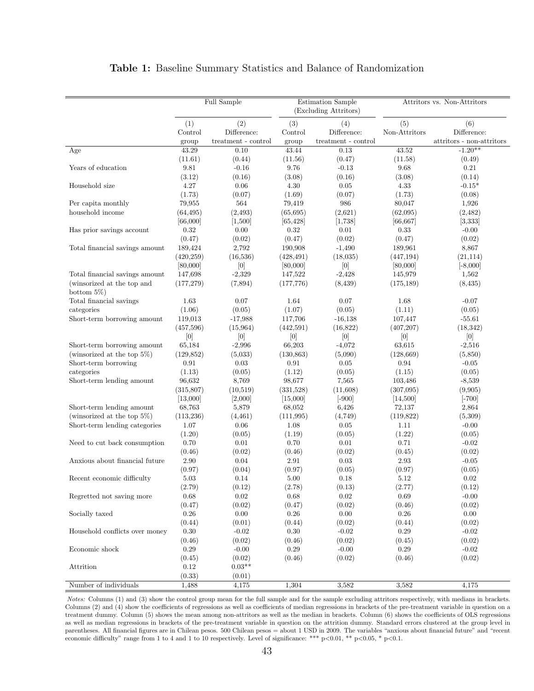|                                              |                | Full Sample         |                | Estimation Sample<br>(Excluding Attritors) |                      | Attritors vs. Non-Attritors |
|----------------------------------------------|----------------|---------------------|----------------|--------------------------------------------|----------------------|-----------------------------|
|                                              | (1)<br>Control | (2)<br>Difference:  | (3)<br>Control | (4)<br>Difference:                         | (5)<br>Non-Attritors | (6)<br>Difference:          |
|                                              | group          | treatment - control | group          | $treatment - control$                      |                      | attritors - non-attritors   |
| Age                                          | 43.29          | 0.10                | 43.44          | 0.13                                       | 43.52                | $-1.20**$                   |
|                                              | (11.61)        | (0.44)              | (11.56)        | (0.47)                                     | (11.58)              | (0.49)                      |
| Years of education                           | 9.81           | $-0.16$             | 9.76           | $-0.13$                                    | 9.68                 | 0.21                        |
|                                              | (3.12)         | (0.16)              | (3.08)         | (0.16)                                     | (3.08)               | (0.14)                      |
| Household size                               | 4.27           | 0.06                | 4.30           | 0.05                                       | 4.33                 | $-0.15*$                    |
|                                              | (1.73)         | (0.07)              | (1.69)         | (0.07)                                     | (1.73)               | (0.08)                      |
| Per capita monthly                           | 79,955         | 564                 | 79,419         | $986\,$                                    | 80,047               | 1,926                       |
| household income                             | (64, 495)      | (2, 493)            | (65, 695)      | (2,621)                                    | (62,095)             | (2, 482)                    |
|                                              | [66,000]       | [1,500]             | [65, 428]      | [1,738]                                    | [66, 667]            | [3, 333]                    |
| Has prior savings account                    | 0.32           | 0.00                | 0.32           | 0.01                                       | 0.33                 | $-0.00$                     |
|                                              | (0.47)         | (0.02)              | (0.47)         | (0.02)                                     | (0.47)               | (0.02)                      |
| Total financial savings amount               | 189,424        | 2,792               | 190,908        | $-1,490$                                   | 189,961              | 8,867                       |
|                                              | (420, 259)     | (16,536)            | (428, 491)     | (18,035)                                   | (447, 194)           | (21, 114)                   |
|                                              | [80,000]       | [0]                 | [80,000]       | [0]                                        | [80,000]             | $[-8,000]$                  |
| Total financial savings amount               | 147,698        | $-2,329$            | 147,522        | $-2,428$                                   | 145,979              | 1,562                       |
| (winsorized at the top and<br>bottom $5\%$ ) | (177, 279)     | (7,894)             | (177, 776)     | (8, 439)                                   | (175, 189)           | (8, 435)                    |
| Total financial savings                      | 1.63           | 0.07                | 1.64           | 0.07                                       | 1.68                 | $-0.07$                     |
| categories                                   | (1.06)         | (0.05)              | (1.07)         | (0.05)                                     | (1.11)               | (0.05)                      |
| Short-term borrowing amount                  | 119,013        | $-17,988$           | 117,706        | $-16,138$                                  | 107,447              | $-55.61$                    |
|                                              | (457,596)      | (15, 964)           | (442,591)      | (16,822)                                   | (407,207)            | (18, 342)                   |
|                                              | [0]            | [0]                 | [0]            | [0]                                        | $[0]$                | [0]                         |
| Short-term borrowing amount                  | 65,184         | $-2,996$            | 66,203         | $-4,072$                                   | 63,615               | $-2,516$                    |
| (winsorized at the top $5\%$ )               | (129, 852)     | (5,033)             | (130, 863)     | (5,090)                                    | (128, 669)           | (5,850)                     |
| Short-term borrowing                         | 0.91           | 0.03                | 0.91           | 0.05                                       | 0.94                 | $-0.05$                     |
| categories                                   | (1.13)         | (0.05)              | (1.12)         | (0.05)                                     | (1.15)               | (0.05)                      |
| Short-term lending amount                    | 96,632         | 8,769               | 98,677         | 7,565                                      | 103,486              | $-8,539$                    |
|                                              | (315, 807)     | (10,519)            | (331,528)      | (11,608)                                   | (307,095)            | (9,905)                     |
|                                              | [13,000]       | [2,000]             | [15,000]       | $[-900]$                                   | [14,500]             | $[-700]$                    |
| Short-term lending amount                    | 68,763         | 5,879               | 68,052         | 6,426                                      | 72,137               | 2,864                       |
| (winsorized at the top $5\%$ )               | (113, 236)     | (4, 461)            | (111, 995)     | (4,749)                                    | (119,822)            | (5,309)                     |
| Short-term lending categories                | 1.07           | 0.06                | 1.08           | 0.05                                       | 1.11                 | $-0.00$                     |
|                                              | (1.20)         | (0.05)              | (1.19)         | (0.05)                                     | (1.22)               | (0.05)                      |
| Need to cut back consumption                 | 0.70           | 0.01                | 0.70           | 0.01                                       | 0.71                 | $-0.02$                     |
|                                              | (0.46)         | (0.02)              | (0.46)         | (0.02)                                     | (0.45)               | (0.02)                      |
| Anxious about financial future               | 2.90           | 0.04                | 2.91           | 0.03                                       | 2.93                 | $-0.05$                     |
|                                              | (0.97)         | (0.04)              | (0.97)         | (0.05)                                     | (0.97)               | (0.05)                      |
| Recent economic difficulty                   | $5.03\,$       | 0.14                | 5.00           | 0.18                                       | 5.12                 | 0.02                        |
|                                              | (2.79)         | (0.12)              | (2.78)         | (0.13)                                     | (2.77)               | (0.12)                      |
| Regretted not saving more                    | 0.68           | 0.02                | 0.68           | 0.02                                       | 0.69                 | $-0.00$                     |
|                                              | (0.47)         | (0.02)              | (0.47)         | (0.02)                                     | (0.46)               | (0.02)                      |
| Socially taxed                               | $0.26\,$       | $0.00\,$            | $0.26\,$       | $0.00\,$                                   | $0.26\,$             | $0.00\,$                    |
|                                              | (0.44)         | (0.01)              | (0.44)         | (0.02)                                     | (0.44)               | (0.02)                      |
| Household conflicts over money               | 0.30           | $-0.02$             | $0.30\,$       | $-0.02$                                    | $0.29\,$             | $-0.02$                     |
|                                              | (0.46)         | (0.02)              | (0.46)         | (0.02)                                     | (0.45)               | (0.02)                      |
| Economic shock                               | $0.29\,$       | $-0.00$             | $0.29\,$       | $-0.00$                                    | $0.29\,$             | $-0.02$                     |
|                                              | (0.45)         | (0.02)              | (0.46)         | (0.02)                                     | (0.46)               | (0.02)                      |
| Attrition                                    | 0.12           | $0.03**$            |                |                                            |                      |                             |
|                                              | (0.33)         | (0.01)              |                |                                            |                      |                             |
| Number of individuals                        | 1,488          | 4,175               | 1,304          | 3,582                                      | 3,582                | 4,175                       |

## Table 1: Baseline Summary Statistics and Balance of Randomization

Notes: Columns (1) and (3) show the control group mean for the full sample and for the sample excluding attritors respectively, with medians in brackets. Columns (2) and (4) show the coefficients of regressions as well as coefficients of median regressions in brackets of the pre-treatment variable in question on a treatment dummy. Column (5) shows the mean among non-attritors as well as the median in brackets. Column (6) shows the coefficients of OLS regressions as well as median regressions in brackets of the pre-treatment variable in question on the attrition dummy. Standard errors clustered at the group level in parentheses. All financial figures are in Chilean pesos. 500 Chilean pesos = about 1 USD in 2009. The variables "anxious about financial future" and "recent economic difficulty" range from 1 to 4 and 1 to 10 respectively. Level of significance: \*\*\* p<0.01, \*\* p<0.05, \* p<0.1.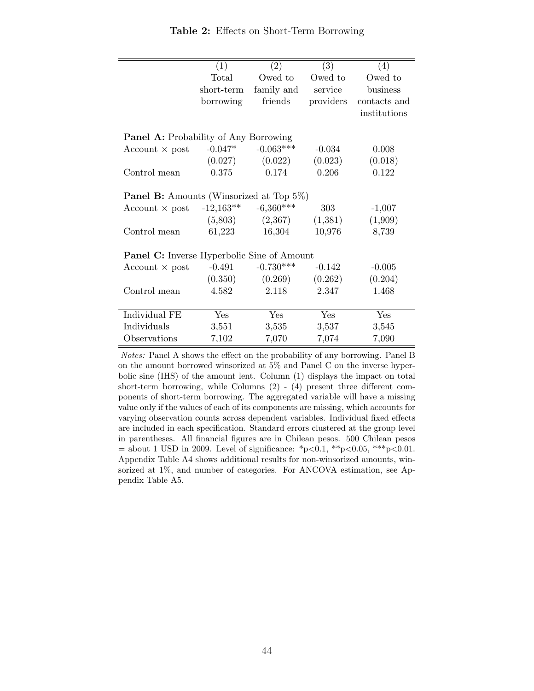|                                                   | (1)         | (2)         | (3)       | (4)          |
|---------------------------------------------------|-------------|-------------|-----------|--------------|
|                                                   | Total       | Owed to     | Owed to   | Owed to      |
|                                                   | short-term  | family and  | service   | business     |
|                                                   | borrowing   | friends     | providers | contacts and |
|                                                   |             |             |           | institutions |
|                                                   |             |             |           |              |
| <b>Panel A:</b> Probability of Any Borrowing      |             |             |           |              |
| Account $\times$ post                             | $-0.047*$   | $-0.063***$ | $-0.034$  | 0.008        |
|                                                   | (0.027)     | (0.022)     | (0.023)   | (0.018)      |
| Control mean                                      | 0.375       | 0.174       | 0.206     | 0.122        |
|                                                   |             |             |           |              |
| <b>Panel B:</b> Amounts (Winsorized at Top 5%)    |             |             |           |              |
| $Account \times post$                             | $-12,163**$ | $-6,360***$ | 303       | $-1,007$     |
|                                                   | (5,803)     | (2,367)     | (1,381)   | (1,909)      |
| Control mean                                      | 61,223      | 16,304      | 10,976    | 8,739        |
|                                                   |             |             |           |              |
| <b>Panel C:</b> Inverse Hyperbolic Sine of Amount |             |             |           |              |
| Account $\times$ post                             | $-0.491$    | $-0.730***$ | $-0.142$  | $-0.005$     |
|                                                   | (0.350)     | (0.269)     | (0.262)   | (0.204)      |
| Control mean                                      | 4.582       | 2.118       | 2.347     | 1.468        |
|                                                   |             |             |           |              |
| Individual FE                                     | Yes         | Yes         | Yes       | Yes          |
| Individuals                                       | 3,551       | 3,535       | 3,537     | 3,545        |
| Observations                                      | 7,102       | 7,070       | 7,074     | 7,090        |

Table 2: Effects on Short-Term Borrowing

Notes: Panel A shows the effect on the probability of any borrowing. Panel B on the amount borrowed winsorized at 5% and Panel C on the inverse hyperbolic sine (IHS) of the amount lent. Column (1) displays the impact on total short-term borrowing, while Columns (2) - (4) present three different components of short-term borrowing. The aggregated variable will have a missing value only if the values of each of its components are missing, which accounts for varying observation counts across dependent variables. Individual fixed effects are included in each specification. Standard errors clustered at the group level in parentheses. All financial figures are in Chilean pesos. 500 Chilean pesos  $=$  about 1 USD in 2009. Level of significance: \*p<0.1, \*\*p<0.05, \*\*\*p<0.01. Appendix Table A4 shows additional results for non-winsorized amounts, winsorized at 1%, and number of categories. For ANCOVA estimation, see Appendix Table A5.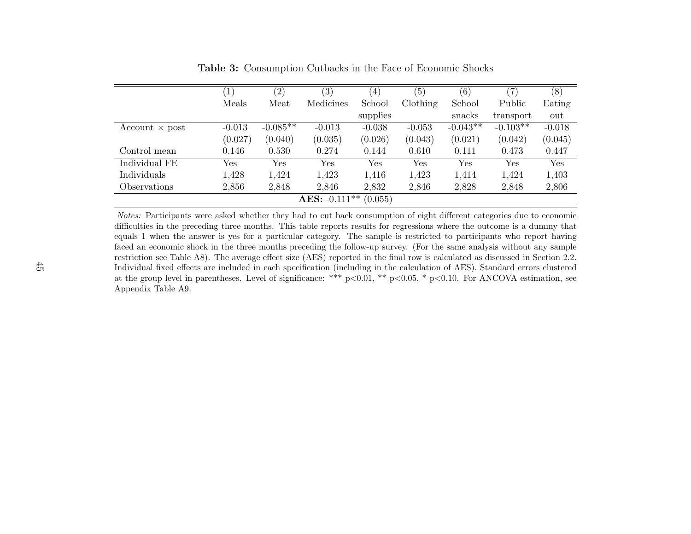|                            | $\mathbf{1}$ | $\left( 2\right)$ | (3)       | $\left(4\right)$ | (5)                  | (6)        | (7)        | (8)      |
|----------------------------|--------------|-------------------|-----------|------------------|----------------------|------------|------------|----------|
|                            | Meals        | Meat              | Medicines | School           | Clothing             | School     | Public     | Eating   |
|                            |              |                   |           | supplies         |                      | snacks     | transport  | out      |
| $Account \times post$      | $-0.013$     | $-0.085**$        | $-0.013$  | $-0.038$         | $-0.053$             | $-0.043**$ | $-0.103**$ | $-0.018$ |
|                            | (0.027)      | (0.040)           | (0.035)   | (0.026)          | (0.043)              | (0.021)    | (0.042)    | (0.045)  |
| Control mean               | 0.146        | 0.530             | 0.274     | 0.144            | 0.610                | 0.111      | 0.473      | 0.447    |
| Individual FE              | Yes          | Yes               | Yes       | Yes              | $\operatorname{Yes}$ | Yes        | Yes        | Yes      |
| Individuals                | 1,428        | 1,424             | 1,423     | 1,416            | 1,423                | 1,414      | 1,424      | 1,403    |
| Observations               | 2,856        | 2,848             | 2,846     | 2,832            | 2,846                | 2,828      | 2,848      | 2,806    |
| AES: $-0.111**$<br>(0.055) |              |                   |           |                  |                      |            |            |          |

Table 3: Consumption Cutbacks in the Face of Economic Shocks

Notes: Participants were asked whether they had to cut back consumption of eight different categories due to economic difficulties in the preceding three months. This table reports results for regressions where the outcome is <sup>a</sup> dummy that equals 1 when the answer is yes for <sup>a</sup> particular category. The sample is restricted to participants who report having faced an economic shock in the three months preceding the follow-up survey. (For the same analysis without any sample restriction see Table A8). The average effect size (AES) reported in the final row is calculated as discussed in Section 2.2. Individual fixed effects are included in each specification (including in the calculation of AES). Standard errors clustered at the group level in parentheses. Level of significance: \*\*\* <sup>p</sup><sup>&</sup>lt;0.01, \*\* <sup>p</sup><sup>&</sup>lt;0.05, \* <sup>p</sup><0.10. For ANCOVA estimation, seeAppendix Table A9.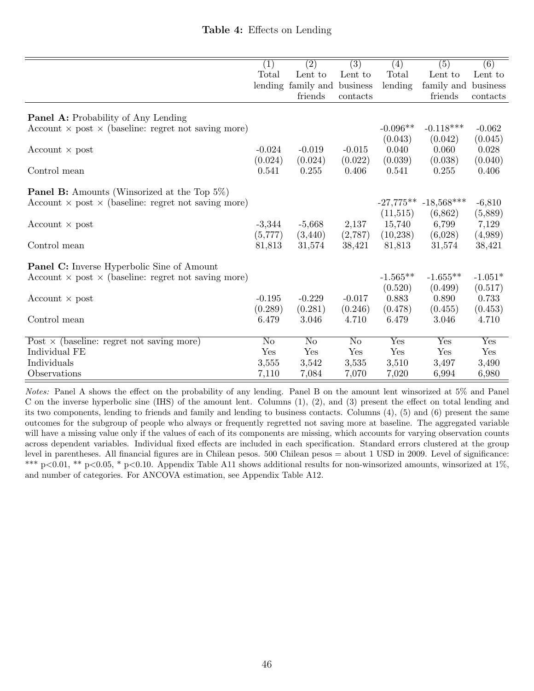|                                                                   | (1)                    | (2)                         | (3)            | (4)         | (5)          | (6)       |
|-------------------------------------------------------------------|------------------------|-----------------------------|----------------|-------------|--------------|-----------|
|                                                                   | Total                  | Lent to                     | Lent to        | Total       | Lent to      | Lent to   |
|                                                                   |                        | lending family and business |                | lending     | family and   | business  |
|                                                                   |                        | friends                     | contacts       |             | friends      | contacts  |
|                                                                   |                        |                             |                |             |              |           |
| <b>Panel A:</b> Probability of Any Lending                        |                        |                             |                |             |              |           |
| Account $\times$ post $\times$ (baseline: regret not saving more) |                        |                             |                | $-0.096**$  | $-0.118***$  | $-0.062$  |
|                                                                   |                        |                             |                | (0.043)     | (0.042)      | (0.045)   |
| Account $\times$ post                                             | $-0.024$               | $-0.019$                    | $-0.015$       | 0.040       | 0.060        | 0.028     |
|                                                                   | (0.024)                | (0.024)                     | (0.022)        | (0.039)     | (0.038)      | (0.040)   |
| Control mean                                                      | 0.541                  | 0.255                       | 0.406          | 0.541       | 0.255        | 0.406     |
| <b>Panel B:</b> Amounts (Winsorized at the Top $5\%$ )            |                        |                             |                |             |              |           |
| Account $\times$ post $\times$ (baseline: regret not saving more) |                        |                             |                | $-27,775**$ | $-18,568***$ | $-6,810$  |
|                                                                   |                        |                             |                | (11,515)    | (6,862)      | (5,889)   |
| Account $\times$ post                                             | $-3,344$               | $-5,668$                    | 2,137          | 15,740      | 6,799        | 7,129     |
|                                                                   | (5,777)                | (3,440)                     | (2,787)        | (10, 238)   | (6,028)      | (4,989)   |
| Control mean                                                      | 81,813                 | 31,574                      | 38,421         | 81,813      | 31,574       | 38,421    |
|                                                                   |                        |                             |                |             |              |           |
| <b>Panel C:</b> Inverse Hyperbolic Sine of Amount                 |                        |                             |                |             |              |           |
| Account $\times$ post $\times$ (baseline: regret not saving more) |                        |                             |                | $-1.565**$  | $-1.655**$   | $-1.051*$ |
|                                                                   |                        |                             |                | (0.520)     | (0.499)      | (0.517)   |
| Account $\times$ post                                             | $-0.195$               | $-0.229$                    | $-0.017$       | 0.883       | 0.890        | 0.733     |
|                                                                   | (0.289)                | (0.281)                     | (0.246)        | (0.478)     | (0.455)      | (0.453)   |
| Control mean                                                      | 6.479                  | 3.046                       | 4.710          | 6.479       | 3.046        | 4.710     |
|                                                                   |                        |                             |                |             |              |           |
| Post $\times$ (baseline: regret not saving more)                  | $\overline{\text{No}}$ | N <sub>o</sub>              | N <sub>o</sub> | Yes         | Yes          | Yes       |
| Individual FE                                                     | Yes                    | Yes                         | Yes            | Yes         | Yes          | Yes       |
| Individuals                                                       | 3,555                  | 3,542                       | 3,535          | 3,510       | 3,497        | 3,490     |
| Observations                                                      | 7,110                  | 7,084                       | 7,070          | 7,020       | 6,994        | 6,980     |

Notes: Panel A shows the effect on the probability of any lending. Panel B on the amount lent winsorized at 5% and Panel C on the inverse hyperbolic sine (IHS) of the amount lent. Columns (1), (2), and (3) present the effect on total lending and its two components, lending to friends and family and lending to business contacts. Columns (4), (5) and (6) present the same outcomes for the subgroup of people who always or frequently regretted not saving more at baseline. The aggregated variable will have a missing value only if the values of each of its components are missing, which accounts for varying observation counts across dependent variables. Individual fixed effects are included in each specification. Standard errors clustered at the group level in parentheses. All financial figures are in Chilean pesos. 500 Chilean pesos = about 1 USD in 2009. Level of significance: \*\*\* p<0.01, \*\* p<0.05, \* p<0.10. Appendix Table A11 shows additional results for non-winsorized amounts, winsorized at 1%, and number of categories. For ANCOVA estimation, see Appendix Table A12.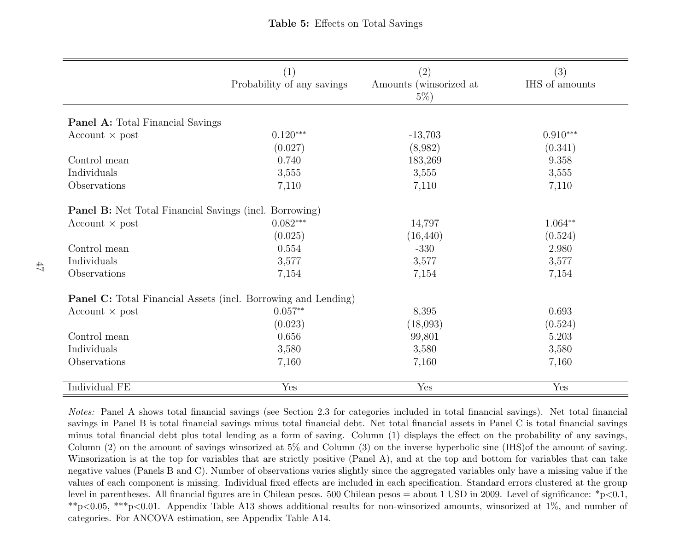|                                                                      | (1)<br>Probability of any savings | (2)<br>Amounts (winsorized at<br>$5\%$ ) | (3)<br>IHS of amounts |
|----------------------------------------------------------------------|-----------------------------------|------------------------------------------|-----------------------|
|                                                                      |                                   |                                          |                       |
| Panel A: Total Financial Savings                                     |                                   |                                          |                       |
| Account $\times$ post                                                | $0.120***$                        | $-13,703$                                | $0.910***$            |
|                                                                      | (0.027)                           | (8,982)                                  | (0.341)               |
| Control mean                                                         | 0.740                             | 183,269                                  | 9.358                 |
| Individuals                                                          | 3,555                             | 3,555                                    | 3,555                 |
| Observations                                                         | 7,110                             | 7,110                                    | 7,110                 |
| <b>Panel B:</b> Net Total Financial Savings (incl. Borrowing)        |                                   |                                          |                       |
| Account $\times$ post                                                | $0.082***$                        | 14,797                                   | $1.064**$             |
|                                                                      | (0.025)                           | (16, 440)                                | (0.524)               |
| Control mean                                                         | 0.554                             | $-330$                                   | 2.980                 |
| Individuals                                                          | 3,577                             | 3,577                                    | 3,577                 |
| Observations                                                         | 7,154                             | 7,154                                    | 7,154                 |
| <b>Panel C:</b> Total Financial Assets (incl. Borrowing and Lending) |                                   |                                          |                       |
| Account $\times$ post                                                | $0.057**$                         | 8,395                                    | 0.693                 |
|                                                                      | (0.023)                           | (18,093)                                 | (0.524)               |
| Control mean                                                         | 0.656                             | 99,801                                   | 5.203                 |
| Individuals                                                          | 3,580                             | 3,580                                    | 3,580                 |
| Observations                                                         | 7,160                             | 7,160                                    | 7,160                 |
| Individual FE                                                        | Yes                               | Yes                                      | Yes                   |

Notes: Panel <sup>A</sup> shows total financial savings (see Section 2.3 for categories included in total financial savings). Net total financial savings in Panel B is total financial savings minus total financial debt. Net total financial assets in Panel C is total financial savings minus total financial debt <sup>p</sup>lus total lending as <sup>a</sup> form of saving. Column (1) displays the effect on the probability of any savings,Column (2) on the amount of savings winsorized at 5% and Column (3) on the inverse hyperbolic sine (IHS)of the amount of saving.Winsorization is at the top for variables that are strictly positive (Panel A), and at the top and bottom for variables that can take negative values (Panels <sup>B</sup> and C). Number of observations varies slightly since the aggregated variables only have <sup>a</sup> missing value if the values of each component is missing. Individual fixed effects are included in each specification. Standard errors clustered at the group level in parentheses. All financial figures are in Chilean pesos. 500 Chilean pesos <sup>=</sup> about <sup>1</sup> USD in 2009. Level of significance: \*p<0.1, \*\*p<0.05, \*\*\*p<0.01. Appendix Table A13 shows additional results for non-winsorized amounts, winsorized at 1%, and number ofcategories. For ANCOVA estimation, see Appendix Table A14.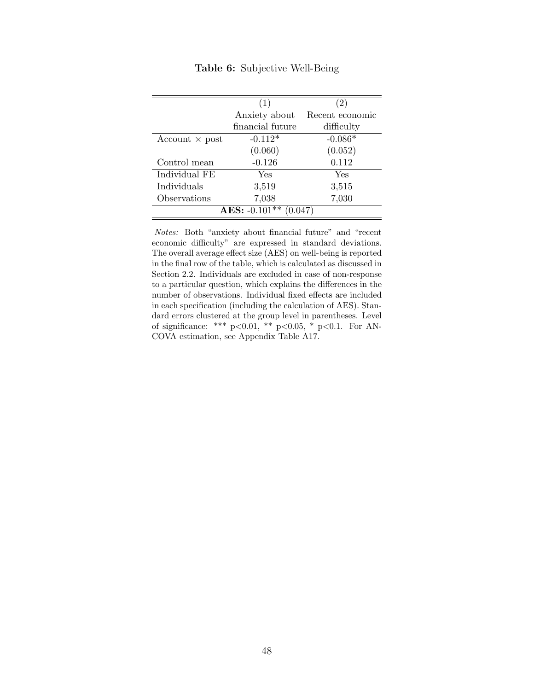|                       | (1)                        |                 |
|-----------------------|----------------------------|-----------------|
|                       | Anxiety about              | Recent economic |
|                       | financial future           | difficulty      |
| $Account \times post$ | $-0.112*$                  | $-0.086*$       |
|                       | (0.060)                    | (0.052)         |
| Control mean          | $-0.126$                   | 0.112           |
| Individual FE         | Yes                        | Yes             |
| Individuals           | 3,519                      | 3,515           |
| Observations          | 7,038                      | 7,030           |
|                       | AES: $-0.101**$<br>(0.047) |                 |

Table 6: Subjective Well-Being

Notes: Both "anxiety about financial future" and "recent economic difficulty" are expressed in standard deviations. The overall average effect size (AES) on well-being is reported in the final row of the table, which is calculated as discussed in Section 2.2. Individuals are excluded in case of non-response to a particular question, which explains the differences in the number of observations. Individual fixed effects are included in each specification (including the calculation of AES). Standard errors clustered at the group level in parentheses. Level of significance: \*\*\*  $p<0.01$ , \*\*  $p<0.05$ , \*  $p<0.1$ . For AN-COVA estimation, see Appendix Table A17.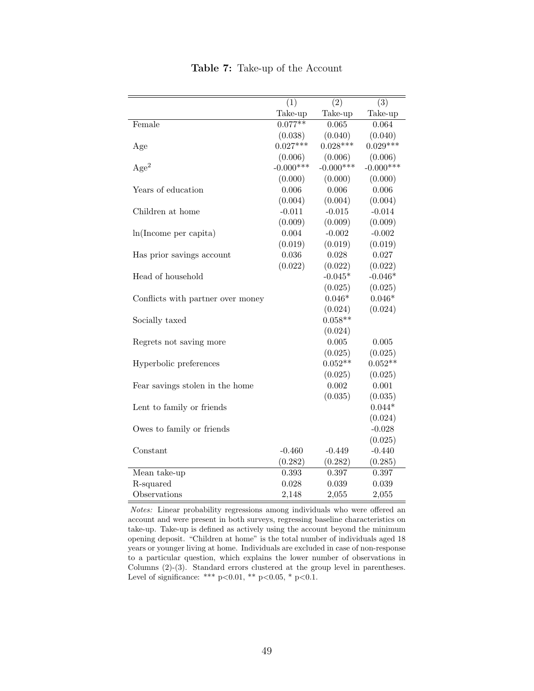|                                   | (1)         | (2)          | (3)         |
|-----------------------------------|-------------|--------------|-------------|
|                                   | Take-up     | Take-up      | Take-up     |
| Female                            | $0.077**$   | 0.065        | 0.064       |
|                                   | (0.038)     | (0.040)      | (0.040)     |
| Age                               | $0.027***$  | $0.028***$   | $0.029***$  |
|                                   | (0.006)     | (0.006)      | (0.006)     |
| Age <sup>2</sup>                  | $-0.000***$ | $-0.000$ *** | $-0.000***$ |
|                                   | (0.000)     | (0.000)      | (0.000)     |
| Years of education                | 0.006       | 0.006        | 0.006       |
|                                   | (0.004)     | (0.004)      | (0.004)     |
| Children at home                  | $-0.011$    | $-0.015$     | $-0.014$    |
|                                   | (0.009)     | (0.009)      | (0.009)     |
| ln(Income per capita)             | 0.004       | $-0.002$     | $-0.002$    |
|                                   | (0.019)     | (0.019)      | (0.019)     |
| Has prior savings account         | 0.036       | 0.028        | 0.027       |
|                                   | (0.022)     | (0.022)      | (0.022)     |
| Head of household                 |             | $-0.045*$    | $-0.046*$   |
|                                   |             | (0.025)      | (0.025)     |
| Conflicts with partner over money |             | $0.046*$     | $0.046*$    |
|                                   |             | (0.024)      | (0.024)     |
| Socially taxed                    |             | $0.058**$    |             |
|                                   |             | (0.024)      |             |
| Regrets not saving more           |             | 0.005        | 0.005       |
|                                   |             | (0.025)      | (0.025)     |
| Hyperbolic preferences            |             | $0.052**$    | $0.052**$   |
|                                   |             | (0.025)      | (0.025)     |
| Fear savings stolen in the home   |             | 0.002        | 0.001       |
|                                   |             | (0.035)      | (0.035)     |
| Lent to family or friends         |             |              | $0.044*$    |
|                                   |             |              | (0.024)     |
| Owes to family or friends         |             |              | $-0.028$    |
|                                   |             |              | (0.025)     |
| Constant                          | $-0.460$    | $-0.449$     | $-0.440$    |
|                                   | (0.282)     | (0.282)      | (0.285)     |
| Mean take-up                      | 0.393       | 0.397        | 0.397       |
| R-squared                         | 0.028       | 0.039        | 0.039       |
| Observations                      | 2,148       | 2,055        | 2,055       |

Table 7: Take-up of the Account

Notes: Linear probability regressions among individuals who were offered an account and were present in both surveys, regressing baseline characteristics on take-up. Take-up is defined as actively using the account beyond the minimum opening deposit. "Children at home" is the total number of individuals aged 18 years or younger living at home. Individuals are excluded in case of non-response to a particular question, which explains the lower number of observations in Columns (2)-(3). Standard errors clustered at the group level in parentheses. Level of significance: \*\*\*  $p<0.01$ , \*\*  $p<0.05$ , \*  $p<0.1$ .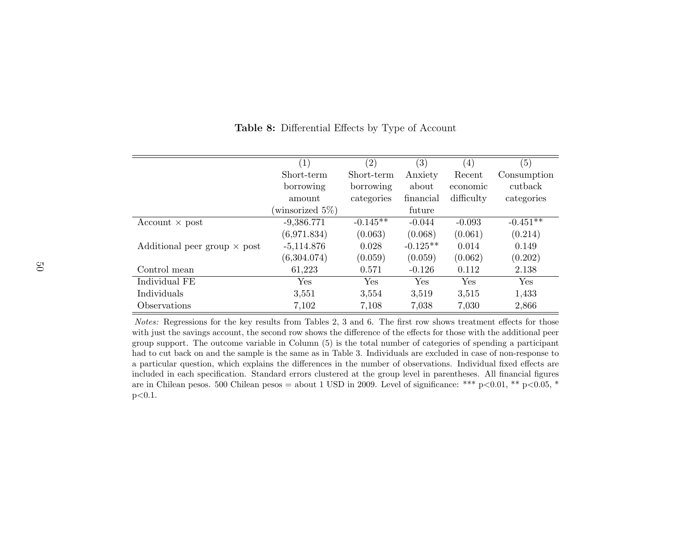|                                     | (1)             | (2)        | (3)        | (4)        | (5)         |
|-------------------------------------|-----------------|------------|------------|------------|-------------|
|                                     | Short-term      | Short-term | Anxiety    | Recent     | Consumption |
|                                     | borrowing       | borrowing  | about      | economic   | cutback     |
|                                     | amount          | categories | financial  | difficulty | categories  |
|                                     | (winsorized 5%) |            | future     |            |             |
| Account $\times$ post               | $-9,386.771$    | $-0.145**$ | $-0.044$   | $-0.093$   | $-0.451**$  |
|                                     | (6,971.834)     | (0.063)    | (0.068)    | (0.061)    | (0.214)     |
| Additional peer group $\times$ post | $-5,114.876$    | 0.028      | $-0.125**$ | 0.014      | 0.149       |
|                                     | (6,304.074)     | (0.059)    | (0.059)    | (0.062)    | (0.202)     |
| Control mean                        | 61,223          | 0.571      | $-0.126$   | 0.112      | 2.138       |
| Individual FE                       | Yes             | <b>Yes</b> | Yes        | Yes        | Yes         |
| Individuals                         | 3,551           | 3,554      | 3,519      | 3,515      | 1,433       |
| Observations                        | 7,102           | 7,108      | 7,038      | 7,030      | 2,866       |

Table 8: Differential Effects by Type of Account

Notes: Regressions for the key results from Tables 2, <sup>3</sup> and 6. The first row shows treatment effects for those with just the savings account, the second row shows the difference of the effects for those with the additional peer group support. The outcome variable in Column (5) is the total number of categories of spending <sup>a</sup> participant had to cut back on and the sample is the same as in Table 3. Individuals are excluded in case of non-response to <sup>a</sup> particular question, which explains the differences in the number of observations. Individual fixed effects are included in each specification. Standard errors clustered at the group level in parentheses. All financial figuresare in Chilean pesos. 500 Chilean pesos = about 1 USD in 2009. Level of significance: \*\*\*  $p<0.01$ , \*\*  $p<0.05$ , \*  $p<0.1$ .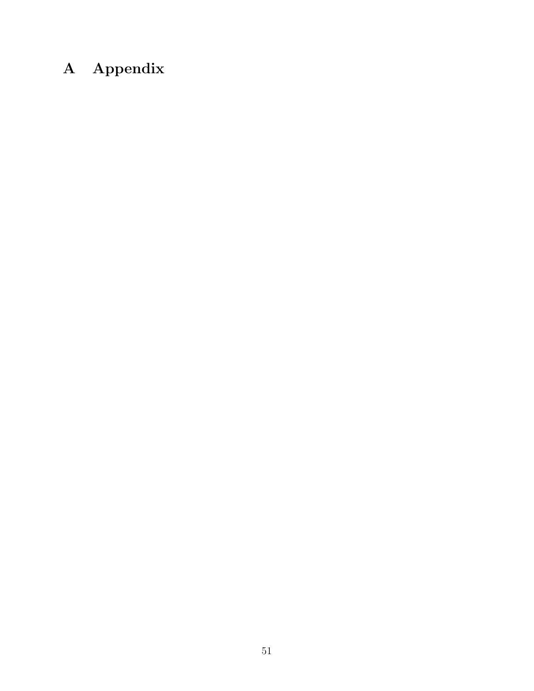# A Appendix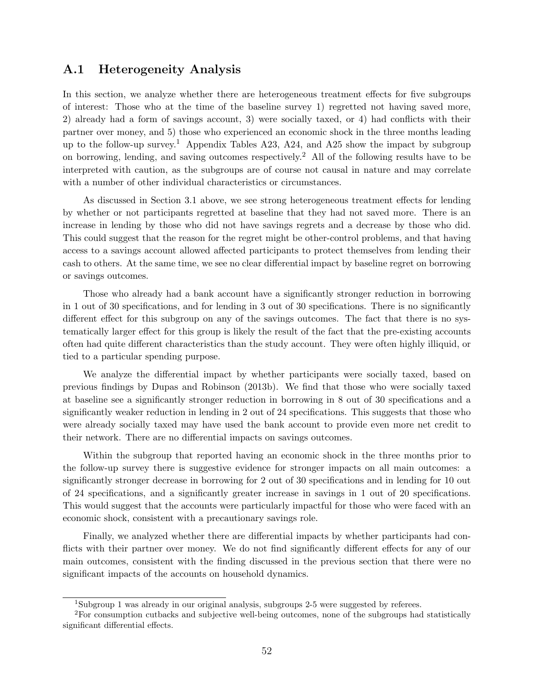## A.1 Heterogeneity Analysis

In this section, we analyze whether there are heterogeneous treatment effects for five subgroups of interest: Those who at the time of the baseline survey 1) regretted not having saved more, 2) already had a form of savings account, 3) were socially taxed, or 4) had conflicts with their partner over money, and 5) those who experienced an economic shock in the three months leading up to the follow-up survey.<sup>1</sup> Appendix Tables A23, A24, and A25 show the impact by subgroup on borrowing, lending, and saving outcomes respectively.<sup>2</sup> All of the following results have to be interpreted with caution, as the subgroups are of course not causal in nature and may correlate with a number of other individual characteristics or circumstances.

As discussed in Section 3.1 above, we see strong heterogeneous treatment effects for lending by whether or not participants regretted at baseline that they had not saved more. There is an increase in lending by those who did not have savings regrets and a decrease by those who did. This could suggest that the reason for the regret might be other-control problems, and that having access to a savings account allowed affected participants to protect themselves from lending their cash to others. At the same time, we see no clear differential impact by baseline regret on borrowing or savings outcomes.

Those who already had a bank account have a significantly stronger reduction in borrowing in 1 out of 30 specifications, and for lending in 3 out of 30 specifications. There is no significantly different effect for this subgroup on any of the savings outcomes. The fact that there is no systematically larger effect for this group is likely the result of the fact that the pre-existing accounts often had quite different characteristics than the study account. They were often highly illiquid, or tied to a particular spending purpose.

We analyze the differential impact by whether participants were socially taxed, based on previous findings by Dupas and Robinson (2013b). We find that those who were socially taxed at baseline see a significantly stronger reduction in borrowing in 8 out of 30 specifications and a significantly weaker reduction in lending in 2 out of 24 specifications. This suggests that those who were already socially taxed may have used the bank account to provide even more net credit to their network. There are no differential impacts on savings outcomes.

Within the subgroup that reported having an economic shock in the three months prior to the follow-up survey there is suggestive evidence for stronger impacts on all main outcomes: a significantly stronger decrease in borrowing for 2 out of 30 specifications and in lending for 10 out of 24 specifications, and a significantly greater increase in savings in 1 out of 20 specifications. This would suggest that the accounts were particularly impactful for those who were faced with an economic shock, consistent with a precautionary savings role.

Finally, we analyzed whether there are differential impacts by whether participants had conflicts with their partner over money. We do not find significantly different effects for any of our main outcomes, consistent with the finding discussed in the previous section that there were no significant impacts of the accounts on household dynamics.

<sup>1</sup>Subgroup 1 was already in our original analysis, subgroups 2-5 were suggested by referees.

<sup>2</sup>For consumption cutbacks and subjective well-being outcomes, none of the subgroups had statistically significant differential effects.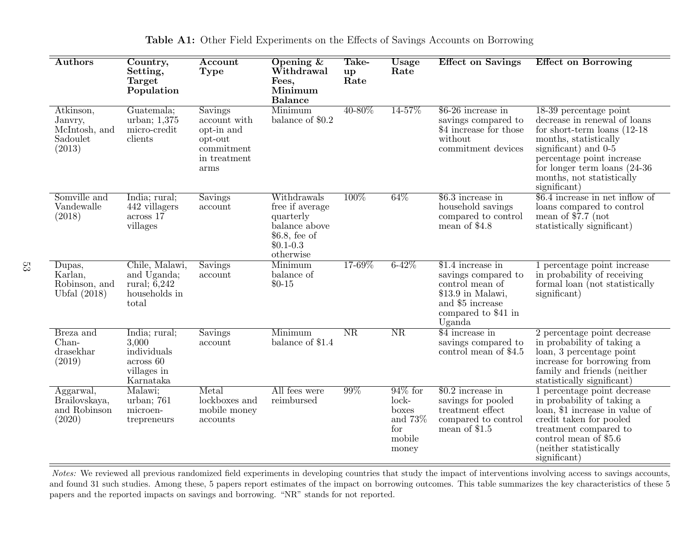| <b>Authors</b>                                              | Country,<br>Setting,<br><b>Target</b><br>Population                               | Account<br>Type                                                                        | Opening $\&$<br>Withdrawal<br>Fees,<br>Minimum<br><b>Balance</b>                                            | Take-<br>up<br>Rate | <b>Usage</b><br>Rate                                                   | <b>Effect on Savings</b>                                                                                                               | <b>Effect on Borrowing</b>                                                                                                                                                                                                                               |
|-------------------------------------------------------------|-----------------------------------------------------------------------------------|----------------------------------------------------------------------------------------|-------------------------------------------------------------------------------------------------------------|---------------------|------------------------------------------------------------------------|----------------------------------------------------------------------------------------------------------------------------------------|----------------------------------------------------------------------------------------------------------------------------------------------------------------------------------------------------------------------------------------------------------|
| Atkinson,<br>Janvry,<br>McIntosh, and<br>Sadoulet<br>(2013) | Guatemala;<br>urban; 1,375<br>micro-credit<br>clients                             | Savings<br>account with<br>opt-in and<br>opt-out<br>commitment<br>in treatment<br>arms | Minimum<br>balance of \$0.2                                                                                 | $40 - 80\%$         | 14-57%                                                                 | $$6-26$ increase in<br>savings compared to<br>\$4 increase for those<br>without<br>commitment devices                                  | 18-39 percentage point<br>decrease in renewal of loans<br>for short-term loans $(12-18)$<br>months, statistically<br>significant) and $0-5$<br>percentage point increase<br>for longer term loans $(24-36)$<br>months, not statistically<br>significant) |
| Somville and<br>Vandewalle<br>(2018)                        | India; rural;<br>442 villagers<br>across 17<br>villages                           | Savings<br>account                                                                     | Withdrawals<br>free if average<br>quarterly<br>balance above<br>$$6.8,$ fee of<br>$$0.1 - 0.3$<br>otherwise | 100\%               | 64\%                                                                   | $$6.3$ increase in<br>household savings<br>compared to control<br>mean of \$4.8                                                        | \$6.4 increase in net inflow of<br>loans compared to control<br>mean of $\sqrt{7.7}$ (not<br>statistically significant)                                                                                                                                  |
| Dupas,<br>Karlan,<br>Robinson, and<br>Ubfal $(2018)$        | Chile, Malawi,<br>and Uganda;<br>rural; $\bar{6}$ , 242<br>households in<br>total | <b>Savings</b><br>account                                                              | Minimum<br>balance of<br>$$0-15$                                                                            | $17-69\%$           | $6 - 42\%$                                                             | $$1.4$ increase in<br>savings compared to<br>control mean of<br>\$13.9 in Malawi,<br>and \$5 increase<br>compared to \$41 in<br>Uganda | 1 percentage point increase<br>in probability of receiving<br>formal loan (not statistically<br>significant)                                                                                                                                             |
| Breza and<br>$Chan-$<br>drasekhar<br>(2019)                 | India; rural;<br>3,000<br>individuals<br>across 60<br>villages in<br>Karnataka    | Savings<br>account                                                                     | Minimum<br>balance of \$1.4                                                                                 | <b>NR</b>           | <b>NR</b>                                                              | \$4 increase in<br>savings compared to<br>control mean of \$4.5                                                                        | 2 percentage point decrease<br>in probability of taking a<br>loan, 3 percentage point<br>increase for borrowing from<br>family and friends (neither)<br>statistically significant)                                                                       |
| Aggarwal,<br>Brailovskaya,<br>and Robinson<br>(2020)        | Malawi;<br>urban; $761$<br>microen-<br>trepreneurs                                | Metal<br>lockboxes and<br>mobile money<br>accounts                                     | All fees were<br>reimbursed                                                                                 | 99%                 | $94\%$ for<br>$lock-$<br>boxes<br>and $73\%$<br>for<br>mobile<br>money | $\sqrt{$0.2$ increase in}$<br>savings for pooled<br>treatment effect<br>compared to control<br>mean of \$1.5                           | 1 percentage point decrease<br>in probability of taking a<br>loan, \$1 increase in value of<br>credit taken for pooled<br>treatment compared to<br>control mean of \$5.6<br>(neither statistically<br>significant)                                       |

Table A1: Other Field Experiments on the Effects of Savings Accounts on Borrowing

Notes: We reviewed all previous randomized field experiments in developing countries that study the impact of interventions involving access to savings accounts, and found 31 such studies. Among these, 5 papers report estimates of the impact on borrowing outcomes. This table summarizes the key characteristics of these 5papers and the reported impacts on savings and borrowing. "NR" stands for not reported.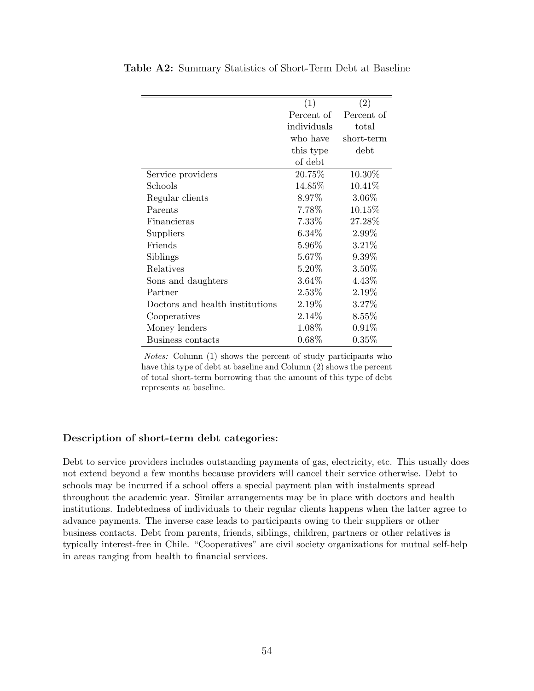|                                 | (1)         | (2)        |
|---------------------------------|-------------|------------|
|                                 | Percent of  | Percent of |
|                                 | individuals | total      |
|                                 | who have    | short-term |
|                                 | this type   | debt       |
|                                 | of debt     |            |
| Service providers               | 20.75%      | 10.30%     |
| Schools                         | 14.85%      | 10.41\%    |
| Regular clients                 | 8.97%       | 3.06%      |
| Parents                         | 7.78%       | 10.15%     |
| Financieras                     | 7.33%       | 27.28%     |
| Suppliers                       | $6.34\%$    | 2.99%      |
| Friends                         | 5.96%       | 3.21%      |
| Siblings                        | 5.67%       | $9.39\%$   |
| Relatives                       | 5.20%       | $3.50\%$   |
| Sons and daughters              | 3.64%       | 4.43%      |
| Partner                         | 2.53%       | 2.19%      |
| Doctors and health institutions | 2.19%       | 3.27%      |
| Cooperatives                    | 2.14%       | $8.55\%$   |
| Money lenders                   | 1.08%       | $0.91\%$   |
| Business contacts               | 0.68%       | $0.35\%$   |

Table A2: Summary Statistics of Short-Term Debt at Baseline

Notes: Column (1) shows the percent of study participants who have this type of debt at baseline and Column (2) shows the percent of total short-term borrowing that the amount of this type of debt represents at baseline.

#### Description of short-term debt categories:

Debt to service providers includes outstanding payments of gas, electricity, etc. This usually does not extend beyond a few months because providers will cancel their service otherwise. Debt to schools may be incurred if a school offers a special payment plan with instalments spread throughout the academic year. Similar arrangements may be in place with doctors and health institutions. Indebtedness of individuals to their regular clients happens when the latter agree to advance payments. The inverse case leads to participants owing to their suppliers or other business contacts. Debt from parents, friends, siblings, children, partners or other relatives is typically interest-free in Chile. "Cooperatives" are civil society organizations for mutual self-help in areas ranging from health to financial services.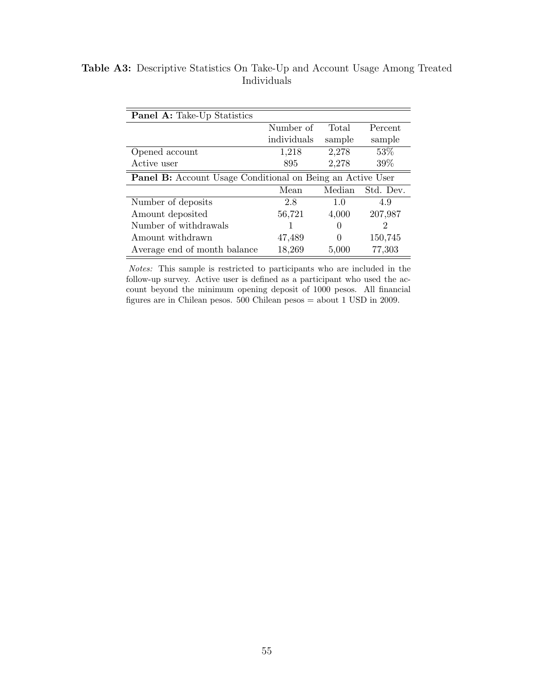| <b>Panel A:</b> Take-Up Statistics                                |             |          |           |  |  |
|-------------------------------------------------------------------|-------------|----------|-----------|--|--|
|                                                                   | Number of   | Total    | Percent   |  |  |
|                                                                   | individuals | sample   | sample    |  |  |
| Opened account                                                    | 1,218       | 2,278    | 53%       |  |  |
| Active user                                                       | 895         | 2,278    | 39\%      |  |  |
| <b>Panel B:</b> Account Usage Conditional on Being an Active User |             |          |           |  |  |
|                                                                   | Mean        | Median   | Std. Dev. |  |  |
| Number of deposits                                                | 2.8         | 1.0      | 4.9       |  |  |
| Amount deposited                                                  | 56,721      | 4,000    | 207,987   |  |  |
| Number of withdrawals                                             |             | $\theta$ | 2         |  |  |
| Amount withdrawn                                                  | 47,489      | 0        | 150,745   |  |  |
| Average end of month balance                                      | 18,269      | 5,000    | 77,303    |  |  |

Table A3: Descriptive Statistics On Take-Up and Account Usage Among Treated Individuals

Notes: This sample is restricted to participants who are included in the follow-up survey. Active user is defined as a participant who used the account beyond the minimum opening deposit of 1000 pesos. All financial figures are in Chilean pesos. 500 Chilean pesos = about 1 USD in 2009.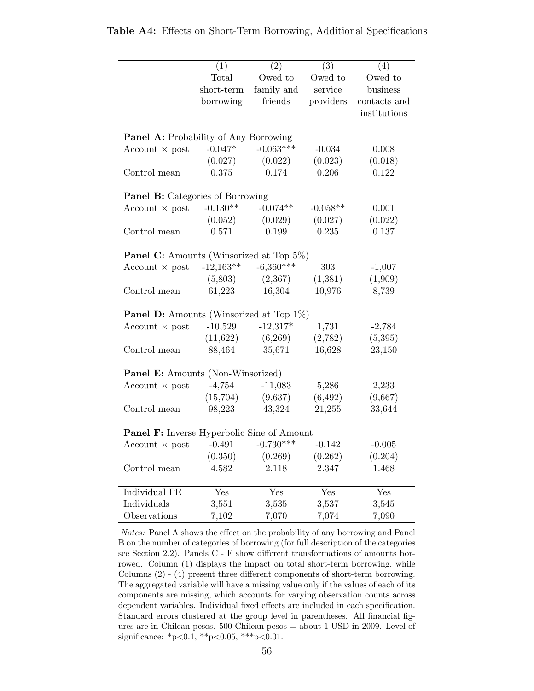|                                                                 | (1)         | (2)         | (3)        | (4)          |
|-----------------------------------------------------------------|-------------|-------------|------------|--------------|
|                                                                 | Total       | Owed to     | Owed to    | Owed to      |
|                                                                 | short-term  | family and  | service    | business     |
|                                                                 | borrowing   | friends     | providers  | contacts and |
|                                                                 |             |             |            | institutions |
|                                                                 |             |             |            |              |
| <b>Panel A:</b> Probability of Any Borrowing                    |             |             |            |              |
| Account $\times$ post                                           | $-0.047*$   | $-0.063***$ | $-0.034$   | 0.008        |
|                                                                 | (0.027)     | (0.022)     | (0.023)    | (0.018)      |
| Control mean                                                    | 0.375       | 0.174       | 0.206      | 0.122        |
|                                                                 |             |             |            |              |
| <b>Panel B:</b> Categories of Borrowing                         |             |             |            |              |
| Account $\times$ post                                           | $-0.130**$  | $-0.074**$  | $-0.058**$ | 0.001        |
|                                                                 | (0.052)     | (0.029)     | (0.027)    | (0.022)      |
| Control mean                                                    | 0.571       | 0.199       | 0.235      | 0.137        |
|                                                                 |             |             |            |              |
| <b>Panel C:</b> Amounts (Winsorized at Top 5%)                  |             |             |            |              |
| Account $\times$ post                                           | $-12,163**$ | $-6,360***$ | 303        | $-1,007$     |
|                                                                 | (5,803)     | (2,367)     | (1,381)    | (1,909)      |
| Control mean                                                    | 61,223      | 16,304      | 10,976     | 8,739        |
| <b>Panel D:</b> Amounts (Winsorized at Top $1\%$ )              |             |             |            |              |
| Account $\times$ post                                           | $-10,529$   | $-12,317*$  | 1,731      | $-2,784$     |
|                                                                 | (11, 622)   | (6,269)     | (2,782)    | (5,395)      |
| Control mean                                                    | 88,464      | 35,671      | 16,628     | 23,150       |
|                                                                 |             |             |            |              |
| <b>Panel E:</b> Amounts (Non-Winsorized)                        |             |             |            |              |
| Account $\times$ post                                           | $-4,754$    | $-11,083$   | 5,286      | 2,233        |
|                                                                 | (15, 704)   | (9,637)     | (6, 492)   | (9,667)      |
| Control mean                                                    | 98,223      | 43,324      | 21,255     | 33,644       |
|                                                                 |             |             |            |              |
| <b>Panel F:</b> Inverse Hyperbolic Sine of Amount               |             |             |            |              |
| $\text{Account} \times \text{post} = 0.491 \qquad -0.730^{***}$ |             |             | $-0.142$   | $-0.005$     |
|                                                                 | (0.350)     | (0.269)     | (0.262)    | (0.204)      |
| Control mean                                                    | 4.582       | 2.118       | 2.347      | 1.468        |
| Individual FE                                                   |             |             |            |              |
| Individuals                                                     | Yes         | Yes         | Yes        | Yes          |
|                                                                 | 3,551       | 3,535       | 3,537      | 3,545        |
| Observations                                                    | 7,102       | 7,070       | 7,074      | 7,090        |

Table A4: Effects on Short-Term Borrowing, Additional Specifications

Notes: Panel A shows the effect on the probability of any borrowing and Panel B on the number of categories of borrowing (for full description of the categories see Section 2.2). Panels C - F show different transformations of amounts borrowed. Column (1) displays the impact on total short-term borrowing, while Columns (2) - (4) present three different components of short-term borrowing. The aggregated variable will have a missing value only if the values of each of its components are missing, which accounts for varying observation counts across dependent variables. Individual fixed effects are included in each specification. Standard errors clustered at the group level in parentheses. All financial figures are in Chilean pesos. 500 Chilean pesos = about 1 USD in 2009. Level of significance: \*p<0.1, \*\*p<0.05, \*\*\*p<0.01.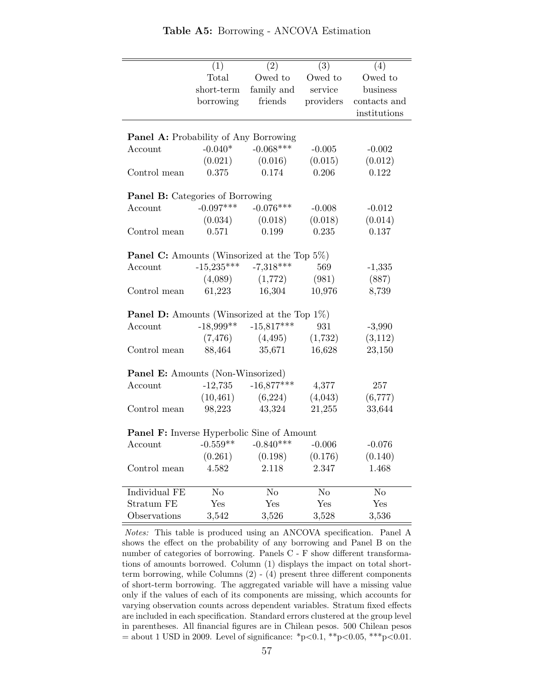|                                                        | (1)          | $\overline{(2)}$     | $\overline{(3)}$ | (4)            |
|--------------------------------------------------------|--------------|----------------------|------------------|----------------|
|                                                        | Total        | Owed to              | Owed to          | Owed to        |
|                                                        | short-term   | family and           | service          | business       |
|                                                        | borrowing    | friends              | providers        | contacts and   |
|                                                        |              |                      |                  | institutions   |
|                                                        |              |                      |                  |                |
| <b>Panel A:</b> Probability of Any Borrowing           |              |                      |                  |                |
| Account                                                | $-0.040*$    | $-0.068***$          | $-0.005$         | $-0.002$       |
|                                                        | (0.021)      | (0.016)              | (0.015)          | (0.012)        |
| Control mean                                           | 0.375        | 0.174                | 0.206            | 0.122          |
| <b>Panel B:</b> Categories of Borrowing                |              |                      |                  |                |
| Account                                                | $-0.097***$  | $-0.076***$          | $-0.008$         | $-0.012$       |
|                                                        | (0.034)      | (0.018)              | (0.018)          | (0.014)        |
| Control mean                                           | 0.571        | 0.199                | 0.235            | 0.137          |
|                                                        |              |                      |                  |                |
| <b>Panel C:</b> Amounts (Winsorized at the Top $5\%$ ) |              |                      |                  |                |
| Account                                                | $-15,235***$ | $-7,318***$          | 569              | $-1,335$       |
|                                                        | (4,089)      | (1,772)              | (981)            | (887)          |
| Control mean                                           | 61,223       | 16,304               | 10,976           | 8,739          |
| <b>Panel D:</b> Amounts (Winsorized at the Top $1\%$ ) |              |                      |                  |                |
| Account                                                | $-18,999**$  | $-15,817***$         | 931              | $-3,990$       |
|                                                        | (7, 476)     | (4, 495)             | (1,732)          | (3, 112)       |
| Control mean                                           |              | 88,464 35,671        | 16,628           | 23,150         |
|                                                        |              |                      |                  |                |
| Panel E: Amounts (Non-Winsorized)                      |              |                      |                  |                |
| Account                                                | $-12,735$    | $-16,877***$         | 4,377            | 257            |
|                                                        |              | $(10,461)$ $(6,224)$ | (4,043)          | (6,777)        |
| Control mean                                           | 98,223       | 43,324               | 21,255           | 33,644         |
| Panel F: Inverse Hyperbolic Sine of Amount             |              |                      |                  |                |
| $\operatorname{Account}$                               | $-0.559**$   | $-0.840***$          | $-0.006$         | $-0.076$       |
|                                                        | (0.261)      | (0.198)              | (0.176)          | (0.140)        |
| Control mean                                           | 4.582        | 2.118                | 2.347            | 1.468          |
|                                                        |              |                      |                  |                |
| Individual FE                                          | No           | N <sub>o</sub>       | N <sub>o</sub>   | N <sub>o</sub> |
| Stratum FE                                             | Yes          | Yes                  | Yes              | Yes            |
| Observations                                           | 3,542        | 3,526                | 3,528            | 3,536          |

Notes: This table is produced using an ANCOVA specification. Panel A shows the effect on the probability of any borrowing and Panel B on the number of categories of borrowing. Panels C - F show different transformations of amounts borrowed. Column (1) displays the impact on total shortterm borrowing, while Columns (2) - (4) present three different components of short-term borrowing. The aggregated variable will have a missing value only if the values of each of its components are missing, which accounts for varying observation counts across dependent variables. Stratum fixed effects are included in each specification. Standard errors clustered at the group level in parentheses. All financial figures are in Chilean pesos. 500 Chilean pesos  $=$  about 1 USD in 2009. Level of significance: \*p<0.1, \*\*p<0.05, \*\*\*p<0.01.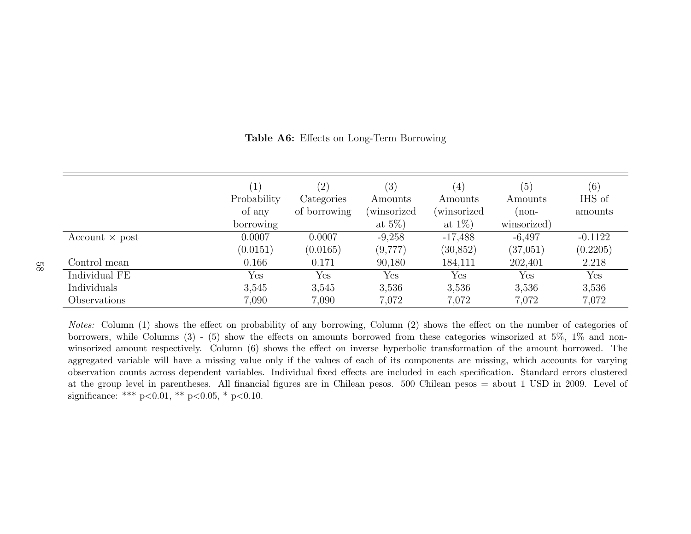|                       |             | (2)          | (3)         | (4)         | (5)         | (6)       |
|-----------------------|-------------|--------------|-------------|-------------|-------------|-----------|
|                       | Probability | Categories   | Amounts     | Amounts     | Amounts     | IHS of    |
|                       | of any      | of borrowing | (winsorized | (winsorized | (non-       | amounts   |
|                       | borrowing   |              | at $5\%$ )  | at $1\%$ )  | winsorized) |           |
| Account $\times$ post | 0.0007      | 0.0007       | $-9,258$    | $-17,488$   | $-6,497$    | $-0.1122$ |
|                       | (0.0151)    | (0.0165)     | (9,777)     | (30, 852)   | (37,051)    | (0.2205)  |
| Control mean          | 0.166       | 0.171        | 90,180      | 184,111     | 202,401     | 2.218     |
| Individual FE         | Yes         | Yes          | Yes         | Yes         | Yes         | Yes       |
| Individuals           | 3,545       | 3,545        | 3,536       | 3,536       | 3,536       | 3,536     |
| Observations          | 7,090       | 7.090        | 7,072       | 7,072       | 7.072       | 7,072     |

Table A6: Effects on Long-Term Borrowing

Notes: Column (1) shows the effect on probability of any borrowing, Column (2) shows the effect on the number of categories of borrowers, while Columns (3) - (5) show the effects on amounts borrowed from these categories winsorized at 5%, 1% and nonwinsorized amount respectively. Column (6) shows the effect on inverse hyperbolic transformation of the amount borrowed. The aggregated variable will have <sup>a</sup> missing value only if the values of each of its components are missing, which accounts for varying observation counts across dependent variables. Individual fixed effects are included in each specification. Standard errors clustered at the group level in parentheses. All financial figures are in Chilean pesos. 500 Chilean pesos <sup>=</sup> about 1 USD in 2009. Level ofsignificance: \*\*\*  $p<0.01$ , \*\*  $p<0.05$ , \*  $p<0.10$ .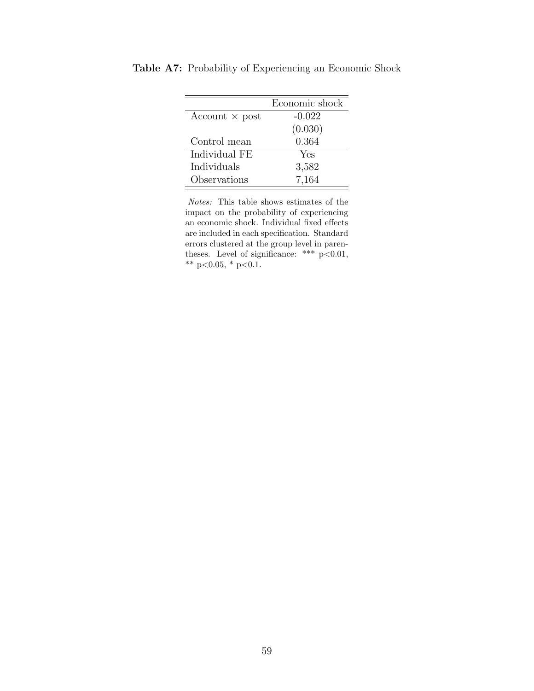|                       | Economic shock |
|-----------------------|----------------|
| Account $\times$ post | $-0.022$       |
|                       | (0.030)        |
| Control mean          | 0.364          |
| Individual FE         | Yes            |
| Individuals           | 3,582          |
| Observations          | 7,164          |

Table A7: Probability of Experiencing an Economic Shock

Notes: This table shows estimates of the impact on the probability of experiencing an economic shock. Individual fixed effects are included in each specification. Standard errors clustered at the group level in parentheses. Level of significance: \*\*\*  $p<0.01$ , \*\* p<0.05, \* p<0.1.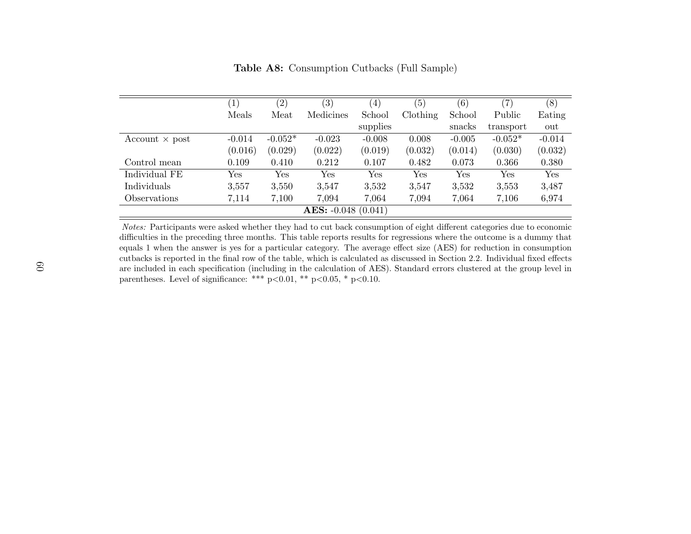|                       | $\left 1\right\rangle$ | (2)       | $\left( 3\right)$            | $\left(4\right)$ | (5)      | (6)      | $^{\prime}7)$ | (8)      |
|-----------------------|------------------------|-----------|------------------------------|------------------|----------|----------|---------------|----------|
|                       | Meals                  | Meat      | Medicines                    | School           | Clothing | School   | Public        | Eating   |
|                       |                        |           |                              | supplies         |          | snacks   | transport     | out      |
| Account $\times$ post | $-0.014$               | $-0.052*$ | $-0.023$                     | $-0.008$         | 0.008    | $-0.005$ | $-0.052*$     | $-0.014$ |
|                       | (0.016)                | (0.029)   | (0.022)                      | (0.019)          | (0.032)  | (0.014)  | (0.030)       | (0.032)  |
| Control mean          | 0.109                  | 0.410     | 0.212                        | 0.107            | 0.482    | 0.073    | 0.366         | 0.380    |
| Individual FE         | Yes                    | Yes       | $\operatorname{Yes}$         | Yes              | Yes      | Yes      | Yes           | Yes      |
| Individuals           | 3,557                  | 3,550     | 3,547                        | 3,532            | 3,547    | 3,532    | 3,553         | 3,487    |
| Observations          | 7,114                  | 7,100     | 7,094                        | 7.064            | 7,094    | 7,064    | 7,106         | 6,974    |
|                       |                        |           | <b>AES:</b> $-0.048$ (0.041) |                  |          |          |               |          |

Table A8: Consumption Cutbacks (Full Sample)

Notes: Participants were asked whether they had to cut back consumption of eight different categories due to economic difficulties in the preceding three months. This table reports results for regressions where the outcome is <sup>a</sup> dummy that equals <sup>1</sup> when the answer is yes for <sup>a</sup> particular category. The average effect size (AES) for reduction in consumption cutbacks is reported in the final row of the table, which is calculated as discussed in Section 2.2. Individual fixed effects are included in each specification (including in the calculation of AES). Standard errors clustered at the group level inparentheses. Level of significance: \*\*\*  $p<0.01$ , \*\*  $p<0.05$ , \*  $p<0.10$ .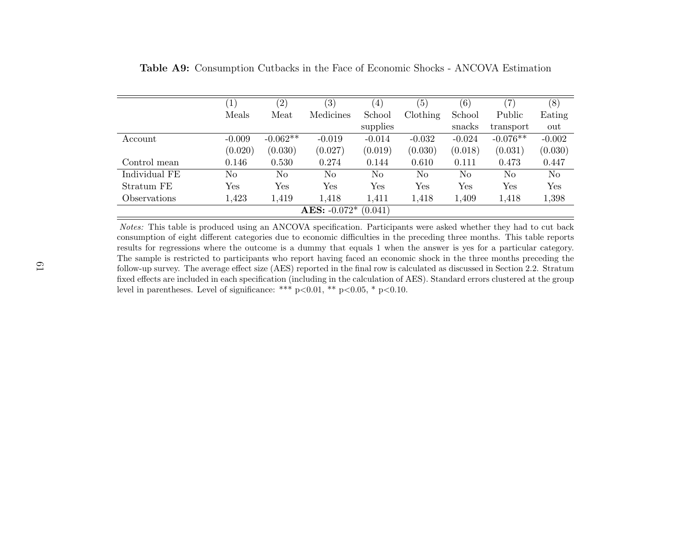|               | $\left(1\right)$          | (2)        | $\left( 3\right)$ | $\left(4\right)$ | (5)      | (6)      | $^{\prime}7)$ | (8)      |  |
|---------------|---------------------------|------------|-------------------|------------------|----------|----------|---------------|----------|--|
|               | Meals                     | Meat       | Medicines         | School           | Clothing | School   | Public        | Eating   |  |
|               |                           |            |                   | supplies         |          | snacks   | transport     | out      |  |
| $\rm Account$ | $-0.009$                  | $-0.062**$ | $-0.019$          | $-0.014$         | $-0.032$ | $-0.024$ | $-0.076**$    | $-0.002$ |  |
|               | (0.020)                   | (0.030)    | (0.027)           | (0.019)          | (0.030)  | (0.018)  | (0.031)       | (0.030)  |  |
| Control mean  | 0.146                     | 0.530      | 0.274             | 0.144            | 0.610    | 0.111    | 0.473         | 0.447    |  |
| Individual FE | No                        | No         | No                | No               | No       | No       | No            | No       |  |
| Stratum FE    | $\operatorname{Yes}$      | Yes        | Yes               | Yes              | Yes      | Yes      | Yes           | Yes      |  |
| Observations  | 1,423                     | 1,419      | 1,418             | 1,411            | 1,418    | 1,409    | 1,418         | 1,398    |  |
|               | AES: $-0.072*$<br>(0.041) |            |                   |                  |          |          |               |          |  |

Table A9: Consumption Cutbacks in the Face of Economic Shocks - ANCOVA Estimation

Notes: This table is produced using an ANCOVA specification. Participants were asked whether they had to cut back consumption of eight different categories due to economic difficulties in the preceding three months. This table reports results for regressions where the outcome is <sup>a</sup> dummy that equals 1 when the answer is yes for <sup>a</sup> particular category. The sample is restricted to participants who report having faced an economic shock in the three months preceding the follow-up survey. The average effect size (AES) reported in the final row is calculated as discussed in Section 2.2. Stratum fixed effects are included in each specification (including in the calculation of AES). Standard errors clustered at the grouplevel in parentheses. Level of significance: \*\*\*  $p<0.01$ , \*\*  $p<0.05$ , \*  $p<0.10$ .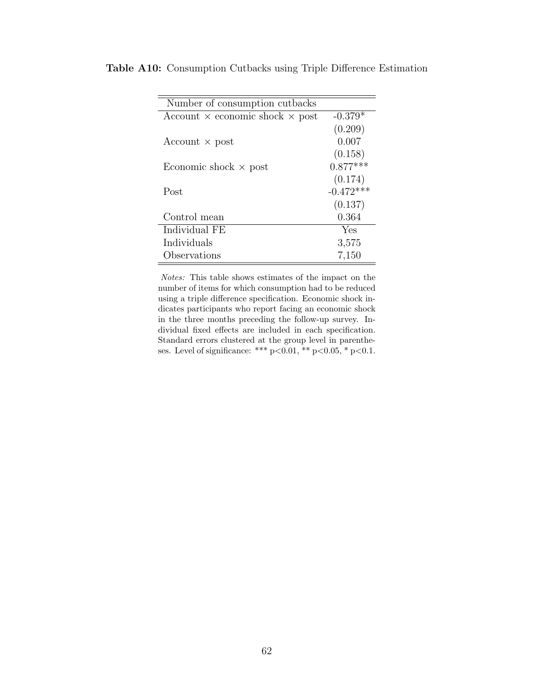| Number of consumption cutbacks                |             |
|-----------------------------------------------|-------------|
| Account $\times$ economic shock $\times$ post | $-0.379*$   |
|                                               | (0.209)     |
| Account $\times$ post                         | 0.007       |
|                                               | (0.158)     |
| Economic shock $\times$ post                  | $0.877***$  |
|                                               | (0.174)     |
| Post                                          | $-0.472***$ |
|                                               | (0.137)     |
| Control mean                                  | 0.364       |
| Individual FE                                 | Yes         |
| Individuals                                   | 3,575       |
| Observations                                  | 7,150       |

Table A10: Consumption Cutbacks using Triple Difference Estimation

Notes: This table shows estimates of the impact on the number of items for which consumption had to be reduced using a triple difference specification. Economic shock indicates participants who report facing an economic shock in the three months preceding the follow-up survey. Individual fixed effects are included in each specification. Standard errors clustered at the group level in parentheses. Level of significance: \*\*\* p<0.01, \*\* p<0.05, \* p<0.1.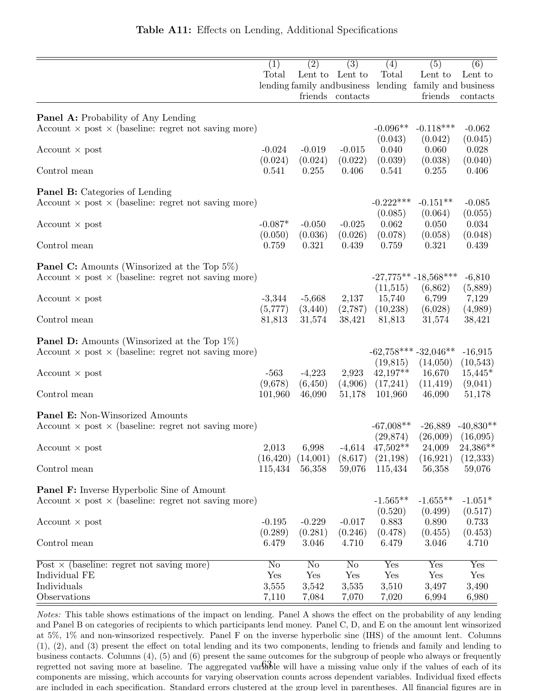|                                                                                                                 | (1)            | $\overline{(2)}$            | (3)              | (4)                                                   | (5)                         | $\overline{(6)}$ |
|-----------------------------------------------------------------------------------------------------------------|----------------|-----------------------------|------------------|-------------------------------------------------------|-----------------------------|------------------|
|                                                                                                                 | Total          | Lent to                     | Lent to          | Total                                                 | Lent to                     | Lent to          |
|                                                                                                                 |                | lending family and business |                  |                                                       | lending family and business |                  |
|                                                                                                                 |                |                             | friends contacts |                                                       | friends                     | contacts         |
|                                                                                                                 |                |                             |                  |                                                       |                             |                  |
| <b>Panel A:</b> Probability of Any Lending<br>Account $\times$ post $\times$ (baseline: regret not saving more) |                |                             |                  | $-0.096**$                                            | $-0.118***$                 | $-0.062$         |
|                                                                                                                 |                |                             |                  | (0.043)                                               | (0.042)                     | (0.045)          |
| $Account \times post$                                                                                           | $-0.024$       | $-0.019$                    | $-0.015$         | 0.040                                                 | 0.060                       | 0.028            |
|                                                                                                                 | (0.024)        | (0.024)                     | (0.022)          | (0.039)                                               | (0.038)                     | (0.040)          |
| Control mean                                                                                                    | 0.541          | 0.255                       | 0.406            | 0.541                                                 | 0.255                       | 0.406            |
| <b>Panel B:</b> Categories of Lending                                                                           |                |                             |                  |                                                       |                             |                  |
| Account $\times$ post $\times$ (baseline: regret not saving more)                                               |                |                             |                  | $-0.222***$                                           | $-0.151**$                  | $-0.085$         |
|                                                                                                                 |                |                             |                  | (0.085)                                               | (0.064)                     | (0.055)          |
| Account $\times$ post                                                                                           | $-0.087*$      | $-0.050$                    | $-0.025$         | 0.062                                                 | 0.050                       | 0.034            |
|                                                                                                                 | (0.050)        | (0.036)                     | (0.026)          | (0.078)                                               | (0.058)                     | (0.048)          |
| Control mean                                                                                                    | 0.759          | 0.321                       | 0.439            | 0.759                                                 | 0.321                       | 0.439            |
| <b>Panel C:</b> Amounts (Winsorized at the Top $5\%$ )                                                          |                |                             |                  |                                                       |                             |                  |
| Account $\times$ post $\times$ (baseline: regret not saving more)                                               |                |                             |                  |                                                       | $-27,775** -18,568***$      | $-6,810$         |
|                                                                                                                 |                |                             |                  | (11,515)                                              | (6,862)                     | (5,889)          |
| Account $\times$ post                                                                                           | $-3,344$       | $-5,668$                    | 2,137            | 15,740                                                | 6,799                       | 7,129            |
|                                                                                                                 | (5,777)        | (3,440)                     | (2,787)          | (10, 238)                                             | (6,028)                     | (4,989)          |
| Control mean                                                                                                    | 81,813         | 31,574                      | 38,421           | 81,813                                                | 31,574                      | 38,421           |
| <b>Panel D:</b> Amounts (Winsorized at the Top $1\%$ )                                                          |                |                             |                  |                                                       |                             |                  |
| Account $\times$ post $\times$ (baseline: regret not saving more)                                               |                |                             |                  |                                                       | $-62,758***-32,046**$       | $-16,915$        |
|                                                                                                                 |                |                             |                  | (19, 815)                                             | (14,050)                    | (10,543)         |
| Account $\times$ post                                                                                           | $-563$         | $-4,223$                    | 2,923            | $42,197**$                                            | 16,670                      | $15,445*$        |
|                                                                                                                 | (9,678)        | (6, 450)                    | (4,906)          | (17,241)                                              | (11, 419)                   | (9,041)          |
| Control mean                                                                                                    | 101,960        | 46,090                      | 51,178           | 101,960                                               | 46,090                      | 51,178           |
| Panel E: Non-Winsorized Amounts                                                                                 |                |                             |                  |                                                       |                             |                  |
| Account $\times$ post $\times$ (baseline: regret not saving more)                                               |                |                             |                  | $-67,008**$                                           | $-26,889$                   | $-40,830**$      |
|                                                                                                                 |                |                             |                  | (29, 874)                                             | (26,009)                    | (16,095)         |
| $Account \times post$                                                                                           | 2,013          | 6,998                       | $-4,614$         | $47,502**$                                            | 24,009                      | $24,386**$       |
|                                                                                                                 |                |                             |                  | $(16,420)$ $(14,001)$ $(8,617)$ $(21,198)$ $(16,921)$ |                             | (12, 333)        |
| Control mean                                                                                                    |                | 115,434 56,358              | 59,076           | 115,434                                               | 56,358                      | 59,076           |
| <b>Panel F:</b> Inverse Hyperbolic Sine of Amount                                                               |                |                             |                  |                                                       |                             |                  |
| Account $\times$ post $\times$ (baseline: regret not saving more)                                               |                |                             |                  | $-1.565**$                                            | $-1.655**$                  | $-1.051*$        |
|                                                                                                                 |                |                             |                  | (0.520)                                               | (0.499)                     | (0.517)          |
| Account $\times$ post                                                                                           | $-0.195$       | $-0.229$                    | $-0.017$         | 0.883                                                 | 0.890                       | 0.733            |
|                                                                                                                 | (0.289)        | (0.281)                     | (0.246)          | (0.478)                                               | (0.455)                     | (0.453)          |
| Control mean                                                                                                    | 6.479          | 3.046                       | 4.710            | 6.479                                                 | 3.046                       | 4.710            |
| $\overline{\text{Post}} \times \text{(baseline: regret not saving more)}$                                       | N <sub>o</sub> | No                          | No               | Yes                                                   | Yes                         | Yes              |
| Individual FE                                                                                                   | Yes            | Yes                         | Yes              | Yes                                                   | Yes                         | Yes              |
| Individuals                                                                                                     | 3,555          | 3,542                       | 3,535            | 3,510                                                 | 3,497                       | 3,490            |
| Observations                                                                                                    | 7,110          | 7,084                       | 7,070            | 7,020                                                 | 6,994                       | 6,980            |

Table A11: Effects on Lending, Additional Specifications

Notes: This table shows estimations of the impact on lending. Panel A shows the effect on the probability of any lending and Panel B on categories of recipients to which participants lend money. Panel C, D, and E on the amount lent winsorized at 5%, 1% and non-winsorized respectively. Panel F on the inverse hyperbolic sine (IHS) of the amount lent. Columns (1), (2), and (3) present the effect on total lending and its two components, lending to friends and family and lending to business contacts. Columns (4), (5) and (6) present the same outcomes for the subgroup of people who always or frequently regretted not saving more at baseline. The aggregated var $\widehat{a}$ ble will have a missing value only if the values of each of its components are missing, which accounts for varying observation counts across dependent variables. Individual fixed effects are included in each specification. Standard errors clustered at the group level in parentheses. All financial figures are in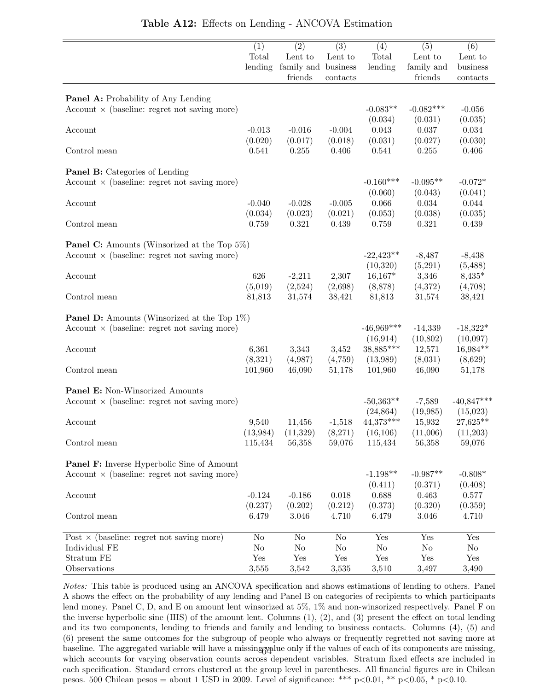|                                                        | (1)      | (2)                   | (3)            | (4)            | (5)         | (6)          |
|--------------------------------------------------------|----------|-----------------------|----------------|----------------|-------------|--------------|
|                                                        | Total    | Lent to               | Lent to        | Total          | Lent to     | Lent to      |
|                                                        | lending  | family and            | business       | lending        | family and  | business     |
|                                                        |          | friends               | contacts       |                | friends     | contacts     |
|                                                        |          |                       |                |                |             |              |
| <b>Panel A:</b> Probability of Any Lending             |          |                       |                |                |             |              |
| $Account \times (baseline: regret not saving more)$    |          |                       |                | $-0.083**$     | $-0.082***$ | $-0.056$     |
|                                                        |          |                       |                | (0.034)        | (0.031)     | (0.035)      |
| Account                                                | $-0.013$ | $-0.016$              | $-0.004$       | 0.043          | $0.037\,$   | 0.034        |
|                                                        | (0.020)  | (0.017)               | (0.018)        | (0.031)        | (0.027)     | (0.030)      |
| Control mean                                           | 0.541    | 0.255                 | 0.406          | 0.541          | 0.255       | 0.406        |
| <b>Panel B:</b> Categories of Lending                  |          |                       |                |                |             |              |
| $Account \times (baseline: regret not saving more)$    |          |                       |                | $-0.160***$    | $-0.095**$  | $-0.072*$    |
|                                                        |          |                       |                | (0.060)        | (0.043)     | (0.041)      |
| Account                                                | $-0.040$ | $-0.028$              | $-0.005$       | 0.066          | $0.034\,$   | 0.044        |
|                                                        | (0.034)  | (0.023)               | (0.021)        | (0.053)        | (0.038)     | (0.035)      |
| Control mean                                           | 0.759    | 0.321                 | 0.439          | 0.759          | 0.321       | 0.439        |
|                                                        |          |                       |                |                |             |              |
| <b>Panel C:</b> Amounts (Winsorized at the Top 5%)     |          |                       |                |                |             |              |
| Account $\times$ (baseline: regret not saving more)    |          |                       |                | $-22,423**$    | $-8,487$    | $-8,438$     |
|                                                        |          |                       |                | (10,320)       | (5,291)     | (5,488)      |
| Account                                                | 626      | $-2,211$              | 2,307          | $16,167*$      | 3,346       | $8,435*$     |
|                                                        | (5,019)  | (2,524)               | (2,698)        | (8,878)        | (4,372)     | (4,708)      |
| Control mean                                           | 81,813   | 31,574                | 38,421         | 81,813         | 31,574      | 38,421       |
|                                                        |          |                       |                |                |             |              |
| <b>Panel D:</b> Amounts (Winsorized at the Top $1\%$ ) |          |                       |                |                |             |              |
| Account $\times$ (baseline: regret not saving more)    |          |                       |                | $-46,969***$   | $-14,339$   | $-18,322*$   |
|                                                        |          |                       |                | (16, 914)      | (10, 802)   | (10,097)     |
| Account                                                | 6,361    | 3,343                 | 3,452          | 38,885***      | 12,571      | $16,984**$   |
|                                                        | (8,321)  | (4,987)               | (4,759)        | (13,989)       | (8,031)     | (8,629)      |
| Control mean                                           | 101,960  | 46,090                | 51,178         | 101,960        | 46,090      | 51,178       |
| Panel E: Non-Winsorized Amounts                        |          |                       |                |                |             |              |
| $Account \times (baseline: regret not saving more)$    |          |                       |                | $-50,363**$    | $-7,589$    | $-40,847***$ |
|                                                        |          |                       |                | (24, 864)      | (19,985)    | (15,023)     |
| Account                                                | 9,540    | 11,456                | $-1,518$       | 44,373***      | 15,932      | 27,625**     |
|                                                        |          | $(13,984)$ $(11,329)$ | (8,271)        | (16, 106)      | (11,006)    | (11,203)     |
| Control mean                                           | 115,434  | 56,358                | 59,076         | 115,434        | 56,358      | 59,076       |
|                                                        |          |                       |                |                |             |              |
| <b>Panel F:</b> Inverse Hyperbolic Sine of Amount      |          |                       |                |                |             |              |
| Account $\times$ (baseline: regret not saving more)    |          |                       |                | $-1.198**$     | $-0.987**$  | $-0.808*$    |
|                                                        |          |                       |                | (0.411)        | (0.371)     | (0.408)      |
| Account                                                | $-0.124$ | $-0.186$              | $0.018\,$      | 0.688          | 0.463       | 0.577        |
|                                                        | (0.237)  | (0.202)               | (0.212)        | (0.373)        | (0.320)     | (0.359)      |
| Control mean                                           | 6.479    | 3.046                 | 4.710          | 6.479          | 3.046       | 4.710        |
|                                                        |          |                       |                |                |             |              |
| Post $\times$ (baseline: regret not saving more)       | $\rm No$ | $\rm No$              | $\rm No$       | Yes            | Yes         | Yes          |
| Individual FE                                          | $\rm No$ | N <sub>o</sub>        | N <sub>o</sub> | N <sub>o</sub> | $\rm No$    | $\rm No$     |
| Stratum FE                                             | Yes      | Yes                   | Yes            | Yes            | Yes         | Yes          |
| Observations                                           | 3,555    | 3,542                 | 3,535          | 3,510          | 3,497       | 3,490        |

## Table A12: Effects on Lending - ANCOVA Estimation

Notes: This table is produced using an ANCOVA specification and shows estimations of lending to others. Panel A shows the effect on the probability of any lending and Panel B on categories of recipients to which participants lend money. Panel C, D, and E on amount lent winsorized at 5%, 1% and non-winsorized respectively. Panel F on the inverse hyperbolic sine (IHS) of the amount lent. Columns (1), (2), and (3) present the effect on total lending and its two components, lending to friends and family and lending to business contacts. Columns (4), (5) and (6) present the same outcomes for the subgroup of people who always or frequently regretted not saving more at baseline. The aggregated variable will have a missing value only if the values of each of its components are missing, which accounts for varying observation counts across dependent variables. Stratum fixed effects are included in each specification. Standard errors clustered at the group level in parentheses. All financial figures are in Chilean pesos. 500 Chilean pesos = about 1 USD in 2009. Level of significance: \*\*\* p<0.01, \*\* p<0.05, \* p<0.10.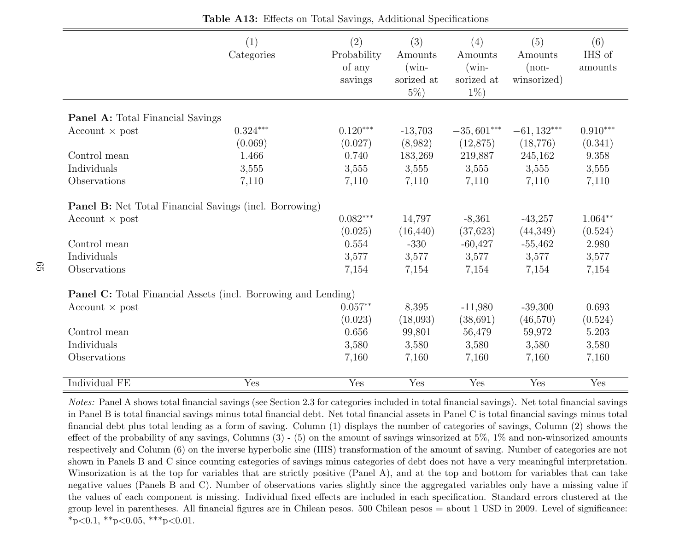|                                                                      | (1)<br>Categories | (2)<br>Probability<br>of any<br>savings | (3)<br>Amounts<br>$(win-$<br>sorized at<br>$5\%$ ) | (4)<br>Amounts<br>$(win-$<br>sorized at<br>$1\%)$ | (5)<br>Amounts<br>$(non-$<br>winsorized) | (6)<br>IHS of<br>amounts |
|----------------------------------------------------------------------|-------------------|-----------------------------------------|----------------------------------------------------|---------------------------------------------------|------------------------------------------|--------------------------|
| <b>Panel A:</b> Total Financial Savings                              |                   |                                         |                                                    |                                                   |                                          |                          |
| Account $\times$ post                                                | $0.324***$        | $0.120***$                              | $-13,703$                                          | $-35,601***$                                      | $-61, 132***$                            | $0.910***$               |
|                                                                      | (0.069)           | (0.027)                                 | (8,982)                                            | (12,875)                                          | (18, 776)                                | (0.341)                  |
| Control mean                                                         | 1.466             | 0.740                                   | 183,269                                            | 219,887                                           | 245,162                                  | 9.358                    |
| Individuals                                                          | 3,555             | 3,555                                   | 3,555                                              | 3,555                                             | 3,555                                    | 3,555                    |
| Observations                                                         | 7,110             | 7,110                                   | 7,110                                              | 7,110                                             | 7,110                                    | 7,110                    |
| <b>Panel B:</b> Net Total Financial Savings (incl. Borrowing)        |                   |                                         |                                                    |                                                   |                                          |                          |
| Account $\times$ post                                                |                   | $0.082***$                              | 14,797                                             | $-8,361$                                          | $-43,257$                                | $1.064**$                |
|                                                                      |                   | (0.025)                                 | (16, 440)                                          | (37, 623)                                         | (44,349)                                 | (0.524)                  |
| Control mean                                                         |                   | 0.554                                   | $-330$                                             | $-60,427$                                         | $-55,462$                                | 2.980                    |
| Individuals                                                          |                   | 3,577                                   | 3,577                                              | 3,577                                             | 3,577                                    | 3,577                    |
| Observations                                                         |                   | 7,154                                   | 7,154                                              | 7,154                                             | 7,154                                    | 7,154                    |
| <b>Panel C:</b> Total Financial Assets (incl. Borrowing and Lending) |                   |                                         |                                                    |                                                   |                                          |                          |
| Account $\times$ post                                                |                   | $0.057**$                               | 8,395                                              | $-11,980$                                         | $-39,300$                                | 0.693                    |
|                                                                      |                   | (0.023)                                 | (18,093)                                           | (38, 691)                                         | (46, 570)                                | (0.524)                  |
| Control mean                                                         |                   | 0.656                                   | 99,801                                             | 56,479                                            | 59,972                                   | 5.203                    |
| Individuals                                                          |                   | 3,580                                   | 3,580                                              | 3,580                                             | 3,580                                    | 3,580                    |
| Observations                                                         |                   | 7,160                                   | 7,160                                              | 7,160                                             | 7,160                                    | 7,160                    |
|                                                                      |                   |                                         | Yes                                                | Yes                                               | Yes                                      | Yes                      |
| Individual FE                                                        | Yes               | Yes                                     |                                                    |                                                   |                                          |                          |

Table A13: Effects on Total Savings, Additional Specifications

Notes: Panel <sup>A</sup> shows total financial savings (see Section 2.3 for categories included in total financial savings). Net total financial savings in Panel B is total financial savings minus total financial debt. Net total financial assets in Panel C is total financial savings minus totalfinancial debt <sup>p</sup>lus total lending as <sup>a</sup> form of saving. Column (1) displays the number of categories of savings, Column (2) shows theeffect of the probability of any savings, Columns  $(3)$  -  $(5)$  on the amount of savings winsorized at  $5\%$ ,  $1\%$  and non-winsorized amounts respectively and Column (6) on the inverse hyperbolic sine (IHS) transformation of the amount of saving. Number of categories are not shown in Panels B and C since counting categories of savings minus categories of debt does not have <sup>a</sup> very meaningful interpretation.Winsorization is at the top for variables that are strictly positive (Panel A), and at the top and bottom for variables that can take negative values (Panels <sup>B</sup> and C). Number of observations varies slightly since the aggregated variables only have <sup>a</sup> missing value ifthe values of each component is missing. Individual fixed effects are included in each specification. Standard errors clustered at the group level in parentheses. All financial figures are in Chilean pesos. 500 Chilean pesos <sup>=</sup> about 1 USD in 2009. Level of significance: $*_{p<0.1}$ ,  $*_{p<0.05}$ ,  $*_{p<0.01}$ .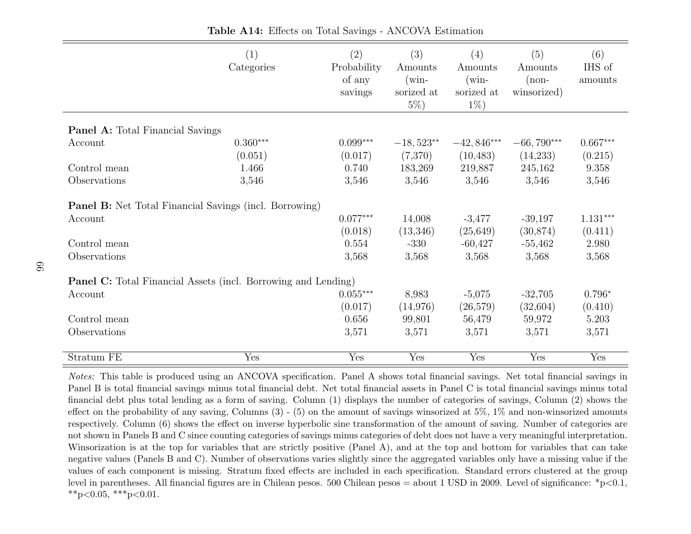|                                                                      | (1)<br>Categories | (2)<br>Probability<br>of any<br>savings | (3)<br>Amounts<br>$(\text{win} -$<br>sorized at<br>$5\%)$ | (4)<br>Amounts<br>$(\text{win} -$<br>sorized at<br>$1\%)$ | (5)<br>Amounts<br>$(non-$<br>winsorized) | (6)<br>IHS of<br>amounts |
|----------------------------------------------------------------------|-------------------|-----------------------------------------|-----------------------------------------------------------|-----------------------------------------------------------|------------------------------------------|--------------------------|
| <b>Panel A:</b> Total Financial Savings                              |                   |                                         |                                                           |                                                           |                                          |                          |
| Account                                                              | $0.360***$        | $0.099***$                              | $-18,523**$                                               | $-42,846***$                                              | $-66,790***$                             | $0.667***$               |
|                                                                      | (0.051)           | (0.017)                                 | (7,370)                                                   | (10, 483)                                                 | (14,233)                                 | (0.215)                  |
| Control mean                                                         | 1.466             | 0.740                                   | 183,269                                                   | 219,887                                                   | 245,162                                  | 9.358                    |
| Observations                                                         | 3,546             | 3,546                                   | 3,546                                                     | 3,546                                                     | 3,546                                    | 3,546                    |
| <b>Panel B:</b> Net Total Financial Savings (incl. Borrowing)        |                   |                                         |                                                           |                                                           |                                          |                          |
| Account                                                              |                   | $0.077***$                              | 14,008                                                    | $-3,477$                                                  | $-39,197$                                | $1.131***$               |
|                                                                      |                   | (0.018)                                 | (13, 346)                                                 | (25, 649)                                                 | (30, 874)                                | (0.411)                  |
| Control mean                                                         |                   | 0.554                                   | $-330$                                                    | $-60,427$                                                 | $-55,462$                                | 2.980                    |
| Observations                                                         |                   | 3,568                                   | 3,568                                                     | 3,568                                                     | 3,568                                    | 3,568                    |
| <b>Panel C:</b> Total Financial Assets (incl. Borrowing and Lending) |                   |                                         |                                                           |                                                           |                                          |                          |
| Account                                                              |                   | $0.055***$                              | 8,983                                                     | $-5,075$                                                  | $-32,705$                                | $0.796*$                 |
|                                                                      |                   | (0.017)                                 | (14, 976)                                                 | (26, 579)                                                 | (32, 604)                                | (0.410)                  |
| Control mean                                                         |                   | 0.656                                   | 99,801                                                    | 56,479                                                    | 59,972                                   | 5.203                    |
| Observations                                                         |                   | 3,571                                   | 3,571                                                     | 3,571                                                     | 3,571                                    | 3,571                    |
|                                                                      |                   |                                         |                                                           |                                                           |                                          |                          |
| Stratum FE                                                           | Yes               | Yes                                     | Yes                                                       | Yes                                                       | Yes                                      | Yes                      |

Table A14: Effects on Total Savings - ANCOVA Estimation

Notes: This table is produced using an ANCOVA specification. Panel A shows total financial savings. Net total financial savings in Panel B is total financial savings minus total financial debt. Net total financial assets in Panel C is total financial savings minus totalfinancial debt <sup>p</sup>lus total lending as <sup>a</sup> form of saving. Column (1) displays the number of categories of savings, Column (2) shows the effect on the probability of any saving, Columns (3) - (5) on the amount of savings winsorized at 5%, 1% and non-winsorized amounts respectively. Column (6) shows the effect on inverse hyperbolic sine transformation of the amount of saving. Number of categories are not shown in Panels B and C since counting categories of savings minus categories of debt does not have <sup>a</sup> very meaningful interpretation.Winsorization is at the top for variables that are strictly positive (Panel A), and at the top and bottom for variables that can take negative values (Panels <sup>B</sup> and C). Number of observations varies slightly since the aggregated variables only have <sup>a</sup> missing value if the values of each component is missing. Stratum fixed effects are included in each specification. Standard errors clustered at the group level in parentheses. All financial figures are in Chilean pesos. 500 Chilean pesos <sup>=</sup> about <sup>1</sup> USD in 2009. Level of significance: \*p<0.1,\*\*p<0.05, \*\*\*p<0.01.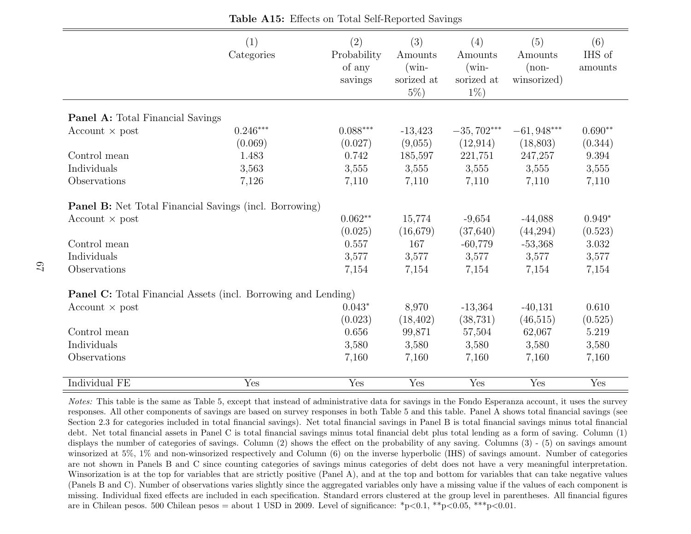|                                                                      | (1)<br>Categories | (2)<br>Probability<br>of any<br>savings | (3)<br>Amounts<br>$(win-$<br>sorized at<br>$5\%$ ) | (4)<br>Amounts<br>$(win-$<br>sorized at<br>$1\%)$ | (5)<br>Amounts<br>$(non-$<br>winsorized) | (6)<br>IHS of<br>amounts |
|----------------------------------------------------------------------|-------------------|-----------------------------------------|----------------------------------------------------|---------------------------------------------------|------------------------------------------|--------------------------|
| <b>Panel A:</b> Total Financial Savings                              |                   |                                         |                                                    |                                                   |                                          |                          |
| Account $\times$ post                                                | $0.246***$        | $0.088***$                              | $-13,423$                                          | $-35,702***$                                      | $-61,948***$                             | $0.690**$                |
|                                                                      | (0.069)           | (0.027)                                 | (9,055)                                            | (12, 914)                                         | (18, 803)                                | (0.344)                  |
| Control mean                                                         | 1.483             | 0.742                                   | 185,597                                            | 221,751                                           | 247,257                                  | 9.394                    |
| Individuals                                                          | 3,563             | 3,555                                   | 3,555                                              | 3,555                                             | 3,555                                    | 3,555                    |
| Observations                                                         | 7,126             | 7,110                                   | 7,110                                              | 7,110                                             | 7,110                                    | 7,110                    |
| <b>Panel B:</b> Net Total Financial Savings (incl. Borrowing)        |                   |                                         |                                                    |                                                   |                                          |                          |
| Account $\times$ post                                                |                   | $0.062**$                               | 15,774                                             | $-9,654$                                          | $-44,088$                                | $0.949*$                 |
|                                                                      |                   | (0.025)                                 | (16, 679)                                          | (37, 640)                                         | (44,294)                                 | (0.523)                  |
| Control mean                                                         |                   | 0.557                                   | 167                                                | $-60,779$                                         | $-53,368$                                | 3.032                    |
| Individuals                                                          |                   | 3,577                                   | 3,577                                              | 3,577                                             | 3,577                                    | 3,577                    |
| Observations                                                         |                   | 7,154                                   | 7,154                                              | 7,154                                             | 7,154                                    | 7,154                    |
| <b>Panel C:</b> Total Financial Assets (incl. Borrowing and Lending) |                   |                                         |                                                    |                                                   |                                          |                          |
| Account $\times$ post                                                |                   | $0.043*$                                | 8,970                                              | $-13,364$                                         | $-40,131$                                | 0.610                    |
|                                                                      |                   | (0.023)                                 | (18, 402)                                          | (38, 731)                                         | (46, 515)                                | (0.525)                  |
| Control mean                                                         |                   | 0.656                                   | 99,871                                             | 57,504                                            | 62,067                                   | 5.219                    |
| Individuals                                                          |                   | 3,580                                   | 3,580                                              | 3,580                                             | 3,580                                    | 3,580                    |
| Observations                                                         |                   | 7,160                                   | 7,160                                              | 7,160                                             | 7,160                                    | 7,160                    |
|                                                                      |                   |                                         |                                                    |                                                   |                                          |                          |
| Individual FE                                                        | Yes               | Yes                                     | Yes                                                | Yes                                               | Yes                                      | Yes                      |

Table A15: Effects on Total Self-Reported Savings

Notes: This table is the same as Table 5, except that instead of administrative data for savings in the Fondo Esperanza account, it uses the survey responses. All other components of savings are based on survey responses in both Table <sup>5</sup> and this table. Panel A shows total financial savings (see Section 2.3 for categories included in total financial savings). Net total financial savings in Panel <sup>B</sup> is total financial savings minus total financial debt. Net total financial assets in Panel C is total financial savings minus total financial debt <sup>p</sup>lus total lending as <sup>a</sup> form of saving. Column (1) displays the number of categories of savings. Column (2) shows the effect on the probability of any saving. Columns (3) - (5) on savings amount winsorized at 5%, 1% and non-winsorized respectively and Column (6) on the inverse hyperbolic (IHS) of savings amount. Number of categories are not shown in Panels B and C since counting categories of savings minus categories of debt does not have <sup>a</sup> very meaningful interpretation.Winsorization is at the top for variables that are strictly positive (Panel A), and at the top and bottom for variables that can take negative values (Panels <sup>B</sup> and C). Number of observations varies slightly since the aggregated variables only have <sup>a</sup> missing value if the values of each component is missing. Individual fixed effects are included in each specification. Standard errors clustered at the group level in parentheses. All financial figuresare in Chilean pesos. 500 Chilean pesos = about 1 USD in 2009. Level of significance:  $*p<0.1$ ,  $*p<0.05$ ,  $**p<0.01$ .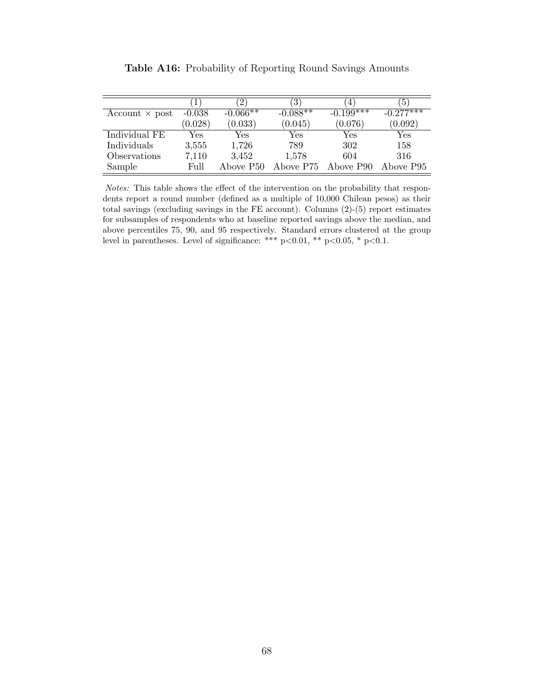|                       |          |            | 3)                            | 4           | 5           |
|-----------------------|----------|------------|-------------------------------|-------------|-------------|
| $Account \times post$ | $-0.038$ | $-0.066**$ | $-0.088**$                    | $-0.199***$ | $-0.277***$ |
|                       | (0.028)  | (0.033)    | (0.045)                       | (0.076)     | (0.092)     |
| Individual FE         | Yes      | Yes        | Yes                           | Yes         | Yes         |
| Individuals           | 3,555    | 1,726      | 789                           | 302         | 158         |
| Observations          | 7,110    | 3,452      | 1,578                         | 604         | 316         |
| Sample                | Full     | Above P50  | Above P75 Above P90 Above P95 |             |             |

Table A16: Probability of Reporting Round Savings Amounts

Notes: This table shows the effect of the intervention on the probability that respondents report a round number (defined as a multiple of 10,000 Chilean pesos) as their total savings (excluding savings in the FE account). Columns (2)-(5) report estimates for subsamples of respondents who at baseline reported savings above the median, and above percentiles 75, 90, and 95 respectively. Standard errors clustered at the group level in parentheses. Level of significance: \*\*\* p<0.01, \*\* p<0.05, \* p<0.1.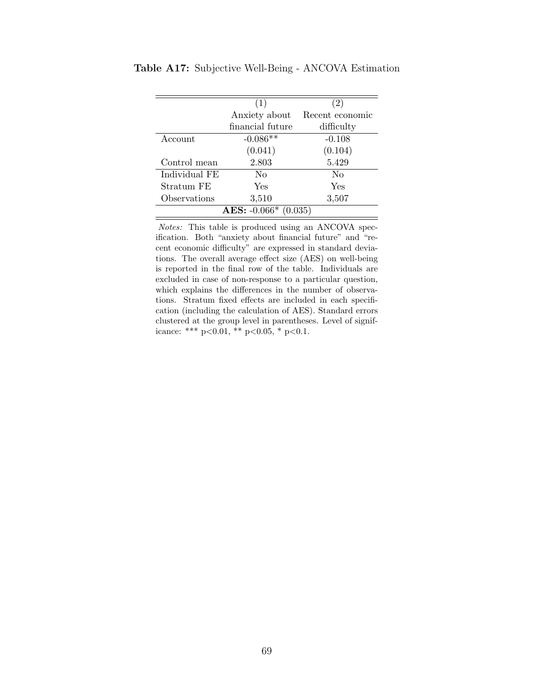|                               | $\left(1\right)$ | (2)             |  |  |  |  |  |  |
|-------------------------------|------------------|-----------------|--|--|--|--|--|--|
|                               | Anxiety about    | Recent economic |  |  |  |  |  |  |
|                               | financial future | difficulty      |  |  |  |  |  |  |
| Account                       | $-0.086**$       | $-0.108$        |  |  |  |  |  |  |
|                               | (0.041)          | (0.104)         |  |  |  |  |  |  |
| Control mean                  | 2.803            | 5.429           |  |  |  |  |  |  |
| Individual FE                 | N <sub>o</sub>   | N <sub>0</sub>  |  |  |  |  |  |  |
| Stratum FE                    | Yes              | Yes             |  |  |  |  |  |  |
| Observations                  | 3,510            | 3,507           |  |  |  |  |  |  |
| <b>AES:</b> $-0.066*$ (0.035) |                  |                 |  |  |  |  |  |  |

Table A17: Subjective Well-Being - ANCOVA Estimation

Notes: This table is produced using an ANCOVA specification. Both "anxiety about financial future" and "recent economic difficulty" are expressed in standard deviations. The overall average effect size (AES) on well-being is reported in the final row of the table. Individuals are excluded in case of non-response to a particular question, which explains the differences in the number of observations. Stratum fixed effects are included in each specification (including the calculation of AES). Standard errors clustered at the group level in parentheses. Level of significance: \*\*\*  $p<0.01$ , \*\*  $p<0.05$ , \*  $p<0.1$ .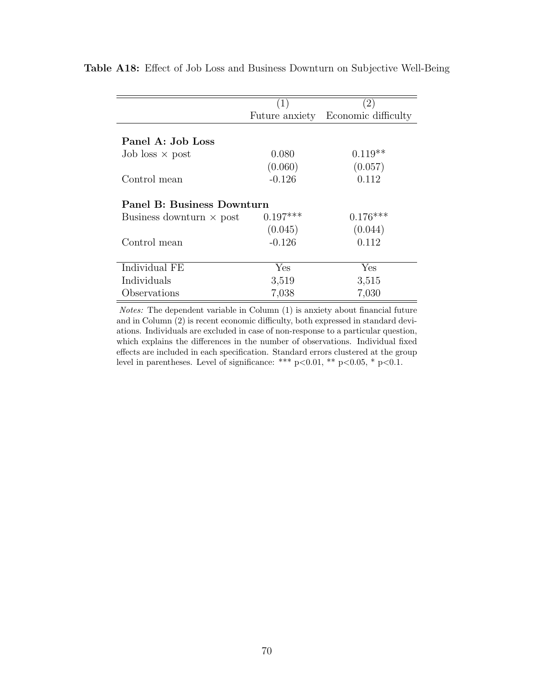|                                 | (1)            | (2)                 |  |  |  |  |  |  |
|---------------------------------|----------------|---------------------|--|--|--|--|--|--|
|                                 | Future anxiety | Economic difficulty |  |  |  |  |  |  |
|                                 |                |                     |  |  |  |  |  |  |
| Panel A: Job Loss               |                |                     |  |  |  |  |  |  |
| Job loss $\times$ post          | 0.080          | $0.119**$           |  |  |  |  |  |  |
|                                 | (0.060)        | (0.057)             |  |  |  |  |  |  |
| Control mean                    | $-0.126$       | 0.112               |  |  |  |  |  |  |
| Panel B: Business Downturn      |                |                     |  |  |  |  |  |  |
| Business downturn $\times$ post | $0.197***$     | $0.176***$          |  |  |  |  |  |  |
|                                 | (0.045)        | (0.044)             |  |  |  |  |  |  |
| Control mean                    | $-0.126$       | 0.112               |  |  |  |  |  |  |
|                                 |                |                     |  |  |  |  |  |  |
| Individual FE                   | Yes            | Yes                 |  |  |  |  |  |  |
| Individuals                     | 3,519          | 3,515               |  |  |  |  |  |  |
| Observations                    | 7,038          | 7,030               |  |  |  |  |  |  |

Table A18: Effect of Job Loss and Business Downturn on Subjective Well-Being

Notes: The dependent variable in Column (1) is anxiety about financial future and in Column (2) is recent economic difficulty, both expressed in standard deviations. Individuals are excluded in case of non-response to a particular question, which explains the differences in the number of observations. Individual fixed effects are included in each specification. Standard errors clustered at the group level in parentheses. Level of significance: \*\*\* p<0.01, \*\* p<0.05, \* p<0.1.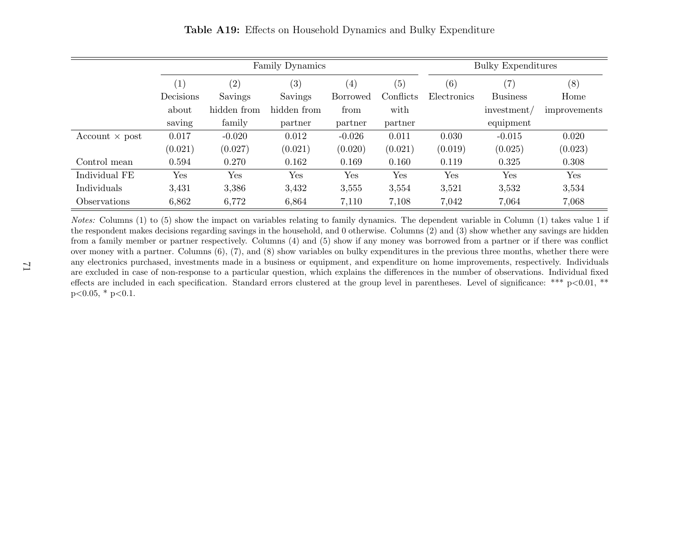|                            | Family Dynamics   |                   |             |                   | <b>Bulky Expenditures</b> |             |                   |              |
|----------------------------|-------------------|-------------------|-------------|-------------------|---------------------------|-------------|-------------------|--------------|
|                            | $\left( 1\right)$ | $\left( 2\right)$ | (3)         | $\left( 4\right)$ | (5)                       | (6)         | $\left( 7\right)$ | (8)          |
|                            | Decisions         | Savings           | Savings     | <b>Borrowed</b>   | Conflicts                 | Electronics | <b>Business</b>   | Home         |
|                            | about             | hidden from       | hidden from | from              | with                      |             | investment/       | improvements |
|                            | saving            | family            | partner     | partner           | partner                   |             | equipment         |              |
| $Account \times post$      | 0.017             | $-0.020$          | 0.012       | $-0.026$          | 0.011                     | 0.030       | $-0.015$          | 0.020        |
|                            | (0.021)           | (0.027)           | (0.021)     | (0.020)           | (0.021)                   | (0.019)     | (0.025)           | (0.023)      |
| Control mean               | 0.594             | 0.270             | 0.162       | 0.169             | 0.160                     | 0.119       | 0.325             | 0.308        |
| Individual FE              | Yes               | Yes               | Yes         | Yes               | Yes                       | Yes         | Yes               | Yes          |
| Individuals                | 3,431             | 3,386             | 3,432       | 3,555             | 3,554                     | 3,521       | 3,532             | 3,534        |
| <i><b>Observations</b></i> | 6,862             | 6,772             | 6,864       | 7,110             | 7,108                     | 7,042       | 7,064             | 7,068        |

Table A19: Effects on Household Dynamics and Bulky Expenditure

Notes: Columns (1) to (5) show the impact on variables relating to family dynamics. The dependent variable in Column (1) takes value 1 if the respondent makes decisions regarding savings in the household, and <sup>0</sup> otherwise. Columns (2) and (3) show whether any savings are hidden from <sup>a</sup> family member or partner respectively. Columns (4) and (5) show if any money was borrowed from <sup>a</sup> partner or if there was conflict over money with <sup>a</sup> partner. Columns (6), (7), and (8) show variables on bulky expenditures in the previous three months, whether there were any electronics purchased, investments made in <sup>a</sup> business or equipment, and expenditure on home improvements, respectively. Individuals are excluded in case of non-response to <sup>a</sup> particular question, which explains the differences in the number of observations. Individual fixed effects are included in each specification. Standard errors clustered at the group level in parentheses. Level of significance: \*\*\* <sup>p</sup><sup>&</sup>lt;0.01, \*\* $p<0.05$ , \*  $p<0.1$ .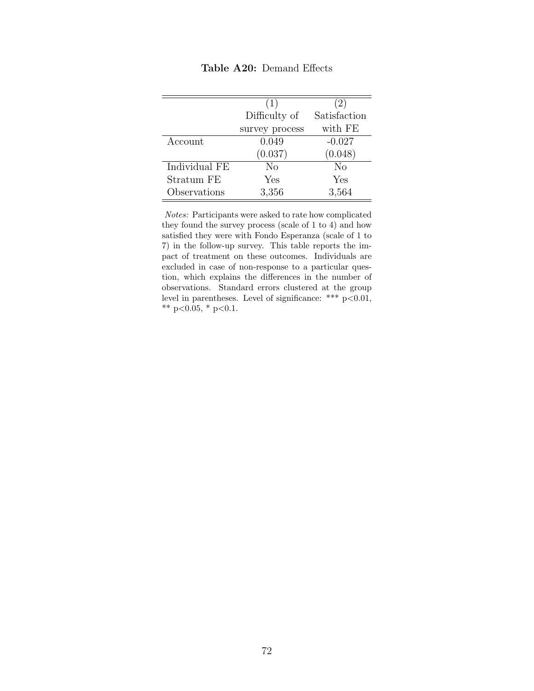|               | (1)            | (2)            |
|---------------|----------------|----------------|
|               | Difficulty of  | Satisfaction   |
|               | survey process | with FE        |
| Account       | 0.049          | $-0.027$       |
|               | (0.037)        | (0.048)        |
| Individual FE | N <sub>0</sub> | N <sub>0</sub> |
| Stratum FE    | Yes            | Yes            |
| Observations  | 3,356          | 3,564          |

Table A20: Demand Effects

Notes: Participants were asked to rate how complicated they found the survey process (scale of 1 to 4) and how satisfied they were with Fondo Esperanza (scale of 1 to 7) in the follow-up survey. This table reports the impact of treatment on these outcomes. Individuals are excluded in case of non-response to a particular question, which explains the differences in the number of observations. Standard errors clustered at the group level in parentheses. Level of significance: \*\*\*  $p < 0.01$ , \*\* p<0.05, \* p<0.1.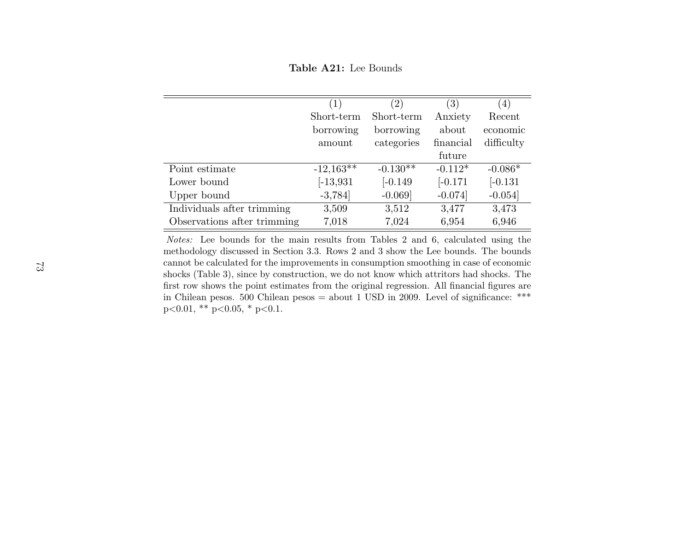| Table A21: Lee Bounds |
|-----------------------|
|                       |

|                             | (1)          | $\left( 2\right)$ | $\left( 3\right)$ | $\left( 4\right)$ |
|-----------------------------|--------------|-------------------|-------------------|-------------------|
|                             | Short-term   | Short-term        | Anxiety           | Recent            |
|                             | borrowing    | borrowing         | about             | economic          |
|                             | amount       | categories        | financial         | difficulty        |
|                             |              |                   | future            |                   |
| Point estimate              | $-12,163**$  | $-0.130**$        | $-0.112*$         | $-0.086*$         |
| Lower bound                 | $[-13, 931]$ | $[-0.149]$        | $[-0.171]$        | $[-0.131]$        |
| Upper bound                 | $-3,784$     | $-0.069$          | $-0.074$          | $-0.054$          |
| Individuals after trimming  | 3,509        | 3,512             | 3,477             | 3,473             |
| Observations after trimming | 7,018        | 7,024             | 6,954             | 6,946             |

Notes: Lee bounds for the main results from Tables <sup>2</sup> and 6, calculated using the methodology discussed in Section 3.3. Rows 2 and 3 show the Lee bounds. The bounds cannot be calculated for the improvements in consumption smoothing in case of economic shocks (Table 3), since by construction, we do not know which attritors had shocks. The first row shows the point estimates from the original regression. All financial figures are in Chilean pesos. 500 Chilean pesos <sup>=</sup> about <sup>1</sup> USD in 2009. Level of significance: \*\*\* $p<0.01$ , \*\*  $p<0.05$ , \*  $p<0.1$ .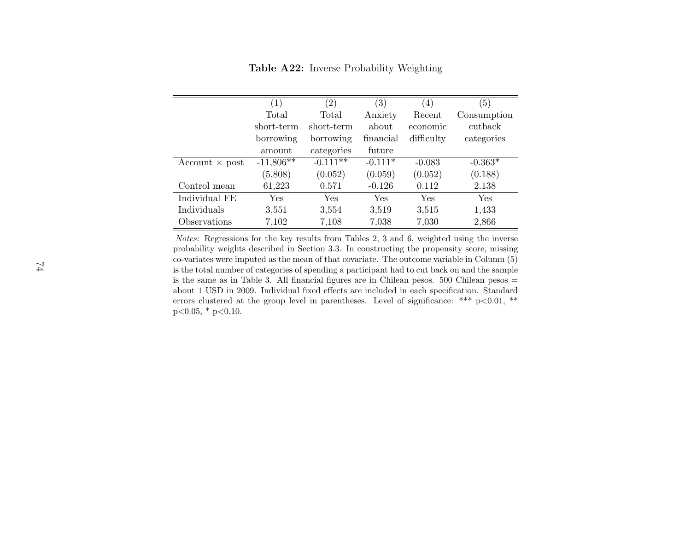|                       | $\left(1\right)$ | (2)        | $\left( 3\right)$ | (4)        | (5)         |
|-----------------------|------------------|------------|-------------------|------------|-------------|
|                       | Total            | Total      | Anxiety           | Recent     | Consumption |
|                       | short-term       | short-term | about             | economic   | cutback     |
|                       | borrowing        | borrowing  | financial         | difficulty | categories  |
|                       | amount           | categories | future            |            |             |
| $Account \times post$ | $-11,806**$      | $-0.111**$ | $-0.111*$         | $-0.083$   | $-0.363*$   |
|                       | (5,808)          | (0.052)    | (0.059)           | (0.052)    | (0.188)     |
| Control mean          | 61,223           | 0.571      | $-0.126$          | 0.112      | 2.138       |
| Individual FE         | Yes              | Yes        | <b>Yes</b>        | <b>Yes</b> | Yes         |
| Individuals           | 3,551            | 3,554      | 3,519             | 3,515      | 1,433       |
| Observations          | 7,102            | 7,108      | 7,038             | 7,030      | 2,866       |

Table A22: Inverse Probability Weighting

Notes: Regressions for the key results from Tables 2, <sup>3</sup> and 6, weighted using the inverse probability weights described in Section 3.3. In constructing the propensity score, missing co-variates were imputed as the mean of that covariate. The outcome variable in Column (5) is the total number of categories of spending <sup>a</sup> participant had to cut back on and the sampleis the same as in Table 3. All financial figures are in Chilean pesos.  $500$  Chilean pesos  $=$  about 1 USD in 2009. Individual fixed effects are included in each specification. Standarderrors clustered at the group level in parentheses. Level of significance: \*\*\*  $p<0.01$ , \*\*  $p<0.05$ , \*  $p<0.10$ .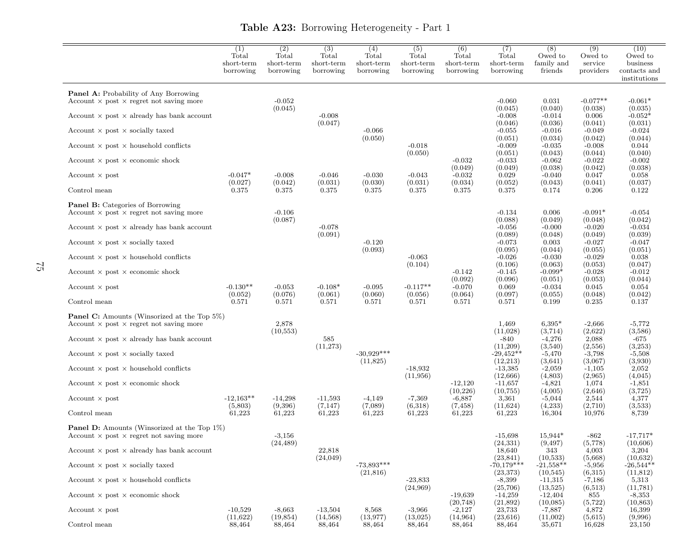|                                                                                                             | (1)<br>Total<br>short-term<br>borrowing | $\overline{(2)}$<br>Total<br>short-term<br>borrowing | $\overline{(3)}$<br>Total<br>short-term<br>borrowing | (4)<br>Total<br>short-term<br>borrowing | $\overline{(5)}$<br>Total<br>short-term<br>borrowing | (6)<br>Total<br>short-term<br>borrowing | (7)<br>Total<br>short-term<br>borrowing | (8)<br>Owed to<br>family and<br>friends | (9)<br>Owed to<br>service<br>providers | (10)<br>Owed to<br>business<br>contacts and<br>institutions |
|-------------------------------------------------------------------------------------------------------------|-----------------------------------------|------------------------------------------------------|------------------------------------------------------|-----------------------------------------|------------------------------------------------------|-----------------------------------------|-----------------------------------------|-----------------------------------------|----------------------------------------|-------------------------------------------------------------|
| Panel A: Probability of Any Borrowing<br>Account $\times$ post $\times$ regret not saving more              |                                         | $-0.052$                                             |                                                      |                                         |                                                      |                                         | $-0.060$                                | 0.031                                   | $-0.077**$                             | $-0.061*$                                                   |
| Account $\times$ post $\times$ already has bank account                                                     |                                         | (0.045)                                              | $-0.008$<br>(0.047)                                  |                                         |                                                      |                                         | (0.045)<br>$-0.008$<br>(0.046)          | (0.040)<br>$-0.014$<br>(0.036)          | (0.038)<br>0.006<br>(0.041)            | (0.035)<br>$-0.052*$<br>(0.031)                             |
| Account $\times$ post $\times$ socially taxed                                                               |                                         |                                                      |                                                      | $-0.066$<br>(0.050)                     |                                                      |                                         | $-0.055$<br>(0.051)                     | $-0.016$                                | $-0.049$<br>(0.042)                    | $-0.024$<br>(0.044)                                         |
| Account $\times$ post $\times$ household conflicts                                                          |                                         |                                                      |                                                      |                                         | $-0.018$                                             |                                         | $-0.009$                                | (0.034)<br>$-0.035$                     | $-0.008$                               | 0.044                                                       |
| Account $\times$ post $\times$ economic shock                                                               |                                         |                                                      |                                                      |                                         | (0.050)                                              | $-0.032$                                | (0.051)<br>$-0.033$                     | (0.043)<br>$-0.062$                     | (0.044)<br>$-0.022$                    | (0.040)<br>$-0.002$                                         |
| $Account \times post$                                                                                       | $-0.047*$                               | $-0.008$                                             | $-0.046$                                             | $-0.030$                                | $-0.043$                                             | (0.049)<br>$-0.032$                     | (0.049)<br>0.029                        | (0.038)<br>$-0.040$                     | (0.042)<br>0.047                       | (0.038)<br>0.058                                            |
| Control mean                                                                                                | (0.027)<br>0.375                        | (0.042)<br>0.375                                     | (0.031)<br>0.375                                     | (0.030)<br>0.375                        | (0.031)<br>0.375                                     | (0.034)<br>0.375                        | (0.052)<br>0.375                        | (0.043)<br>0.174                        | (0.041)<br>0.206                       | (0.037)<br>0.122                                            |
| <b>Panel B:</b> Categories of Borrowing<br>Account $\times$ post $\times$ regret not saving more            |                                         | $-0.106$<br>(0.087)                                  |                                                      |                                         |                                                      |                                         | $-0.134$<br>(0.088)                     | 0.006<br>(0.049)                        | $-0.091*$<br>(0.048)                   | $-0.054$<br>(0.042)                                         |
| Account $\times$ post $\times$ already has bank account                                                     |                                         |                                                      | $-0.078$<br>(0.091)                                  |                                         |                                                      |                                         | $-0.056$<br>(0.089)                     | $-0.000$<br>(0.048)                     | $-0.020$<br>(0.049)                    | $-0.034$<br>(0.039)                                         |
| Account $\times$ post $\times$ socially taxed                                                               |                                         |                                                      |                                                      | $-0.120$<br>(0.093)                     |                                                      |                                         | $-0.073$<br>(0.095)                     | 0.003<br>(0.044)                        | $-0.027$<br>(0.055)                    | $-0.047$<br>(0.051)                                         |
| Account $\times$ post $\times$ household conflicts                                                          |                                         |                                                      |                                                      |                                         | $-0.063$<br>(0.104)                                  |                                         | $-0.026$<br>(0.106)                     | $-0.030$<br>(0.063)                     | $-0.029$<br>(0.053)                    | 0.038<br>(0.047)                                            |
| Account $\times$ post $\times$ economic shock                                                               |                                         |                                                      |                                                      |                                         |                                                      | $-0.142$<br>(0.092)                     | $-0.145$<br>(0.096)                     | $-0.099*$<br>(0.051)                    | $-0.028$<br>(0.053)                    | $-0.012$<br>(0.044)                                         |
| Account $\times$ post                                                                                       | $-0.130**$<br>(0.052)                   | $-0.053$<br>(0.076)                                  | $-0.108*$<br>(0.061)                                 | $-0.095$<br>(0.060)                     | $-0.117**$<br>(0.056)                                | $-0.070$<br>(0.064)                     | 0.069<br>(0.097)                        | $-0.034$<br>(0.055)                     | 0.045<br>(0.048)                       | 0.054<br>(0.042)                                            |
| Control mean                                                                                                | 0.571                                   | 0.571                                                | 0.571                                                | 0.571                                   | 0.571                                                | 0.571                                   | 0.571                                   | 0.199                                   | 0.235                                  | 0.137                                                       |
| <b>Panel C:</b> Amounts (Winsorized at the Top 5%)<br>Account $\times$ post $\times$ regret not saving more |                                         | 2,878<br>(10, 553)                                   |                                                      |                                         |                                                      |                                         | 1,469<br>(11,028)                       | $6,395*$<br>(3,714)                     | $-2,666$<br>(2,622)                    | $-5,772$<br>(3,586)                                         |
| Account $\times$ post $\times$ already has bank account                                                     |                                         |                                                      | 585<br>(11,273)                                      |                                         |                                                      |                                         | $-840$                                  | $-4,276$<br>(3,540)                     | 2,088                                  | $-675$<br>(3,253)                                           |
| Account $\times$ post $\times$ socially taxed                                                               |                                         |                                                      |                                                      | $-30.929***$<br>(11,825)                |                                                      |                                         | (11,209)<br>$-29,452**$<br>(12,213)     | $-5,470$<br>(3,641)                     | (2,556)<br>$-3,798$<br>(3,067)         | $-5,508$<br>(3,930)                                         |
| Account $\times$ post $\times$ household conflicts                                                          |                                         |                                                      |                                                      |                                         | $-18,932$<br>(11,956)                                |                                         | $-13,385$<br>(12,666)                   | $-2,059$<br>(4,803)                     | $-1,105$<br>(2,965)                    | 2,052<br>(4,045)                                            |
| Account $\times$ post $\times$ economic shock                                                               |                                         |                                                      |                                                      |                                         |                                                      | $-12,120$                               | $-11,657$                               | $-4,821$                                | 1,074                                  | $-1,851$                                                    |
| $Account \times post$                                                                                       | $-12,163**$                             | $-14,298$                                            | $-11,593$                                            | $-4,149$                                | $-7,369$                                             | (10, 226)<br>$-6,887$                   | (10,755)<br>3,361                       | (4,005)<br>$-5,044$                     | (2,646)<br>2,544                       | (3,725)<br>4,377                                            |
| Control mean                                                                                                | (5,803)<br>61,223                       | (9,396)<br>61,223                                    | (7,147)<br>61,223                                    | (7,089)<br>61,223                       | (6,318)<br>61,223                                    | (7, 458)<br>61,223                      | (11,624)<br>61,223                      | (4,233)<br>16,304                       | (2,710)<br>10,976                      | (3,533)<br>8,739                                            |
| <b>Panel D:</b> Amounts (Winsorized at the Top 1%)<br>Account $\times$ post $\times$ regret not saving more |                                         | $-3,156$                                             |                                                      |                                         |                                                      |                                         | $-15,698$                               | $15,944*$                               | $-862$                                 | $-17,717*$                                                  |
| Account $\times$ post $\times$ already has bank account                                                     |                                         | (24, 489)                                            | 22,818                                               |                                         |                                                      |                                         | (24, 331)<br>18,640                     | (9, 497)<br>343                         | (5,778)<br>4,003                       | (10,606)<br>3,204                                           |
| Account $\times$ post $\times$ socially taxed                                                               |                                         |                                                      | (24,049)                                             | $-73,893***$                            |                                                      |                                         | (23, 841)<br>$-70,179***$               | (10,533)<br>$-21,558**$                 | (5,668)<br>$-5,956$                    | (10,632)<br>$-26,544**$                                     |
| Account $\times$ post $\times$ household conflicts                                                          |                                         |                                                      |                                                      | (21, 816)                               | $-23,833$                                            |                                         | (23, 373)<br>$-8,399$                   | (10, 545)<br>$-11,315$                  | (6,315)<br>$-7,186$                    | (11, 812)<br>5,313                                          |
| Account $\times$ post $\times$ economic shock                                                               |                                         |                                                      |                                                      |                                         | (24,969)                                             | $-19,639$                               | (25,706)<br>$-14,259$                   | (13,525)<br>$-12,404$                   | (6,513)<br>855                         | (11,781)<br>$-8,353$                                        |
| Account $\times$ post                                                                                       | $-10,529$                               | $-8,663$                                             | $-13,504$                                            | 8,568                                   | $-3,966$                                             | (20, 748)<br>$-2,127$                   | (21,892)<br>23,733                      | (10,085)<br>-7,887                      | (5, 722)<br>4,872                      | (10, 863)<br>16,399                                         |
| Control mean                                                                                                | (11,622)<br>88,464                      | (19, 854)<br>88,464                                  | (14,568)<br>88,464                                   | (13, 977)<br>88,464                     | (13,025)<br>88,464                                   | (14, 964)<br>88,464                     | (23,616)<br>88,464                      | (11,002)<br>35,671                      | (5,615)<br>16,628                      | (9,996)<br>23,150                                           |

# Table A23: Borrowing Heterogeneity - Part <sup>1</sup>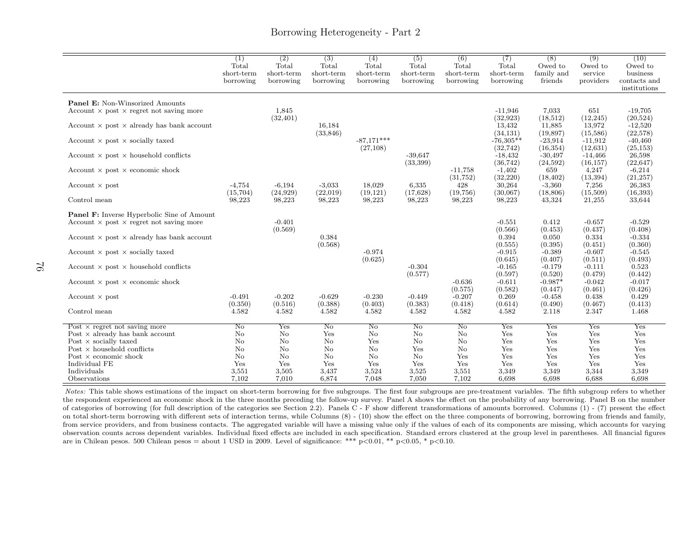## Borrowing Heterogeneity - Part 2

|                                                                                                                                                                                                                                                                                                                               | (1)<br>Total<br>short-term<br>borrowing                                             | (2)<br>Total<br>short-term<br>borrowing                          | $\overline{(3)}$<br>Total<br>short-term<br>borrowing                     | (4)<br>Total<br>short-term<br>borrowing                                  | $\overline{(5)}$<br>Total<br>short-term<br>borrowing                     | (6)<br>Total<br>short-term<br>borrowing                                  | (7)<br>Total<br>short-term<br>borrowing                                                                                     | (8)<br>Owed to<br>family and<br>friends                                                                        | (9)<br>Owed to<br>service<br>providers                                                                           | (10)<br>Owed to<br>business<br>contacts and<br>$\!$                                                                      |
|-------------------------------------------------------------------------------------------------------------------------------------------------------------------------------------------------------------------------------------------------------------------------------------------------------------------------------|-------------------------------------------------------------------------------------|------------------------------------------------------------------|--------------------------------------------------------------------------|--------------------------------------------------------------------------|--------------------------------------------------------------------------|--------------------------------------------------------------------------|-----------------------------------------------------------------------------------------------------------------------------|----------------------------------------------------------------------------------------------------------------|------------------------------------------------------------------------------------------------------------------|--------------------------------------------------------------------------------------------------------------------------|
| <b>Panel E:</b> Non-Winsorized Amounts<br>Account $\times$ post $\times$ regret not saving more<br>Account $\times$ post $\times$ already has bank account<br>Account $\times$ post $\times$ socially taxed<br>Account $\times$ post $\times$ household conflicts<br>Account $\times$ post $\times$ economic shock            |                                                                                     | 1,845<br>(32, 401)                                               | 16.184<br>(33, 846)                                                      | $-87,171***$<br>(27,108)                                                 | $-39,647$<br>(33,399)                                                    | $-11.758$<br>(31,752)                                                    | $-11,946$<br>(32, 923)<br>13,432<br>(34, 131)<br>$-76,305**$<br>(32, 742)<br>$-18,432$<br>(36, 742)<br>$-1,402$<br>(32,220) | 7,033<br>(18,512)<br>11,885<br>(19, 897)<br>$-23,914$<br>(16,354)<br>$-30,497$<br>(24,592)<br>659<br>(18, 402) | 651<br>(12, 245)<br>13,972<br>(15,586)<br>$-11,912$<br>(12, 631)<br>$-14,466$<br>(16, 157)<br>4.247<br>(13, 394) | $-19.705$<br>(20,524)<br>$-12,520$<br>(22,578)<br>$-40,460$<br>(25, 153)<br>26,598<br>(22, 647)<br>$-6,214$<br>(21, 257) |
| Account $\times$ post<br>Control mean                                                                                                                                                                                                                                                                                         | $-4,754$<br>(15, 704)<br>98,223                                                     | $-6,194$<br>(24, 929)<br>98,223                                  | $-3,033$<br>(22,019)<br>98,223                                           | 18,029<br>(19, 121)<br>98,223                                            | 6,335<br>(17,628)<br>98,223                                              | 428<br>(19,756)<br>98,223                                                | 30,264<br>(30,067)<br>98,223                                                                                                | $-3,360$<br>(18, 806)<br>43,324                                                                                | 7,256<br>(15,509)<br>21,255                                                                                      | 26,383<br>(16, 393)<br>33,644                                                                                            |
| <b>Panel F:</b> Inverse Hyperbolic Sine of Amount<br>Account $\times$ post $\times$ regret not saving more<br>Account $\times$ post $\times$ already has bank account<br>Account $\times$ post $\times$ socially taxed<br>Account $\times$ post $\times$ household conflicts<br>Account $\times$ post $\times$ economic shock |                                                                                     | $-0.401$<br>(0.569)                                              | 0.384<br>(0.568)                                                         | $-0.974$<br>(0.625)                                                      | $-0.304$<br>(0.577)                                                      | $-0.636$                                                                 | $-0.551$<br>(0.566)<br>0.394<br>(0.555)<br>$-0.915$<br>(0.645)<br>$-0.165$<br>(0.597)<br>$-0.611$                           | 0.412<br>(0.453)<br>0.050<br>(0.395)<br>$-0.389$<br>(0.407)<br>$-0.179$<br>(0.520)<br>$-0.987*$                | $-0.657$<br>(0.437)<br>0.334<br>(0.451)<br>$-0.607$<br>(0.511)<br>$-0.111$<br>(0.479)<br>$-0.042$                | $-0.529$<br>(0.408)<br>$-0.334$<br>(0.360)<br>$-0.545$<br>(0.493)<br>0.523<br>(0.442)<br>$-0.017$                        |
| Account $\times$ post<br>Control mean                                                                                                                                                                                                                                                                                         | $-0.491$<br>(0.350)<br>4.582                                                        | $-0.202$<br>(0.516)<br>4.582                                     | $-0.629$<br>(0.388)<br>4.582                                             | $-0.230$<br>(0.403)<br>4.582                                             | $-0.449$<br>(0.383)<br>4.582                                             | (0.575)<br>$-0.207$<br>(0.418)<br>4.582                                  | (0.582)<br>0.269<br>(0.614)<br>4.582                                                                                        | (0.447)<br>$-0.458$<br>(0.490)<br>2.118                                                                        | (0.461)<br>0.438<br>(0.467)<br>2.347                                                                             | (0.426)<br>0.429<br>(0.413)<br>1.468                                                                                     |
| Post $\times$ regret not saving more<br>Post $\times$ already has bank account<br>Post $\times$ socially taxed<br>Post $\times$ household conflicts<br>Post $\times$ economic shock<br>Individual FE<br>Individuals<br>Observations                                                                                           | $\overline{\text{No}}$<br>No<br>No<br>No<br>N <sub>o</sub><br>Yes<br>3,551<br>7,102 | Yes<br>$\rm No$<br>$\rm No$<br>No<br>No<br>Yes<br>3,505<br>7,010 | $\overline{\text{No}}$<br>Yes<br>No<br>No<br>No<br>Yes<br>3,437<br>6,874 | $\overline{\text{No}}$<br>No<br>Yes<br>No<br>No<br>Yes<br>3,524<br>7,048 | $\overline{\text{No}}$<br>No<br>No<br>Yes<br>No<br>Yes<br>3,525<br>7,050 | $\overline{\text{No}}$<br>No<br>No<br>No<br>Yes<br>Yes<br>3,551<br>7,102 | Yes<br>Yes<br>Yes<br>Yes<br>Yes<br>Yes<br>3,349<br>6,698                                                                    | Yes<br>Yes<br>Yes<br>Yes<br>Yes<br>Yes<br>3,349<br>6,698                                                       | Yes<br>Yes<br>Yes<br>Yes<br>Yes<br>Yes<br>3,344<br>6,688                                                         | Yes<br>Yes<br>Yes<br>Yes<br>Yes<br>Yes<br>3,349<br>6,698                                                                 |

Notes: This table shows estimations of the impact on short-term borrowing for five subgroups. The first four subgroups are pre-treatment variables. The fifth subgroup refers to whether the respondent experienced an economic shock in the three months preceding the follow-up survey. Panel A shows the effect on the probability of any borrowing. Panel B on the number of categories of borrowing (for full description of the categories see Section 2.2). Panels C - <sup>F</sup> show different transformations of amounts borrowed. Columns (1) - (7) present the effect on total short-term borrowing with different sets of interaction terms, while Columns (8) - (10) show the effect on the three components of borrowing, borrowing from friends and family,from service providers, and from business contacts. The aggregated variable will have a missing value only if the values of each of its components are missing, which accounts for varying observation counts across dependent variables. Individual fixed effects are included in each specification. Standard errors clustered at the group level in parentheses. All financial figuresare in Chilean pesos. 500 Chilean pesos = about 1 USD in 2009. Level of significance: \*\*\*  $p<0.01$ , \*\*  $p<0.05$ , \*  $p<0.10$ .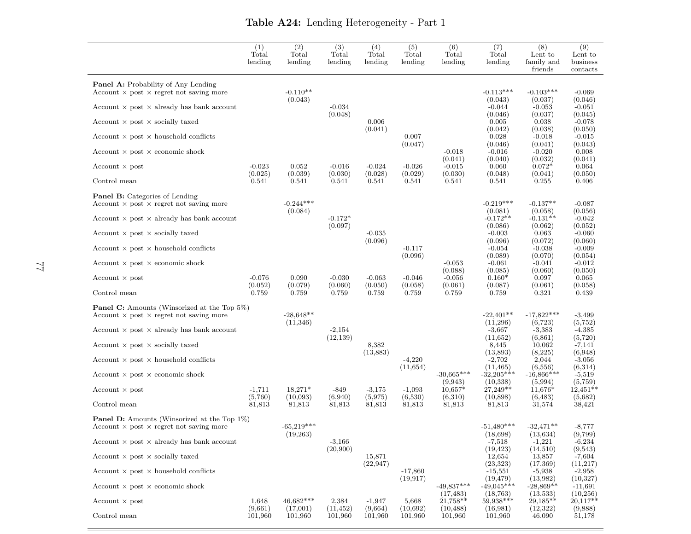|                                                         | $\overline{(1)}$<br>Total | $\overline{(2)}$      | $\overline{(3)}$     | (4)               | $\overline{(5)}$  | $\overline{(6)}$    | (7)<br>Total              | $\overline{(8)}$        | $\overline{(9)}$       |
|---------------------------------------------------------|---------------------------|-----------------------|----------------------|-------------------|-------------------|---------------------|---------------------------|-------------------------|------------------------|
|                                                         | lending                   | Total<br>lending      | Total<br>lending     | Total<br>lending  | Total<br>lending  | Total<br>lending    | lending                   | Lent to<br>family and   | Lent to<br>business    |
|                                                         |                           |                       |                      |                   |                   |                     |                           | friends                 | contacts               |
|                                                         |                           |                       |                      |                   |                   |                     |                           |                         |                        |
| <b>Panel A:</b> Probability of Any Lending              |                           |                       |                      |                   |                   |                     |                           |                         |                        |
| Account $\times$ post $\times$ regret not saving more   |                           | $-0.110**$<br>(0.043) |                      |                   |                   |                     | $-0.113***$<br>(0.043)    | $-0.103***$<br>(0.037)  | $-0.069$<br>(0.046)    |
| Account $\times$ post $\times$ already has bank account |                           |                       | $-0.034$             |                   |                   |                     | $-0.044$                  | $-0.053$                | $-0.051$               |
|                                                         |                           |                       | (0.048)              |                   |                   |                     | (0.046)                   | (0.037)                 | (0.045)                |
| Account $\times$ post $\times$ socially taxed           |                           |                       |                      | 0.006             |                   |                     | 0.005                     | 0.038                   | $-0.078$               |
|                                                         |                           |                       |                      | (0.041)           |                   |                     | (0.042)                   | (0.038)                 | (0.050)                |
| Account $\times$ post $\times$ household conflicts      |                           |                       |                      |                   | 0.007<br>(0.047)  |                     | 0.028<br>(0.046)          | $-0.018$<br>(0.041)     | $-0.015$<br>(0.043)    |
| Account $\times$ post $\times$ economic shock           |                           |                       |                      |                   |                   | $-0.018$            | $-0.016$                  | $-0.020$                | 0.008                  |
|                                                         |                           |                       |                      |                   |                   | (0.041)             | (0.040)                   | (0.032)                 | (0.041)                |
| $Account \times post$                                   | $-0.023$                  | 0.052                 | $-0.016$             | $-0.024$          | $-0.026$          | $-0.015$            | 0.060                     | $0.072*$                | 0.064                  |
|                                                         | (0.025)                   | (0.039)               | (0.030)              | (0.028)           | (0.029)           | (0.030)             | (0.048)                   | (0.041)                 | (0.050)                |
| Control mean                                            | 0.541                     | 0.541                 | 0.541                | 0.541             | 0.541             | 0.541               | 0.541                     | 0.255                   | 0.406                  |
| <b>Panel B:</b> Categories of Lending                   |                           |                       |                      |                   |                   |                     |                           |                         |                        |
| Account $\times$ post $\times$ regret not saving more   |                           | $-0.244***$           |                      |                   |                   |                     | $-0.219***$               | $-0.137**$              | $-0.087$               |
|                                                         |                           | (0.084)               |                      |                   |                   |                     | (0.081)                   | (0.058)                 | (0.056)                |
| Account $\times$ post $\times$ already has bank account |                           |                       | $-0.172*$            |                   |                   |                     | $-0.172**$                | $-0.131**$              | $-0.042$               |
| Account $\times$ post $\times$ socially taxed           |                           |                       | (0.097)              | $-0.035$          |                   |                     | (0.086)<br>$-0.003$       | (0.062)<br>0.063        | (0.052)<br>$-0.060$    |
|                                                         |                           |                       |                      | (0.096)           |                   |                     | (0.096)                   | (0.072)                 | (0.060)                |
| Account $\times$ post $\times$ household conflicts      |                           |                       |                      |                   | $-0.117$          |                     | $-0.054$                  | $-0.038$                | $-0.009$               |
|                                                         |                           |                       |                      |                   | (0.096)           |                     | (0.089)                   | (0.070)                 | (0.054)                |
| Account $\times$ post $\times$ economic shock           |                           |                       |                      |                   |                   | $-0.053$            | $-0.061$                  | $-0.041$                | $-0.012$               |
| $Account \times post$                                   | $-0.076$                  | 0.090                 | $-0.030$             | $-0.063$          | $-0.046$          | (0.088)<br>$-0.056$ | (0.085)<br>$0.160*$       | (0.060)<br>0.097        | (0.050)<br>0.065       |
|                                                         | (0.052)                   | (0.079)               | (0.060)              | (0.050)           | (0.058)           | (0.061)             | (0.087)                   | (0.061)                 | (0.058)                |
| Control mean                                            | 0.759                     | 0.759                 | 0.759                | 0.759             | 0.759             | 0.759               | 0.759                     | 0.321                   | 0.439                  |
|                                                         |                           |                       |                      |                   |                   |                     |                           |                         |                        |
| <b>Panel C:</b> Amounts (Winsorized at the Top 5%)      |                           | $-28.648**$           |                      |                   |                   |                     | $-22,401**$               | $-17,822***$            |                        |
| Account $\times$ post $\times$ regret not saving more   |                           | (11,346)              |                      |                   |                   |                     | (11,296)                  | (6,723)                 | $-3,499$<br>(5,752)    |
| Account $\times$ post $\times$ already has bank account |                           |                       | $-2,154$             |                   |                   |                     | $-3,667$                  | $-3,383$                | $-4,385$               |
|                                                         |                           |                       | (12, 139)            |                   |                   |                     | (11,652)                  | (6,861)                 | (5,720)                |
| Account $\times$ post $\times$ socially taxed           |                           |                       |                      | 8,382             |                   |                     | 8,445                     | 10,062                  | $-7,141$               |
| Account $\times$ post $\times$ household conflicts      |                           |                       |                      | (13,883)          | $-4,220$          |                     | (13,893)<br>$-2,702$      | (8,225)<br>2,044        | (6,948)<br>$-3,056$    |
|                                                         |                           |                       |                      |                   | (11, 654)         |                     | (11, 465)                 | (6,556)                 | (6,314)                |
| Account $\times$ post $\times$ economic shock           |                           |                       |                      |                   |                   | $-30,665***$        | $-32,205***$              | $-16,866***$            | $-5,519$               |
|                                                         |                           |                       |                      |                   |                   | (9,943)             | (10, 338)                 | (5,994)                 | (5,759)                |
| $Account \times post$                                   | $-1,711$                  | $18,271*$             | -849                 | $-3,175$          | $-1,093$          | $10,657*$           | $27,249**$                | $11,676*$               | $12,451**$             |
| Control mean                                            | (5,760)<br>81,813         | (10,093)<br>81,813    | (6,940)<br>81,813    | (5,975)<br>81,813 | (6,530)<br>81,813 | (6,310)<br>81,813   | (10,898)<br>81,813        | (6, 483)<br>31,574      | (5,682)<br>38,421      |
|                                                         |                           |                       |                      |                   |                   |                     |                           |                         |                        |
| <b>Panel D:</b> Amounts (Winsorized at the Top 1%)      |                           |                       |                      |                   |                   |                     |                           |                         |                        |
| Account $\times$ post $\times$ regret not saving more   |                           | $-65,219***$          |                      |                   |                   |                     | $-51,480***$              | $-32,471**$             | $-8,777$               |
|                                                         |                           | (19, 263)             |                      |                   |                   |                     | (18, 698)                 | (13, 634)               | (9,799)                |
| Account $\times$ post $\times$ already has bank account |                           |                       | $-3,166$<br>(20,900) |                   |                   |                     | $-7,518$<br>(19, 423)     | $-1,221$<br>(14,510)    | $-6,234$<br>(9,543)    |
| Account $\times$ post $\times$ socially taxed           |                           |                       |                      | 15,871            |                   |                     | 12,654                    | 13,857                  | $-7,604$               |
|                                                         |                           |                       |                      | (22, 947)         |                   |                     | (23, 323)                 | (17,369)                | (11,217)               |
| Account $\times$ post $\times$ household conflicts      |                           |                       |                      |                   | $-17,860$         |                     | $-15,551$                 | $-5,938$                | $-2,958$               |
| Account $\times$ post $\times$ economic shock           |                           |                       |                      |                   | (19, 917)         | $-49,837***$        | (19, 479)<br>$-49.045***$ | (13,982)<br>$-28,869**$ | (10, 327)<br>$-11,691$ |
|                                                         |                           |                       |                      |                   |                   | (17, 483)           | (18, 763)                 | (13,533)                | (10, 256)              |
| $Account \times post$                                   | 1,648                     | 46.682***             | 2,384                | $-1,947$          | 5,668             | $21,758**$          | $59,938***$               | $29,185**$              | $20,117**$             |
|                                                         | (9,661)                   | (17,001)              | (11, 452)            | (9,664)           | (10, 692)         | (10, 488)           | (16,981)                  | (12, 322)               | (9,888)                |
| Control mean                                            | 101,960                   | 101,960               | 101,960              | 101,960           | 101,960           | 101,960             | 101,960                   | 46,090                  | 51,178                 |

## Table A24: Lending Heterogeneity - Part <sup>1</sup>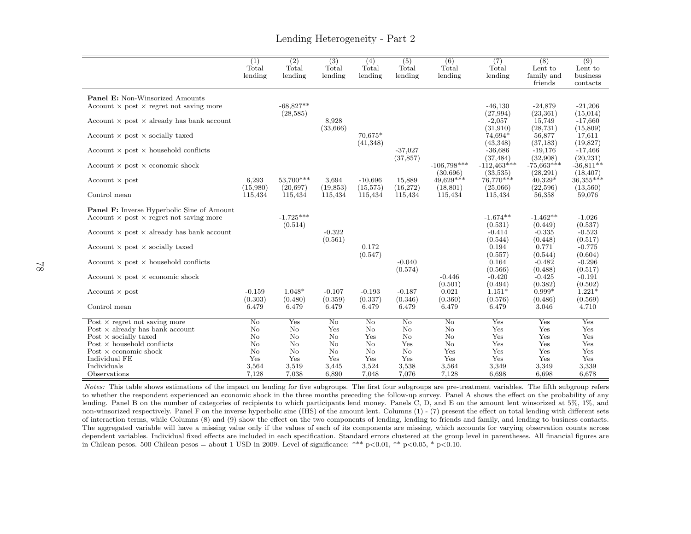#### Lending Heterogeneity - Part 2

|                                                                                                                                                                                                                     | (1)<br>Total<br>lending                                                                            | $\overline{(2)}$<br>Total<br>lending                          | $\overline{(3)}$<br>Total<br>lending                                              | (4)<br>Total<br>lending                                                     | (5)<br>Total<br>lending                                               | (6)<br>Total<br>lending                                                     | (7)<br>Total<br>lending                                              | $\overline{(8)}$<br>Lent to<br>family and<br>friends                 | $\overline{(9)}$<br>Lent to<br>business<br>contacts                  |
|---------------------------------------------------------------------------------------------------------------------------------------------------------------------------------------------------------------------|----------------------------------------------------------------------------------------------------|---------------------------------------------------------------|-----------------------------------------------------------------------------------|-----------------------------------------------------------------------------|-----------------------------------------------------------------------|-----------------------------------------------------------------------------|----------------------------------------------------------------------|----------------------------------------------------------------------|----------------------------------------------------------------------|
| <b>Panel E:</b> Non-Winsorized Amounts<br>Account $\times$ post $\times$ regret not saving more<br>Account $\times$ post $\times$ already has bank account<br>Account $\times$ post $\times$ socially taxed         |                                                                                                    | $-68,827**$<br>(28, 585)                                      | 8,928<br>(33,666)                                                                 | 70.675*<br>(41,348)                                                         |                                                                       |                                                                             | $-46,130$<br>(27,994)<br>$-2,057$<br>(31,910)<br>74,694*<br>(43,348) | $-24,879$<br>(23, 361)<br>15,749<br>(28, 731)<br>56,877<br>(37, 183) | $-21,206$<br>(15,014)<br>$-17,660$<br>(15,809)<br>17,611<br>(19,827) |
| Account $\times$ post $\times$ household conflicts<br>Account $\times$ post $\times$ economic shock                                                                                                                 |                                                                                                    |                                                               |                                                                                   |                                                                             | $-37,027$<br>(37, 857)                                                | $-106,798***$<br>(30,696)                                                   | $-36,686$<br>(37, 484)<br>$-112,463***$<br>(33,535)                  | $-19,176$<br>(32,908)<br>$-75.663***$<br>(28, 291)                   | $-17,466$<br>(20, 231)<br>$-36,811**$<br>(18, 407)                   |
| Account $\times$ post<br>Control mean                                                                                                                                                                               | 6,293<br>(15,980)<br>115,434                                                                       | 53.700***<br>(20,697)<br>115,434                              | 3,694<br>(19, 853)<br>115,434                                                     | $-10,696$<br>(15, 575)<br>115,434                                           | 15,889<br>(16,272)<br>115,434                                         | $49.629***$<br>(18, 801)<br>115,434                                         | 76,770***<br>(25,066)<br>115,434                                     | $40.329*$<br>(22, 596)<br>56,358                                     | $36.355***$<br>(13,560)<br>59,076                                    |
| <b>Panel F:</b> Inverse Hyperbolic Sine of Amount<br>Account $\times$ post $\times$ regret not saving more                                                                                                          |                                                                                                    | $-1.725***$<br>(0.514)                                        |                                                                                   |                                                                             |                                                                       |                                                                             | $-1.674**$<br>(0.531)                                                | $-1.462**$<br>(0.449)                                                | $-1.026$<br>(0.537)                                                  |
| Account $\times$ post $\times$ already has bank account<br>Account $\times$ post $\times$ socially taxed                                                                                                            |                                                                                                    |                                                               | $-0.322$<br>(0.561)                                                               | 0.172<br>(0.547)                                                            |                                                                       |                                                                             | $-0.414$<br>(0.544)<br>0.194<br>(0.557)                              | $-0.335$<br>(0.448)<br>0.771<br>(0.544)                              | $-0.523$<br>(0.517)<br>$-0.775$<br>(0.604)                           |
| Account $\times$ post $\times$ household conflicts<br>Account $\times$ post $\times$ economic shock                                                                                                                 |                                                                                                    |                                                               |                                                                                   |                                                                             | $-0.040$<br>(0.574)                                                   | $-0.446$                                                                    | 0.164<br>(0.566)<br>$-0.420$                                         | $-0.482$<br>(0.488)<br>$-0.425$                                      | $-0.296$<br>(0.517)<br>$-0.191$                                      |
| Account $\times$ post<br>Control mean                                                                                                                                                                               | $-0.159$<br>(0.303)<br>6.479                                                                       | $1.048*$<br>(0.480)<br>6.479                                  | $-0.107$<br>(0.359)<br>6.479                                                      | $-0.193$<br>(0.337)<br>6.479                                                | $-0.187$<br>(0.346)<br>6.479                                          | (0.501)<br>0.021<br>(0.360)<br>6.479                                        | (0.494)<br>$1.151*$<br>(0.576)<br>6.479                              | (0.382)<br>$0.999*$<br>(0.486)<br>3.046                              | (0.502)<br>$1.221*$<br>(0.569)<br>4.710                              |
| Post $\times$ regret not saving more<br>Post $\times$ already has bank account<br>Post $\times$ socially taxed<br>Post $\times$ household conflicts<br>Post $\times$ economic shock<br>Individual FE<br>Individuals | $\overline{\text{No}}$<br>No<br>N <sub>o</sub><br>N <sub>o</sub><br>N <sub>o</sub><br>Yes<br>3,564 | Yes<br>N <sub>o</sub><br>$\rm No$<br>No<br>No<br>Yes<br>3,519 | $\overline{\text{No}}$<br>Yes<br>$\rm No$<br>$\rm No$<br>$\rm No$<br>Yes<br>3,445 | $\overline{\text{No}}$<br>N <sub>o</sub><br>Yes<br>No<br>No<br>Yes<br>3,524 | $\overline{\text{No}}$<br>$\rm No$<br>No<br>Yes<br>No<br>Yes<br>3,538 | $\overline{\text{No}}$<br>N <sub>o</sub><br>No<br>No<br>Yes<br>Yes<br>3,564 | Yes<br>Yes<br>Yes<br>Yes<br>Yes<br>Yes<br>3,349                      | Yes<br>Yes<br>Yes<br>Yes<br>Yes<br>Yes<br>3,349                      | Yes<br>Yes<br>Yes<br>Yes<br>Yes<br>Yes<br>3,339                      |
| Observations                                                                                                                                                                                                        | 7,128                                                                                              | 7,038                                                         | 6,890                                                                             | 7,048                                                                       | 7,076                                                                 | 7,128                                                                       | 6,698                                                                | 6,698                                                                | 6,678                                                                |

Notes: This table shows estimations of the impact on lending for five subgroups. The first four subgroups are pre-treatment variables. The fifth subgroup refers to whether the respondent experienced an economic shock in the three months preceding the follow-up survey. Panel A shows the effect on the probability of any lending. Panel B on the number of categories of recipients to which participants lend money. Panels C, D, and E on the amount lent winsorized at 5%, 1%, and non-winsorized respectively. Panel <sup>F</sup> on the inverse hyperbolic sine (IHS) of the amount lent. Columns (1) - (7) present the effect on total lending with different sets of interaction terms, while Columns (8) and (9) show the effect on the two components of lending, lending to friends and family, and lending to business contacts. The aggregated variable will have <sup>a</sup> missing value only if the values of each of its components are missing, which accounts for varying observation counts across dependent variables. Individual fixed effects are included in each specification. Standard errors clustered at the group level in parentheses. All financial figures arein Chilean pesos. 500 Chilean pesos = about 1 USD in 2009. Level of significance: \*\*\* p<0.01, \*\* p<0.05, \* p<0.10.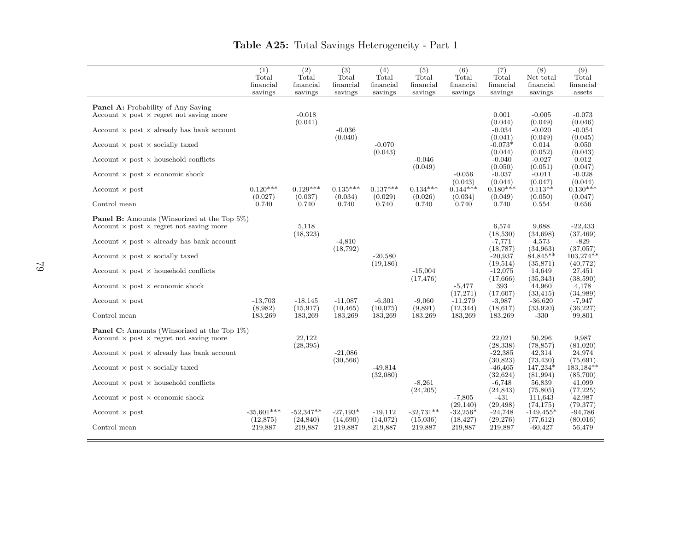|                                                                                                             | $\overline{(1)}$<br>Total<br>financial<br>savings | (2)<br>Total<br>financial<br>savings | $\overline{(3)}$<br>Total<br>financial<br>savings | (4)<br>Total<br>financial<br>savings | $\overline{(5)}$<br>Total<br>financial<br>savings | $\overline{(6)}$<br>Total<br>financial<br>savings | (7)<br>Total<br>financial<br>savings | (8)<br>Net total<br>financial<br>savings | (9)<br>Total<br>financial<br>assets |
|-------------------------------------------------------------------------------------------------------------|---------------------------------------------------|--------------------------------------|---------------------------------------------------|--------------------------------------|---------------------------------------------------|---------------------------------------------------|--------------------------------------|------------------------------------------|-------------------------------------|
| <b>Panel A:</b> Probability of Any Saving<br>Account $\times$ post $\times$ regret not saving more          |                                                   | $-0.018$                             |                                                   |                                      |                                                   |                                                   | 0.001                                | $-0.005$                                 | $-0.073$                            |
| Account $\times$ post $\times$ already has bank account                                                     |                                                   | (0.041)                              | $-0.036$                                          |                                      |                                                   |                                                   | (0.044)<br>$-0.034$                  | (0.049)<br>$-0.020$                      | (0.046)<br>$-0.054$                 |
| Account $\times$ post $\times$ socially taxed                                                               |                                                   |                                      | (0.040)                                           | $-0.070$                             |                                                   |                                                   | (0.041)<br>$-0.073*$                 | (0.049)<br>0.014                         | (0.045)<br>0.050                    |
| Account $\times$ post $\times$ household conflicts                                                          |                                                   |                                      |                                                   | (0.043)                              | $-0.046$                                          |                                                   | (0.044)<br>$-0.040$                  | (0.052)<br>$-0.027$                      | (0.043)<br>0.012                    |
| Account $\times$ post $\times$ economic shock                                                               |                                                   |                                      |                                                   |                                      | (0.049)                                           | $-0.056$                                          | (0.050)<br>$-0.037$                  | (0.051)<br>$-0.011$                      | (0.047)<br>$-0.028$                 |
| Account $\times$ post                                                                                       | $0.120***$                                        | $0.129***$                           | $0.135***$                                        | $0.137***$                           | $0.134***$                                        | (0.043)<br>$0.144***$                             | (0.044)<br>$0.180***$                | (0.047)<br>$0.113**$                     | (0.044)<br>$0.130***$               |
| Control mean                                                                                                | (0.027)<br>0.740                                  | (0.037)<br>0.740                     | (0.034)<br>0.740                                  | (0.029)<br>0.740                     | (0.026)<br>0.740                                  | (0.034)<br>0.740                                  | (0.049)<br>0.740                     | (0.050)<br>0.554                         | (0.047)<br>0.656                    |
| <b>Panel B:</b> Amounts (Winsorized at the Top 5%)<br>Account $\times$ post $\times$ regret not saving more |                                                   | 5.118                                |                                                   |                                      |                                                   |                                                   | 6,574                                | 9,688                                    | $-22,433$                           |
| Account $\times$ post $\times$ already has bank account                                                     |                                                   | (18, 323)                            | $-4,810$                                          |                                      |                                                   |                                                   | (18,530)<br>$-7,771$                 | (34,698)<br>4,573                        | (37, 469)<br>$-829$                 |
| Account $\times$ post $\times$ socially taxed                                                               |                                                   |                                      | (18, 792)                                         | $-20,580$                            |                                                   |                                                   | (18, 787)<br>$-20.937$               | (34,963)<br>84,845**                     | (37,057)<br>$103.274**$             |
| Account $\times$ post $\times$ household conflicts                                                          |                                                   |                                      |                                                   | (19, 186)                            | $-15.004$                                         |                                                   | (19.514)<br>$-12,075$                | (35, 871)<br>14,649                      | (40, 772)<br>27,451                 |
| Account $\times$ post $\times$ economic shock                                                               |                                                   |                                      |                                                   |                                      | (17, 476)                                         | $-5,477$<br>(17, 271)                             | (17,666)<br>393                      | (35,343)<br>44,960<br>(33, 415)          | (38,590)<br>4,178<br>(34,989)       |
| Account $\times$ post                                                                                       | $-13,703$                                         | $-18,145$<br>(15, 917)               | $-11,087$                                         | $-6,301$                             | $-9,060$                                          | $-11,279$                                         | (17, 607)<br>$-3,987$                | $-36,620$                                | $-7,947$                            |
| Control mean                                                                                                | (8,982)<br>183,269                                | 183,269                              | (10, 465)<br>183,269                              | (10,075)<br>183,269                  | (9,891)<br>183,269                                | (12, 344)<br>183,269                              | (18, 617)<br>183,269                 | (33,920)<br>$-330$                       | (36, 227)<br>99,801                 |
| <b>Panel C:</b> Amounts (Winsorized at the Top 1%)<br>Account $\times$ post $\times$ regret not saving more |                                                   | 22,122                               |                                                   |                                      |                                                   |                                                   | 22,021                               | 50,296                                   | 9,987                               |
| Account $\times$ post $\times$ already has bank account                                                     |                                                   | (28, 395)                            | $-21,086$                                         |                                      |                                                   |                                                   | (28, 338)<br>$-22,385$               | (78, 857)<br>42,314                      | (81,020)<br>24,974                  |
| Account $\times$ post $\times$ socially taxed                                                               |                                                   |                                      | (30, 566)                                         | $-49,814$                            |                                                   |                                                   | (30, 823)<br>$-46,465$               | (73, 430)<br>$147,234*$                  | (75, 691)<br>183,184**              |
| Account $\times$ post $\times$ household conflicts                                                          |                                                   |                                      |                                                   | (32,080)                             | $-8,261$                                          |                                                   | (32, 624)<br>$-6,748$                | (81,994)<br>56,839                       | (85,700)<br>41,099                  |
| Account $\times$ post $\times$ economic shock                                                               |                                                   |                                      |                                                   |                                      | (24,205)                                          | $-7,805$                                          | (24, 843)<br>-431                    | (75,805)<br>111,643                      | (77, 225)<br>42,987                 |
| $Account \times post$                                                                                       | $-35,601***$                                      | $-52,347**$                          | $-27.193*$                                        | $-19.112$                            | $-32.731**$                                       | (29, 140)<br>$-32.256*$                           | (29, 498)<br>$-24,748$               | (74, 175)<br>$-149.455*$                 | (79, 377)<br>$-94,786$              |
| Control mean                                                                                                | (12, 875)<br>219,887                              | (24, 840)<br>219,887                 | (14,690)<br>219,887                               | (14,072)<br>219,887                  | (15,036)<br>219,887                               | (18, 427)<br>219,887                              | (29,276)<br>219,887                  | (77,612)<br>$-60,427$                    | (80,016)<br>56,479                  |

-

### Table A25: Total Savings Heterogeneity - Part <sup>1</sup>